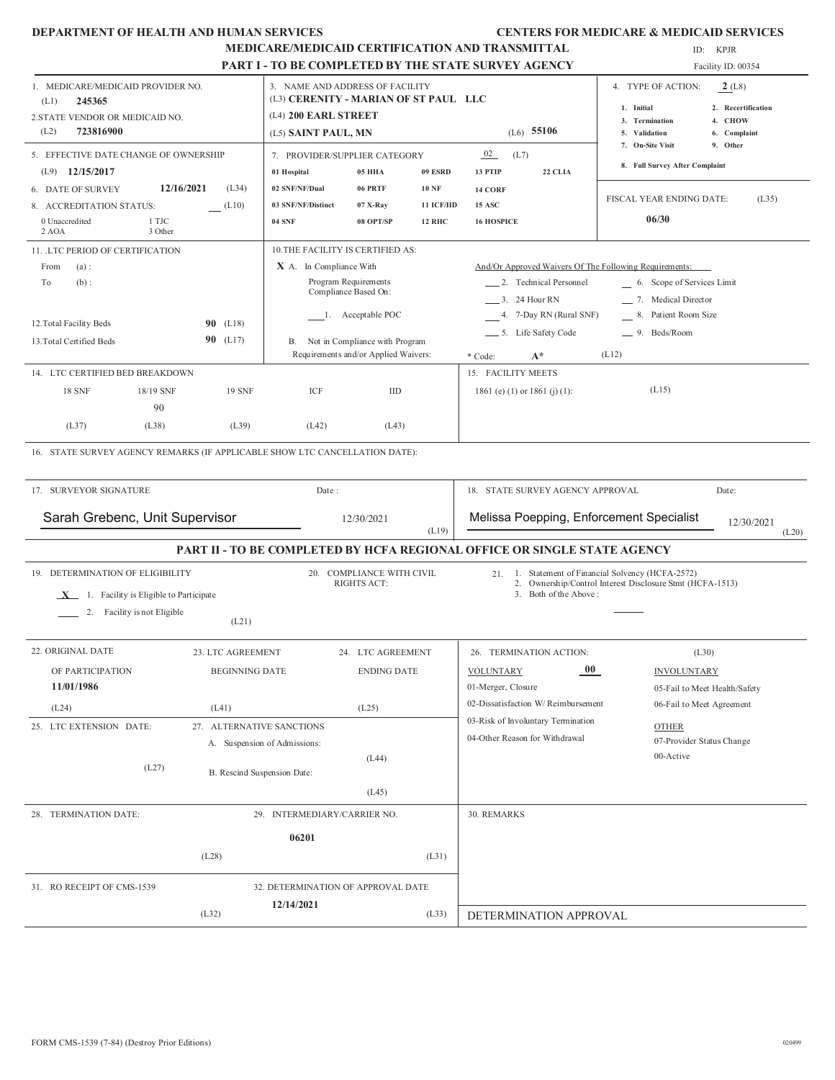| DEPARTMENT OF HEALTH AND HUMAN SERVICES |  |  |  |
|-----------------------------------------|--|--|--|
|-----------------------------------------|--|--|--|

#### **CENTERS FOR MEDICARE & MEDICAID SERVICES**

|                                                                                                                                                                                                                                                                                                 | MEDICARE/MEDICAID CERTIFICATION AND TRANSMITTAL<br><b>PART I - TO BE COMPLETED BY THE STATE SURVEY AGENCY</b> |                                                                                                                         |                                                                                                                                                                       |                                                        |                                                                                                              |                                                                                                                                                           |                                                                                                                                                                           | ID: KPJR<br>Facility ID: 00354                                      |  |  |
|-------------------------------------------------------------------------------------------------------------------------------------------------------------------------------------------------------------------------------------------------------------------------------------------------|---------------------------------------------------------------------------------------------------------------|-------------------------------------------------------------------------------------------------------------------------|-----------------------------------------------------------------------------------------------------------------------------------------------------------------------|--------------------------------------------------------|--------------------------------------------------------------------------------------------------------------|-----------------------------------------------------------------------------------------------------------------------------------------------------------|---------------------------------------------------------------------------------------------------------------------------------------------------------------------------|---------------------------------------------------------------------|--|--|
| 1. MEDICARE/MEDICAID PROVIDER NO.<br>245365<br>(L1)<br>2. STATE VENDOR OR MEDICAID NO.<br>723816900<br>(L2)                                                                                                                                                                                     |                                                                                                               | 3. NAME AND ADDRESS OF FACILITY<br>(L3) CERENITY - MARIAN OF ST PAUL LLC<br>(L4) 200 EARL STREET<br>(L5) SAINT PAUL, MN |                                                                                                                                                                       |                                                        |                                                                                                              | $(L6)$ 55106                                                                                                                                              | 4. TYPE OF ACTION:<br>1. Initial<br>3. Termination<br>5. Validation                                                                                                       | 2(L8)<br>2. Recertification<br>4. CHOW<br>6. Complaint              |  |  |
| 5. EFFECTIVE DATE CHANGE OF OWNERSHIP                                                                                                                                                                                                                                                           |                                                                                                               | 7. PROVIDER/SUPPLIER CATEGORY                                                                                           |                                                                                                                                                                       |                                                        | 02                                                                                                           | (L7)                                                                                                                                                      | 7. On-Site Visit<br>8. Full Survey After Complaint                                                                                                                        | 9. Other                                                            |  |  |
| $(L9)$ 12/15/2017<br>12/16/2021<br>6. DATE OF SURVEY<br>8. ACCREDITATION STATUS:<br>1 TJC<br>0 Unaccredited<br>3 Other<br>2 AOA                                                                                                                                                                 | (L34)<br>(L10)                                                                                                | 01 Hospital<br>02 SNF/NF/Dual<br>03 SNF/NF/Distinct<br><b>04 SNF</b>                                                    | 05 HHA<br>06 PRTF<br>07 X-Ray<br>08 OPT/SP                                                                                                                            | 09 ESRD<br><b>10 NF</b><br>11 ICF/IID<br><b>12 RHC</b> | 13 PTIP<br>14 CORF<br><b>15 ASC</b><br><b>16 HOSPICE</b>                                                     | 22 CLIA                                                                                                                                                   | FISCAL YEAR ENDING DATE:<br>06/30                                                                                                                                         | (L35)                                                               |  |  |
| 11. LTC PERIOD OF CERTIFICATION<br>(a):<br>From<br>To<br>$(b)$ :<br>12. Total Facility Beds<br>13. Total Certified Beds<br>14. LTC CERTIFIED BED BREAKDOWN<br><b>18 SNF</b><br>18/19 SNF<br>90<br>(L37)<br>(L38)<br>16. STATE SURVEY AGENCY REMARKS (IF APPLICABLE SHOW LTC CANCELLATION DATE): | $90$ (L18)<br>$90$ (L17)<br><b>19 SNF</b><br>(L39)                                                            | 10.THE FACILITY IS CERTIFIED AS:<br>X A. In Compliance With<br>ICF<br>(L42)                                             | Program Requirements<br>Compliance Based On:<br>1. Acceptable POC<br>B. Not in Compliance with Program<br>Requirements and/or Applied Waivers:<br><b>IID</b><br>(L43) |                                                        | * Code:                                                                                                      | 2. Technical Personnel<br>3. 24 Hour RN<br>4. 7-Day RN (Rural SNF)<br>5. Life Safety Code<br>$A^*$<br>15. FACILITY MEETS<br>1861 (e) (1) or 1861 (j) (1): | And/Or Approved Waivers Of The Following Requirements:<br>6. Scope of Services Limit<br>7. Medical Director<br>Patient Room Size<br>8.<br>_9. Beds/Room<br>(L12)<br>(L15) |                                                                     |  |  |
| 17. SURVEYOR SIGNATURE<br>Date:<br>Sarah Grebenc, Unit Supervisor<br>12/30/2021<br>(L19)                                                                                                                                                                                                        |                                                                                                               |                                                                                                                         |                                                                                                                                                                       |                                                        | 18. STATE SURVEY AGENCY APPROVAL<br>Date:<br>Melissa Poepping, Enforcement Specialist<br>12/30/2021<br>(L20) |                                                                                                                                                           |                                                                                                                                                                           |                                                                     |  |  |
|                                                                                                                                                                                                                                                                                                 |                                                                                                               |                                                                                                                         |                                                                                                                                                                       |                                                        |                                                                                                              | <b>PART II - TO BE COMPLETED BY HCFA REGIONAL OFFICE OR SINGLE STATE AGENCY</b>                                                                           |                                                                                                                                                                           |                                                                     |  |  |
| 19. DETERMINATION OF ELIGIBILITY<br>$X$ 1. Facility is Eligible to Participate<br>2. Facility is not Eligible                                                                                                                                                                                   | (L21)                                                                                                         |                                                                                                                         | 20. COMPLIANCE WITH CIVIL<br>RIGHTS ACT:                                                                                                                              |                                                        | 21.                                                                                                          | 3. Both of the Above:                                                                                                                                     | 1. Statement of Financial Solvency (HCFA-2572)<br>2. Ownership/Control Interest Disclosure Stmt (HCFA-1513)                                                               |                                                                     |  |  |
| 22. ORIGINAL DATE<br>OF PARTICIPATION<br>11/01/1986<br>(L24)                                                                                                                                                                                                                                    | 23. LTC AGREEMENT<br><b>BEGINNING DATE</b><br>(L41)                                                           |                                                                                                                         | 24. LTC AGREEMENT<br><b>ENDING DATE</b><br>(L25)                                                                                                                      |                                                        | <b>VOLUNTARY</b><br>01-Merger, Closure                                                                       | 26. TERMINATION ACTION:<br>00 <sub>1</sub><br>02-Dissatisfaction W/Reimbursement<br>03-Risk of Involuntary Termination                                    | <b>INVOLUNTARY</b>                                                                                                                                                        | (L30)<br>05-Fail to Meet Health/Safety<br>06-Fail to Meet Agreement |  |  |
| 25. LTC EXTENSION DATE:<br>(L27)                                                                                                                                                                                                                                                                | B. Rescind Suspension Date:                                                                                   | 27. ALTERNATIVE SANCTIONS<br>A. Suspension of Admissions:                                                               | (L44)<br>(L45)                                                                                                                                                        |                                                        |                                                                                                              | 04-Other Reason for Withdrawal                                                                                                                            | <b>OTHER</b><br>00-Active                                                                                                                                                 | 07-Provider Status Change                                           |  |  |
| 28. TERMINATION DATE:                                                                                                                                                                                                                                                                           | (L28)                                                                                                         | 29. INTERMEDIARY/CARRIER NO.<br>06201                                                                                   |                                                                                                                                                                       | (L31)                                                  | 30. REMARKS                                                                                                  |                                                                                                                                                           |                                                                                                                                                                           |                                                                     |  |  |
| 31. RO RECEIPT OF CMS-1539                                                                                                                                                                                                                                                                      | (L32)                                                                                                         | 32. DETERMINATION OF APPROVAL DATE<br>12/14/2021                                                                        |                                                                                                                                                                       | (L33)                                                  |                                                                                                              | DETERMINATION APPROVAL                                                                                                                                    |                                                                                                                                                                           |                                                                     |  |  |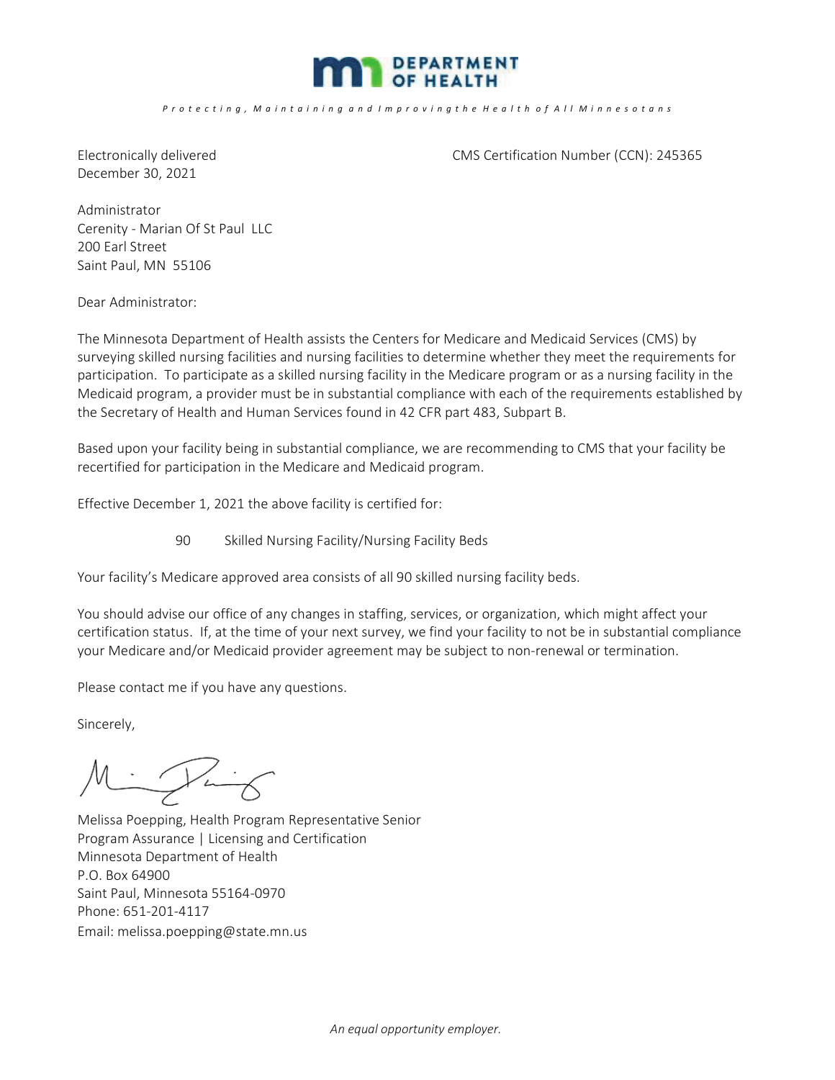

December 30, 2021

Electronically delivered CMS Certification Number (CCN): 245365

Administrator Cerenity - Marian Of St Paul LLC 200 Earl Street Saint Paul, MN 55106

Dear Administrator:

The Minnesota Department of Health assists the Centers for Medicare and Medicaid Services (CMS) by surveying skilled nursing facilities and nursing facilities to determine whether they meet the requirements for participation. To participate as a skilled nursing facility in the Medicare program or as a nursing facility in the Medicaid program, a provider must be in substantial compliance with each of the requirements established by the Secretary of Health and Human Services found in 42 CFR part 483, Subpart B.

Based upon your facility being in substantial compliance, we are recommending to CMS that your facility be recertified for participation in the Medicare and Medicaid program.

Effective December 1, 2021 the above facility is certified for:

90 Skilled Nursing Facility/Nursing Facility Beds

Your facility's Medicare approved area consists of all 90 skilled nursing facility beds.

You should advise our office of any changes in staffing, services, or organization, which might affect your certification status. If, at the time of your next survey, we find your facility to not be in substantial compliance your Medicare and/or Medicaid provider agreement may be subject to non-renewal or termination.

Please contact me if you have any questions.

Sincerely,

Ï

Melissa Poepping, Health Program Representative Senior Program Assurance | Licensing and Certification Minnesota Department of Health P.O. Box 64900 Saint Paul, Minnesota 55164-0970 Phone: 651-201-4117 Email: melissa.poepping@state.mn.us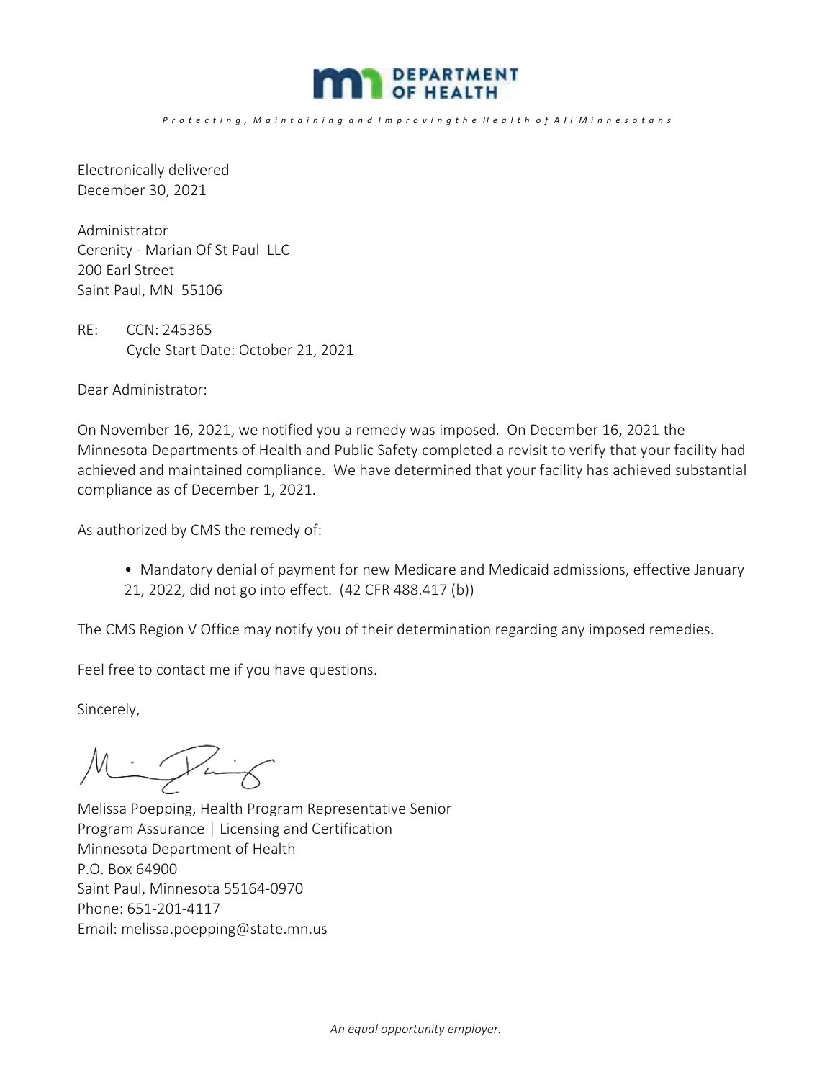

*P r o t e c t i n g , M a i n t a i n i n g a n d I m p r o v i n g t h e H e a l t h o f A l l M i n n e s o t a n s*

Electronically delivered December 30, 2021

Administrator Cerenity - Marian Of St Paul LLC 200 Earl Street Saint Paul, MN 55106

RE: CCN: 245365 Cycle Start Date: October 21, 2021

Dear Administrator:

On November 16, 2021, we notified you a remedy was imposed. On December 16, 2021 the Minnesota Departments of Health and Public Safety completed a revisit to verify that your facility had achieved and maintained compliance. We have determined that your facility has achieved substantial compliance as of December 1, 2021.

As authorized by CMS the remedy of:

• Mandatory denial of payment for new Medicare and Medicaid admissions, effective January 21, 2022, did not go into effect. (42 CFR 488.417 (b))

The CMS Region V Office may notify you of their determination regarding any imposed remedies.

Feel free to contact me if you have questions.

Sincerely,

 $M = \mathcal{P} - \mathcal{C}$ 

Melissa Poepping, Health Program Representative Senior Program Assurance | Licensing and Certification Minnesota Department of Health P.O. Box 64900 Saint Paul, Minnesota 55164-0970 Phone: 651-201-4117 Email: melissa.poepping@state.mn.us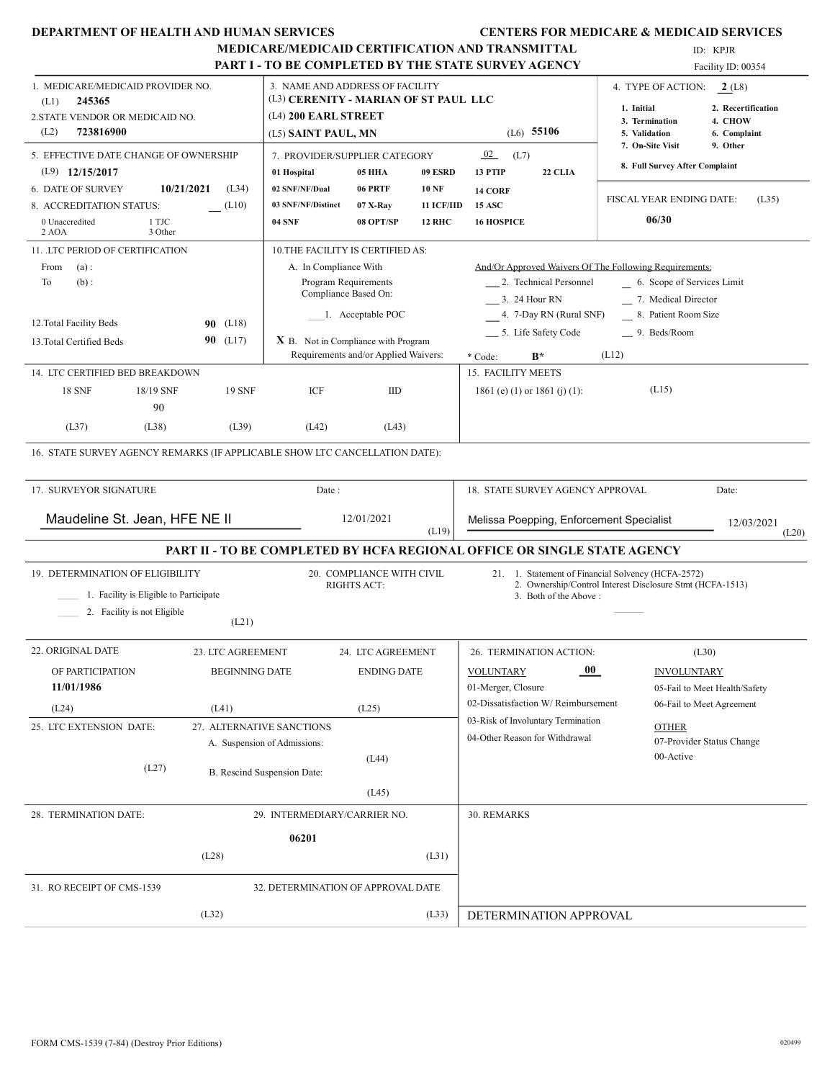| <b>DEPARTMENT OF HEALTH AND HUMAN SERVICES</b>                                                                                                                                                                                                                                                                                                                                                                                                                          | MEDICARE/MEDICAID CERTIFICATION AND TRANSMITTAL<br><b>PART I - TO BE COMPLETED BY THE STATE SURVEY AGENCY</b>                                                                                                                                                                                                                                                                                                                                                                 |                                                                                                                                                                                                                                                                                                                     | <b>CENTERS FOR MEDICARE &amp; MEDICAID SERVICES</b><br>ID: KPJR<br>Facility ID: 00354                                                                                                                                       |  |
|-------------------------------------------------------------------------------------------------------------------------------------------------------------------------------------------------------------------------------------------------------------------------------------------------------------------------------------------------------------------------------------------------------------------------------------------------------------------------|-------------------------------------------------------------------------------------------------------------------------------------------------------------------------------------------------------------------------------------------------------------------------------------------------------------------------------------------------------------------------------------------------------------------------------------------------------------------------------|---------------------------------------------------------------------------------------------------------------------------------------------------------------------------------------------------------------------------------------------------------------------------------------------------------------------|-----------------------------------------------------------------------------------------------------------------------------------------------------------------------------------------------------------------------------|--|
| 1. MEDICARE/MEDICAID PROVIDER NO.<br>245365<br>(L1)<br>2. STATE VENDOR OR MEDICAID NO.<br>(L2)<br>723816900                                                                                                                                                                                                                                                                                                                                                             | 3. NAME AND ADDRESS OF FACILITY<br>(L3) CERENITY - MARIAN OF ST PAUL LLC<br>(L4) 200 EARL STREET<br>(L5) SAINT PAUL, MN                                                                                                                                                                                                                                                                                                                                                       | $(L6)$ 55106                                                                                                                                                                                                                                                                                                        | 4. TYPE OF ACTION:<br>2(L8)<br>1. Initial<br>2. Recertification<br>4. CHOW<br>3. Termination<br>5. Validation<br>6. Complaint                                                                                               |  |
| 5. EFFECTIVE DATE CHANGE OF OWNERSHIP<br>$(L9)$ 12/15/2017<br>10/21/2021<br>6. DATE OF SURVEY<br>(L34)<br>(L10)<br>8. ACCREDITATION STATUS:<br>0 Unaccredited<br>1 TJC<br>2 AOA<br>3 Other<br>11. LTC PERIOD OF CERTIFICATION<br>(a):<br>From<br>To<br>$(b)$ :<br>12. Total Facility Beds<br><b>90</b> (L18)<br>90 (L17)<br>13. Total Certified Beds<br>14. LTC CERTIFIED BED BREAKDOWN<br><b>18 SNF</b><br>18/19 SNF<br><b>19 SNF</b><br>90<br>(L37)<br>(L38)<br>(L39) | 7. PROVIDER/SUPPLIER CATEGORY<br>05 HHA<br>09 ESRD<br>01 Hospital<br>02 SNF/NF/Dual<br>06 PRTF<br><b>10 NF</b><br>03 SNF/NF/Distinct<br>07 X-Ray<br><b>11 ICF/IID</b><br>04 SNF<br>08 OPT/SP<br><b>12 RHC</b><br>10. THE FACILITY IS CERTIFIED AS:<br>A. In Compliance With<br>Program Requirements<br>Compliance Based On:<br>1. Acceptable POC<br>$X$ B. Not in Compliance with Program<br>Requirements and/or Applied Waivers:<br>ICF<br>$_{\text{IID}}$<br>(L42)<br>(L43) | 02<br>(L7)<br>22 CLIA<br>13 PTIP<br>14 CORF<br><b>15 ASC</b><br><b>16 HOSPICE</b><br>And/Or Approved Waivers Of The Following Requirements:<br>2. Technical Personnel<br>3. 24 Hour RN<br>4. 7-Day RN (Rural SNF)<br>5. Life Safety Code<br>$B^*$<br>* Code:<br>15. FACILITY MEETS<br>1861 (e) (1) or 1861 (j) (1): | 7. On-Site Visit<br>9. Other<br>8. Full Survey After Complaint<br>FISCAL YEAR ENDING DATE:<br>(L35)<br>06/30<br>6. Scope of Services Limit<br>7. Medical Director<br>8. Patient Room Size<br>9. Beds/Room<br>(L12)<br>(L15) |  |
| 16. STATE SURVEY AGENCY REMARKS (IF APPLICABLE SHOW LTC CANCELLATION DATE):<br>17. SURVEYOR SIGNATURE<br>Maudeline St. Jean, HFE NE II                                                                                                                                                                                                                                                                                                                                  | Date:<br>12/01/2021<br>(L19)                                                                                                                                                                                                                                                                                                                                                                                                                                                  | 18. STATE SURVEY AGENCY APPROVAL<br>Date:<br>Melissa Poepping, Enforcement Specialist<br>12/03/2021                                                                                                                                                                                                                 |                                                                                                                                                                                                                             |  |
| 19. DETERMINATION OF ELIGIBILITY<br>1. Facility is Eligible to Participate<br>2. Facility is not Eligible<br>(L21)                                                                                                                                                                                                                                                                                                                                                      | PART II - TO BE COMPLETED BY HCFA REGIONAL OFFICE OR SINGLE STATE AGENCY<br>20. COMPLIANCE WITH CIVIL<br><b>RIGHTS ACT:</b>                                                                                                                                                                                                                                                                                                                                                   | 3. Both of the Above:                                                                                                                                                                                                                                                                                               | (L20)<br>21. 1. Statement of Financial Solvency (HCFA-2572)<br>2. Ownership/Control Interest Disclosure Stmt (HCFA-1513)                                                                                                    |  |
| 22. ORIGINAL DATE<br>23. LTC AGREEMENT<br>OF PARTICIPATION<br><b>BEGINNING DATE</b><br>11/01/1986<br>(L24)<br>(L41)<br>27. ALTERNATIVE SANCTIONS<br>25. LTC EXTENSION DATE:<br>(L27)                                                                                                                                                                                                                                                                                    | 24. LTC AGREEMENT<br><b>ENDING DATE</b><br>(L25)<br>A. Suspension of Admissions:<br>(L44)                                                                                                                                                                                                                                                                                                                                                                                     | 26. TERMINATION ACTION:<br>00 <sup>°</sup><br><b>VOLUNTARY</b><br>01-Merger, Closure<br>02-Dissatisfaction W/Reimbursement<br>03-Risk of Involuntary Termination<br>04-Other Reason for Withdrawal                                                                                                                  | (L30)<br><b>INVOLUNTARY</b><br>05-Fail to Meet Health/Safety<br>06-Fail to Meet Agreement<br>OTHER<br>07-Provider Status Change<br>00-Active                                                                                |  |
| 28. TERMINATION DATE:                                                                                                                                                                                                                                                                                                                                                                                                                                                   | B. Rescind Suspension Date:<br>(L45)<br>29. INTERMEDIARY/CARRIER NO.<br>06201                                                                                                                                                                                                                                                                                                                                                                                                 | 30. REMARKS                                                                                                                                                                                                                                                                                                         |                                                                                                                                                                                                                             |  |

(L28) (L31)

(L32) (L33)

31. RO RECEIPT OF CMS-1539 32. DETERMINATION OF APPROVAL DATE

DETERMINATION APPROVAL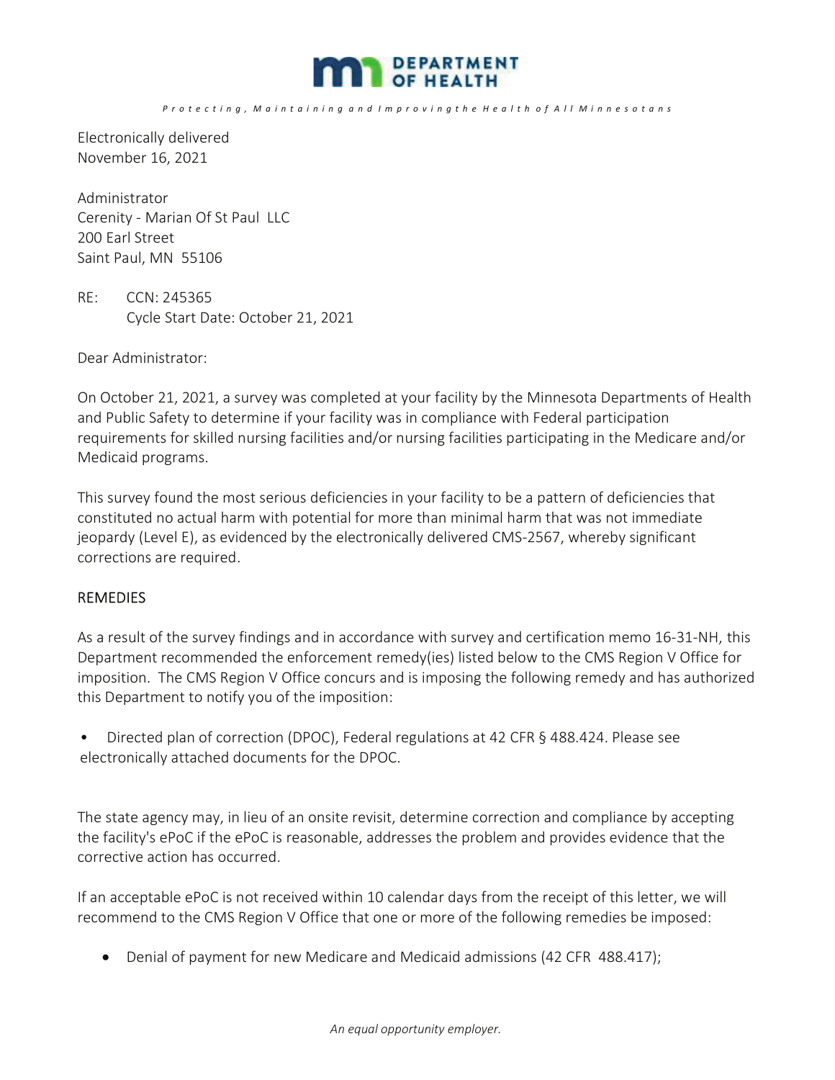

Electronically delivered November 16, 2021

Administrator Cerenity - Marian Of St Paul LLC 200 Earl Street Saint Paul, MN 55106

RE: CCN: 245365 Cycle Start Date: October 21, 2021

Dear Administrator:

On October 21, 2021, a survey was completed at your facility by the Minnesota Departments of Health and Public Safety to determine if your facility was in compliance with Federal participation requirements for skilled nursing facilities and/or nursing facilities participating in the Medicare and/or Medicaid programs.

This survey found the most serious deficiencies in your facility to be a pattern of deficiencies that constituted no actual harm with potential for more than minimal harm that was not immediate jeopardy (Level E), as evidenced by the electronically delivered CMS-2567, whereby significant corrections are required.

#### REMEDIES

As a result of the survey findings and in accordance with survey and certification memo 16-31-NH, this Department recommended the enforcement remedy(ies) listed below to the CMS Region V Office for imposition. The CMS Region V Office concurs and is imposing the following remedy and has authorized this Department to notify you of the imposition:

• Directed plan of correction (DPOC), Federal regulations at 42 CFR § 488.424. Please see electronically attached documents for the DPOC.

The state agency may, in lieu of an onsite revisit, determine correction and compliance by accepting the facility's ePoC if the ePoC is reasonable, addresses the problem and provides evidence that the corrective action has occurred.

If an acceptable ePoC is not received within 10 calendar days from the receipt of this letter, we will recommend to the CMS Region V Office that one or more of the following remedies be imposed:

• Denial of payment for new Medicare and Medicaid admissions (42 CFR 488.417);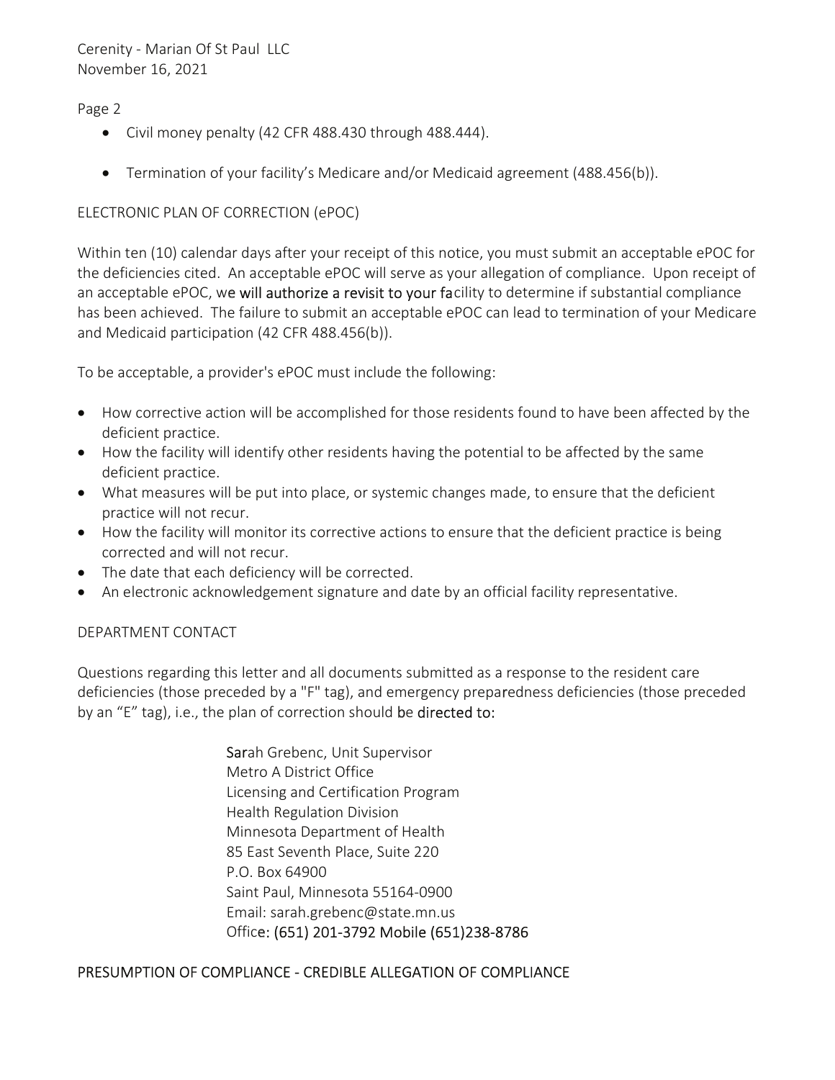### Page 2

- Civil money penalty (42 CFR 488.430 through 488.444).
- **•** Termination of your facility's Medicare and/or Medicaid agreement  $(488.456(b))$ .

### ELECTRONIC PLAN OF CORRECTION (ePOC)

Within ten (10) calendar days after your receipt of this notice, you must submit an acceptable ePOC for the deficiencies cited. An acceptable ePOC will serve as your allegation of compliance. Upon receipt of an acceptable ePOC, we will authorize a revisit to your facility to determine if substantial compliance has been achieved. The failure to submit an acceptable ePOC can lead to termination of your Medicare and Medicaid participation (42 CFR 488.456(b)).

To be acceptable, a provider's ePOC must include the following:

- How corrective action will be accomplished for those residents found to have been affected by the deficient practice.
- $\bullet$  How the facility will identify other residents having the potential to be affected by the same deficient practice.
- What measures will be put into place, or systemic changes made, to ensure that the deficient practice will not recur.
- How the facility will monitor its corrective actions to ensure that the deficient practice is being corrected and will not recur.
- The date that each deficiency will be corrected.
- An electronic acknowledgement signature and date by an official facility representative.

DEPARTMENT CONTACT

Questions regarding this letter and all documents submitted as a response to the resident care deficiencies (those preceded by a "F" tag), and emergency preparedness deficiencies (those preceded by an "E" tag), i.e., the plan of correction should be directed to:

> Sarah Grebenc, Unit Supervisor Metro A District Office Licensing and Certification Program Health Regulation Division Minnesota Department of Health 85 East Seventh Place, Suite 220 P.O. Box 64900 Saint Paul, Minnesota 55164-0900 Email: sarah.grebenc@state.mn.us Office: (651) 201-3792 Mobile (651)238-8786

### PRESUMPTION OF COMPLIANCE - CREDIBLE ALLEGATION OF COMPLIANCE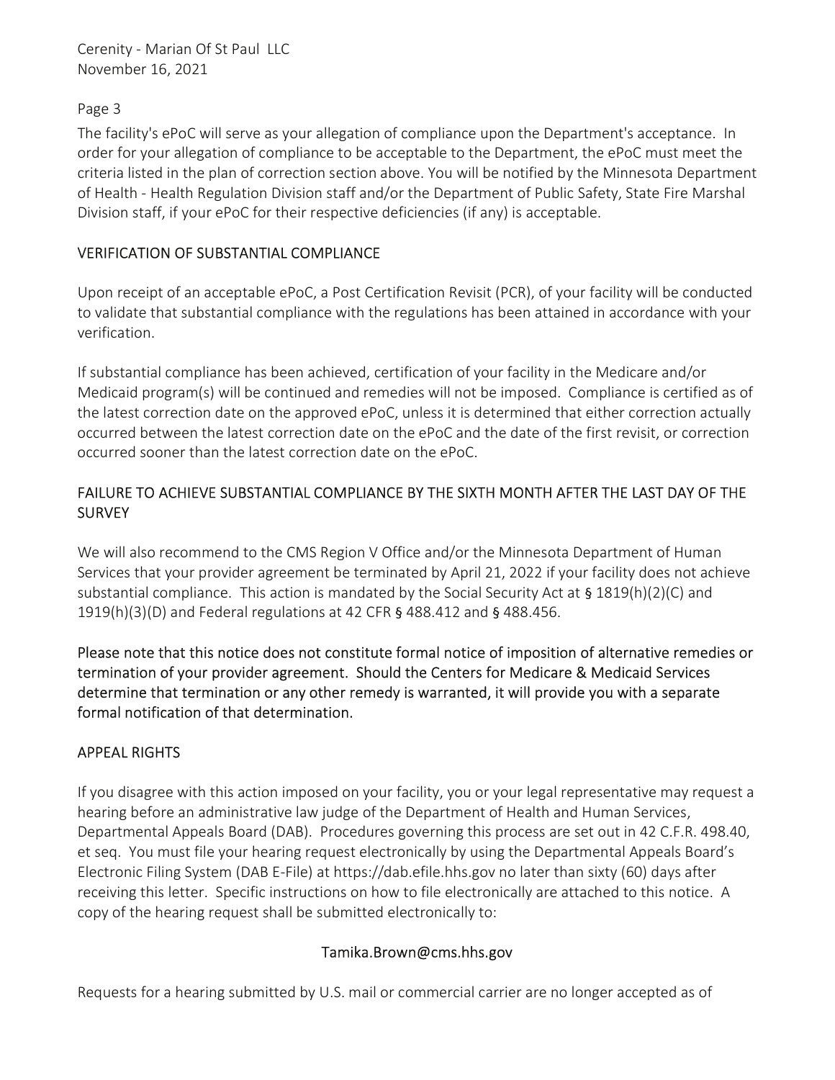## Page 3

The facility's ePoC will serve as your allegation of compliance upon the Department's acceptance. In order for your allegation of compliance to be acceptable to the Department, the ePoC must meet the criteria listed in the plan of correction section above. You will be notified by the Minnesota Department of Health - Health Regulation Division staff and/or the Department of Public Safety, State Fire Marshal Division staff, if your ePoC for their respective deficiencies (if any) is acceptable.

# VERIFICATION OF SUBSTANTIAL COMPLIANCE

Upon receipt of an acceptable ePoC, a Post Certification Revisit (PCR), of your facility will be conducted to validate that substantial compliance with the regulations has been attained in accordance with your verification.

If substantial compliance has been achieved, certification of your facility in the Medicare and/or Medicaid program(s) will be continued and remedies will not be imposed. Compliance is certified as of the latest correction date on the approved ePoC, unless it is determined that either correction actually occurred between the latest correction date on the ePoC and the date of the first revisit, or correction occurred sooner than the latest correction date on the ePoC.

# FAILURE TO ACHIEVE SUBSTANTIAL COMPLIANCE BY THE SIXTH MONTH AFTER THE LAST DAY OF THE **SURVEY**

We will also recommend to the CMS Region V Office and/or the Minnesota Department of Human Services that your provider agreement be terminated by April 21, 2022 if your facility does not achieve substantial compliance. This action is mandated by the Social Security Act at § 1819(h)(2)(C) and 1919(h)(3)(D) and Federal regulations at 42 CFR § 488.412 and § 488.456.

Please note that this notice does not constitute formal notice of imposition of alternative remedies or termination of your provider agreement. Should the Centers for Medicare & Medicaid Services determine that termination or any other remedy is warranted, it will provide you with a separate formal notification of that determination.

# APPEAL RIGHTS

If you disagree with this action imposed on your facility, you or your legal representative may request a hearing before an administrative law judge of the Department of Health and Human Services, Departmental Appeals Board (DAB). Procedures governing this process are set out in 42 C.F.R. 498.40, et seq. You must file your hearing request electronically by using the Departmental Appeals Board's Electronic Filing System (DAB E-File) at https://dab.efile.hhs.gov no later than sixty (60) days after receiving this letter. Specific instructions on how to file electronically are attached to this notice. A copy of the hearing request shall be submitted electronically to:

### Tamika.Brown@cms.hhs.gov

Requests for a hearing submitted by U.S. mail or commercial carrier are no longer accepted as of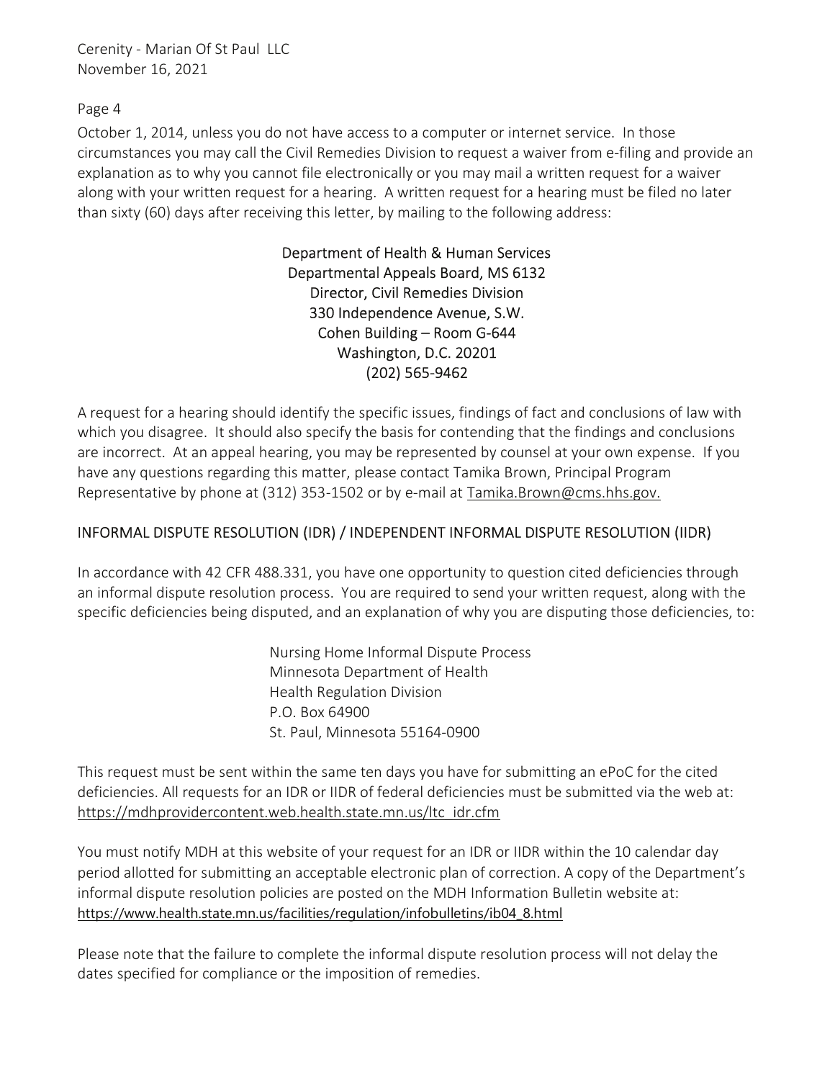Page 4

October 1, 2014, unless you do not have access to a computer or internet service. In those circumstances you may call the Civil Remedies Division to request a waiver from e-filing and provide an explanation as to why you cannot file electronically or you may mail a written request for a waiver along with your written request for a hearing. A written request for a hearing must be filed no later than sixty (60) days after receiving this letter, by mailing to the following address:

> Department of Health & Human Services Departmental Appeals Board, MS 6132 Director, Civil Remedies Division 330 Independence Avenue, S.W. Cohen Building – Room G-644 Washington, D.C. 20201 (202) 565-9462

A request for a hearing should identify the specific issues, findings of fact and conclusions of law with which you disagree. It should also specify the basis for contending that the findings and conclusions are incorrect. At an appeal hearing, you may be represented by counsel at your own expense. If you have any questions regarding this matter, please contact Tamika Brown, Principal Program Representative by phone at (312) 353-1502 or by e-mail at Tamika.Brown@cms.hhs.gov.

# INFORMAL DISPUTE RESOLUTION (IDR) / INDEPENDENT INFORMAL DISPUTE RESOLUTION (IIDR)

In accordance with 42 CFR 488.331, you have one opportunity to question cited deficiencies through an informal dispute resolution process. You are required to send your written request, along with the specific deficiencies being disputed, and an explanation of why you are disputing those deficiencies, to:

> Nursing Home Informal Dispute Process Minnesota Department of Health Health Regulation Division P.O. Box 64900 St. Paul, Minnesota 55164-0900

This request must be sent within the same ten days you have for submitting an ePoC for the cited deficiencies. All requests for an IDR or IIDR of federal deficiencies must be submitted via the web at: https://mdhprovidercontent.web.health.state.mn.us/ltc\_idr.cfm

You must notify MDH at this website of your request for an IDR or IIDR within the 10 calendar day period allotted for submitting an acceptable electronic plan of correction. A copy of the Department's informal dispute resolution policies are posted on the MDH Information Bulletin website at: https://www.health.state.mn.us/facilities/regulation/infobulletins/ib04\_8.html

Please note that the failure to complete the informal dispute resolution process will not delay the dates specified for compliance or the imposition of remedies.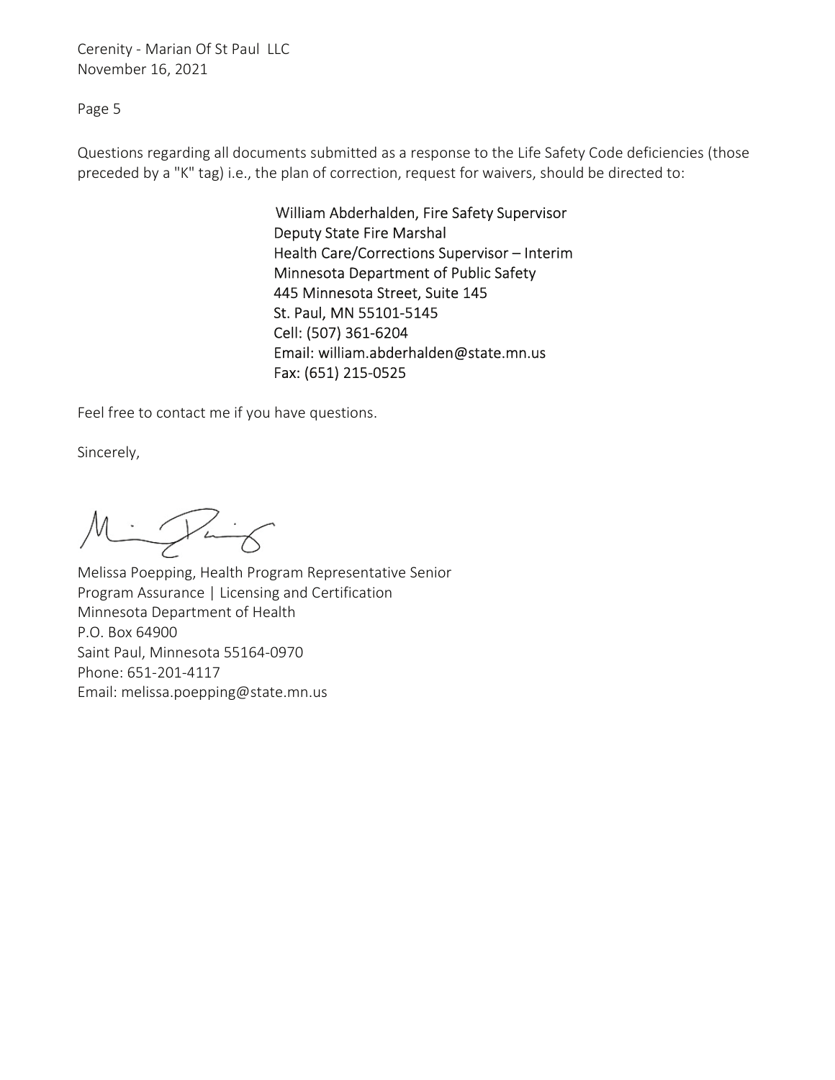Page 5

Questions regarding all documents submitted as a response to the Life Safety Code deficiencies (those preceded by a "K" tag) i.e., the plan of correction, request for waivers, should be directed to:

> William Abderhalden, Fire Safety Supervisor Deputy State Fire Marshal Health Care/Corrections Supervisor – Interim Minnesota Department of Public Safety 445 Minnesota Street, Suite 145 St. Paul, MN 55101-5145 Cell: (507) 361-6204 Email: william.abderhalden@state.mn.us Fax: (651) 215-0525

Feel free to contact me if you have questions.

Sincerely,

 $M = 125$ 

Melissa Poepping, Health Program Representative Senior Program Assurance | Licensing and Certification Minnesota Department of Health P.O. Box 64900 Saint Paul, Minnesota 55164-0970 Phone: 651-201-4117 Email: melissa.poepping@state.mn.us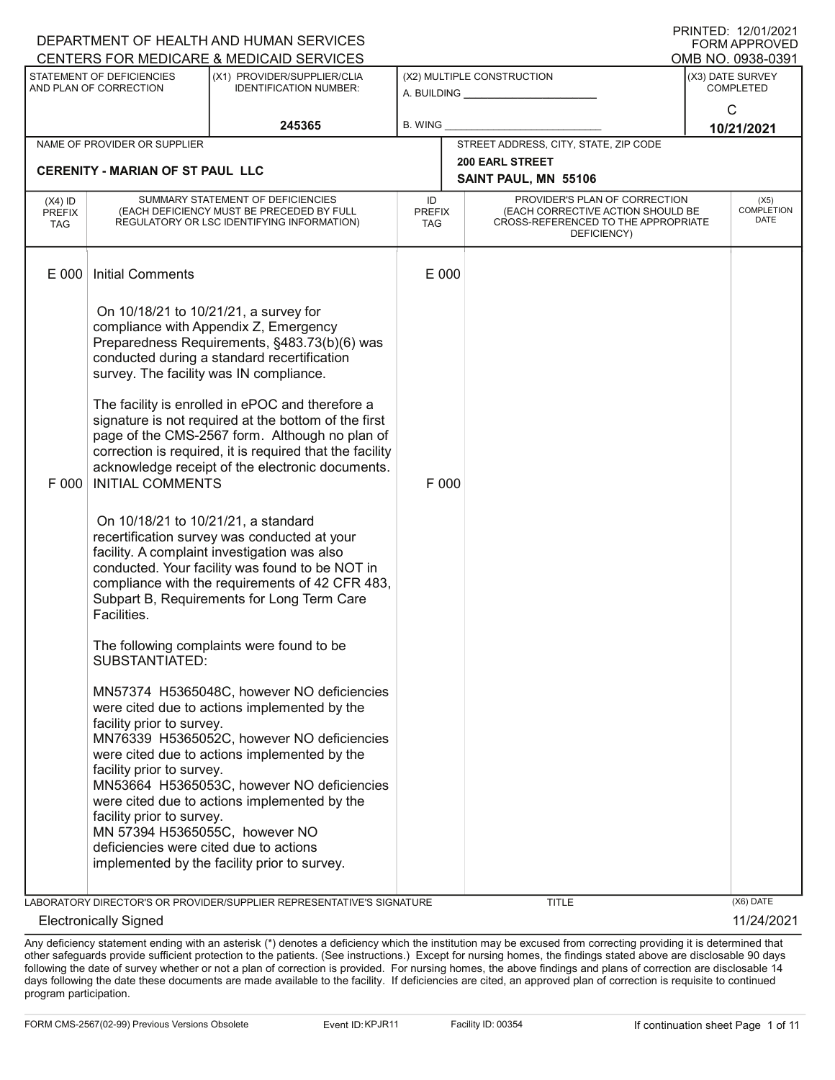| DEPARTMENT OF HEALTH AND HUMAN SERVICES<br>FORM APPROVED |                                                                                                       |                                                                                                                                                                                                                                                                              |                            |       |                                                                                                                          |                   |                                          |
|----------------------------------------------------------|-------------------------------------------------------------------------------------------------------|------------------------------------------------------------------------------------------------------------------------------------------------------------------------------------------------------------------------------------------------------------------------------|----------------------------|-------|--------------------------------------------------------------------------------------------------------------------------|-------------------|------------------------------------------|
|                                                          |                                                                                                       | CENTERS FOR MEDICARE & MEDICAID SERVICES                                                                                                                                                                                                                                     |                            |       |                                                                                                                          | OMB NO. 0938-0391 |                                          |
|                                                          | STATEMENT OF DEFICIENCIES<br>AND PLAN OF CORRECTION                                                   | (X1) PROVIDER/SUPPLIER/CLIA<br><b>IDENTIFICATION NUMBER:</b>                                                                                                                                                                                                                 |                            |       | (X2) MULTIPLE CONSTRUCTION<br>A. BUILDING <u>____________________</u>                                                    |                   | (X3) DATE SURVEY<br><b>COMPLETED</b>     |
|                                                          |                                                                                                       | 245365                                                                                                                                                                                                                                                                       | B. WING                    |       |                                                                                                                          |                   | $\mathsf{C}$<br>10/21/2021               |
|                                                          | NAME OF PROVIDER OR SUPPLIER                                                                          |                                                                                                                                                                                                                                                                              |                            |       | STREET ADDRESS, CITY, STATE, ZIP CODE                                                                                    |                   |                                          |
|                                                          | <b>CERENITY - MARIAN OF ST PAUL LLC</b>                                                               |                                                                                                                                                                                                                                                                              |                            |       | <b>200 EARL STREET</b>                                                                                                   |                   |                                          |
|                                                          |                                                                                                       |                                                                                                                                                                                                                                                                              |                            |       | SAINT PAUL, MN 55106                                                                                                     |                   |                                          |
| $(X4)$ ID<br><b>PREFIX</b><br>TAG                        |                                                                                                       | SUMMARY STATEMENT OF DEFICIENCIES<br>(EACH DEFICIENCY MUST BE PRECEDED BY FULL<br>REGULATORY OR LSC IDENTIFYING INFORMATION)                                                                                                                                                 | ID<br><b>PREFIX</b><br>TAG |       | PROVIDER'S PLAN OF CORRECTION<br>(EACH CORRECTIVE ACTION SHOULD BE<br>CROSS-REFERENCED TO THE APPROPRIATE<br>DEFICIENCY) |                   | (X5)<br><b>COMPLETION</b><br><b>DATE</b> |
| E 000                                                    | <b>Initial Comments</b>                                                                               |                                                                                                                                                                                                                                                                              | E 000                      |       |                                                                                                                          |                   |                                          |
|                                                          |                                                                                                       | On 10/18/21 to 10/21/21, a survey for<br>compliance with Appendix Z, Emergency<br>Preparedness Requirements, §483.73(b)(6) was<br>conducted during a standard recertification<br>survey. The facility was IN compliance.<br>The facility is enrolled in ePOC and therefore a |                            |       |                                                                                                                          |                   |                                          |
| F 000                                                    | <b>INITIAL COMMENTS</b>                                                                               | signature is not required at the bottom of the first<br>page of the CMS-2567 form. Although no plan of<br>correction is required, it is required that the facility<br>acknowledge receipt of the electronic documents.                                                       |                            | F 000 |                                                                                                                          |                   |                                          |
|                                                          | On 10/18/21 to 10/21/21, a standard<br>Facilities.                                                    | recertification survey was conducted at your<br>facility. A complaint investigation was also<br>conducted. Your facility was found to be NOT in<br>compliance with the requirements of 42 CFR 483,<br>Subpart B, Requirements for Long Term Care                             |                            |       |                                                                                                                          |                   |                                          |
|                                                          | SUBSTANTIATED:                                                                                        | The following complaints were found to be                                                                                                                                                                                                                                    |                            |       |                                                                                                                          |                   |                                          |
|                                                          | facility prior to survey.                                                                             | MN57374 H5365048C, however NO deficiencies<br>were cited due to actions implemented by the<br>MN76339 H5365052C, however NO deficiencies                                                                                                                                     |                            |       |                                                                                                                          |                   |                                          |
|                                                          | facility prior to survey.                                                                             | were cited due to actions implemented by the<br>MN53664 H5365053C, however NO deficiencies<br>were cited due to actions implemented by the                                                                                                                                   |                            |       |                                                                                                                          |                   |                                          |
|                                                          | facility prior to survey.<br>MN 57394 H5365055C, however NO<br>deficiencies were cited due to actions |                                                                                                                                                                                                                                                                              |                            |       |                                                                                                                          |                   |                                          |
|                                                          |                                                                                                       | implemented by the facility prior to survey.                                                                                                                                                                                                                                 |                            |       |                                                                                                                          |                   |                                          |
|                                                          |                                                                                                       |                                                                                                                                                                                                                                                                              |                            |       |                                                                                                                          |                   |                                          |
|                                                          | <b>Electronically Signed</b>                                                                          | LABORATORY DIRECTOR'S OR PROVIDER/SUPPLIER REPRESENTATIVE'S SIGNATURE                                                                                                                                                                                                        |                            |       | <b>TITLE</b>                                                                                                             |                   | (X6) DATE<br>11/24/2021                  |
|                                                          |                                                                                                       |                                                                                                                                                                                                                                                                              |                            |       |                                                                                                                          |                   |                                          |

Any deficiency statement ending with an asterisk (\*) denotes a deficiency which the institution may be excused from correcting providing it is determined that other safeguards provide sufficient protection to the patients. (See instructions.) Except for nursing homes, the findings stated above are disclosable 90 days following the date of survey whether or not a plan of correction is provided. For nursing homes, the above findings and plans of correction are disclosable 14 days following the date these documents are made available to the facility. If deficiencies are cited, an approved plan of correction is requisite to continued program participation.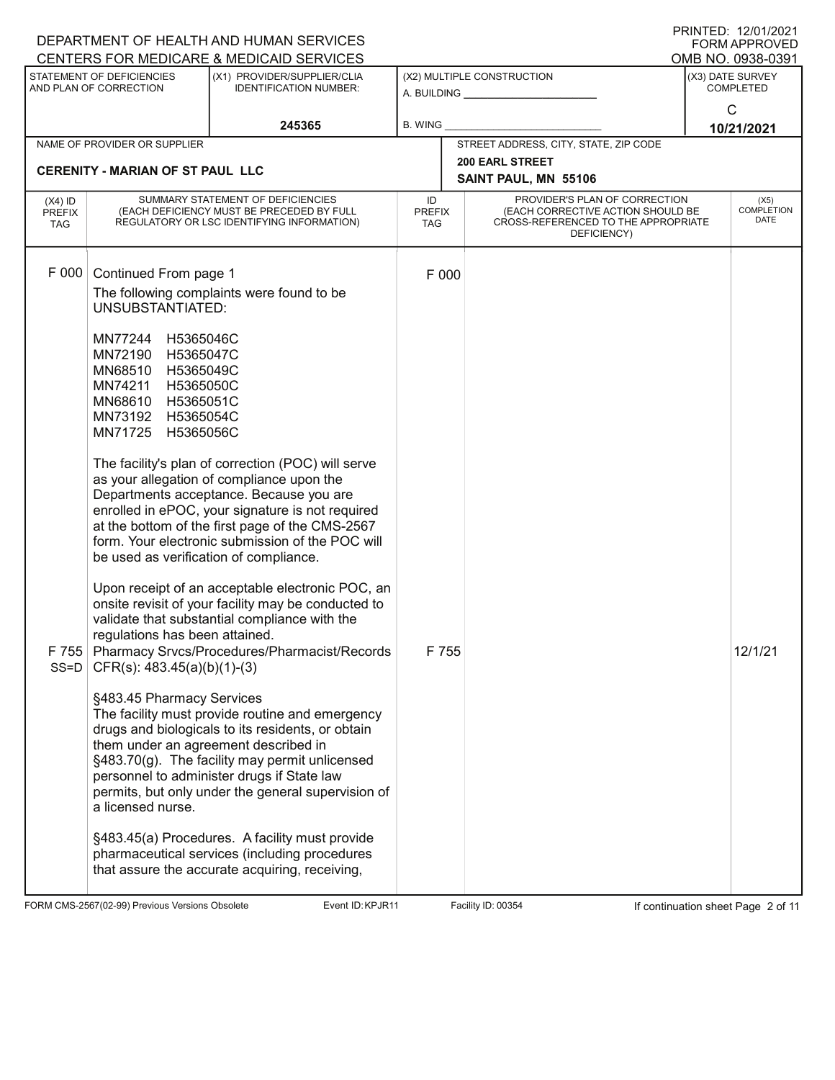|                                          | DEPARTMENT OF HEALTH AND HUMAN SERVICES<br>CENTERS FOR MEDICARE & MEDICAID SERVICES                                                                                                                                                                                                                                                                                                      |                                                                                                                                                                                                                                                                                                                                                                                                                                                                                                                                                                                                                                                                                                                                                                                                                                                                                                                                                                         | <b>PRINTED: 12/01/2021</b><br><b>FORM APPROVED</b><br>OMB NO. 0938-0391 |                                                                                                                          |                                      |  |
|------------------------------------------|------------------------------------------------------------------------------------------------------------------------------------------------------------------------------------------------------------------------------------------------------------------------------------------------------------------------------------------------------------------------------------------|-------------------------------------------------------------------------------------------------------------------------------------------------------------------------------------------------------------------------------------------------------------------------------------------------------------------------------------------------------------------------------------------------------------------------------------------------------------------------------------------------------------------------------------------------------------------------------------------------------------------------------------------------------------------------------------------------------------------------------------------------------------------------------------------------------------------------------------------------------------------------------------------------------------------------------------------------------------------------|-------------------------------------------------------------------------|--------------------------------------------------------------------------------------------------------------------------|--------------------------------------|--|
|                                          | STATEMENT OF DEFICIENCIES<br>AND PLAN OF CORRECTION                                                                                                                                                                                                                                                                                                                                      | (X1) PROVIDER/SUPPLIER/CLIA<br><b>IDENTIFICATION NUMBER:</b>                                                                                                                                                                                                                                                                                                                                                                                                                                                                                                                                                                                                                                                                                                                                                                                                                                                                                                            |                                                                         | (X2) MULTIPLE CONSTRUCTION                                                                                               | (X3) DATE SURVEY<br><b>COMPLETED</b> |  |
|                                          |                                                                                                                                                                                                                                                                                                                                                                                          |                                                                                                                                                                                                                                                                                                                                                                                                                                                                                                                                                                                                                                                                                                                                                                                                                                                                                                                                                                         |                                                                         | A. BUILDING <u>___________________</u>                                                                                   | $\mathsf{C}$                         |  |
|                                          |                                                                                                                                                                                                                                                                                                                                                                                          | 245365                                                                                                                                                                                                                                                                                                                                                                                                                                                                                                                                                                                                                                                                                                                                                                                                                                                                                                                                                                  | <b>B. WING</b>                                                          |                                                                                                                          | 10/21/2021                           |  |
|                                          | NAME OF PROVIDER OR SUPPLIER                                                                                                                                                                                                                                                                                                                                                             |                                                                                                                                                                                                                                                                                                                                                                                                                                                                                                                                                                                                                                                                                                                                                                                                                                                                                                                                                                         |                                                                         | STREET ADDRESS, CITY, STATE, ZIP CODE<br><b>200 EARL STREET</b>                                                          |                                      |  |
|                                          | <b>CERENITY - MARIAN OF ST PAUL LLC</b>                                                                                                                                                                                                                                                                                                                                                  |                                                                                                                                                                                                                                                                                                                                                                                                                                                                                                                                                                                                                                                                                                                                                                                                                                                                                                                                                                         |                                                                         | SAINT PAUL, MN 55106                                                                                                     |                                      |  |
| $(X4)$ ID<br><b>PREFIX</b><br><b>TAG</b> |                                                                                                                                                                                                                                                                                                                                                                                          | SUMMARY STATEMENT OF DEFICIENCIES<br>(EACH DEFICIENCY MUST BE PRECEDED BY FULL<br>REGULATORY OR LSC IDENTIFYING INFORMATION)                                                                                                                                                                                                                                                                                                                                                                                                                                                                                                                                                                                                                                                                                                                                                                                                                                            | ID<br><b>PREFIX</b><br>TAG                                              | PROVIDER'S PLAN OF CORRECTION<br>(EACH CORRECTIVE ACTION SHOULD BE<br>CROSS-REFERENCED TO THE APPROPRIATE<br>DEFICIENCY) | (X5)<br><b>COMPLETION</b><br>DATE    |  |
| F000<br>F 755<br>$SS = D$                | Continued From page 1<br><b>UNSUBSTANTIATED:</b><br>MN77244<br>H5365046C<br>MN72190<br>H5365047C<br>MN68510<br>H5365049C<br>MN74211<br>H5365050C<br>MN68610<br>H5365051C<br>MN73192<br>H5365054C<br>MN71725<br>H5365056C<br>be used as verification of compliance.<br>regulations has been attained.<br>$CFR(s)$ : 483.45(a)(b)(1)-(3)<br>§483.45 Pharmacy Services<br>a licensed nurse. | The following complaints were found to be<br>The facility's plan of correction (POC) will serve<br>as your allegation of compliance upon the<br>Departments acceptance. Because you are<br>enrolled in ePOC, your signature is not required<br>at the bottom of the first page of the CMS-2567<br>form. Your electronic submission of the POC will<br>Upon receipt of an acceptable electronic POC, an<br>onsite revisit of your facility may be conducted to<br>validate that substantial compliance with the<br>Pharmacy Srvcs/Procedures/Pharmacist/Records<br>The facility must provide routine and emergency<br>drugs and biologicals to its residents, or obtain<br>them under an agreement described in<br>§483.70(g). The facility may permit unlicensed<br>personnel to administer drugs if State law<br>permits, but only under the general supervision of<br>§483.45(a) Procedures. A facility must provide<br>pharmaceutical services (including procedures | F 000<br>F 755                                                          |                                                                                                                          | 12/1/21                              |  |
|                                          |                                                                                                                                                                                                                                                                                                                                                                                          | that assure the accurate acquiring, receiving,                                                                                                                                                                                                                                                                                                                                                                                                                                                                                                                                                                                                                                                                                                                                                                                                                                                                                                                          |                                                                         |                                                                                                                          |                                      |  |

FORM CMS-2567(02-99) Previous Versions Obsolete Event ID: KPJR11 Facility ID: 00354 If continuation sheet Page 2 of 11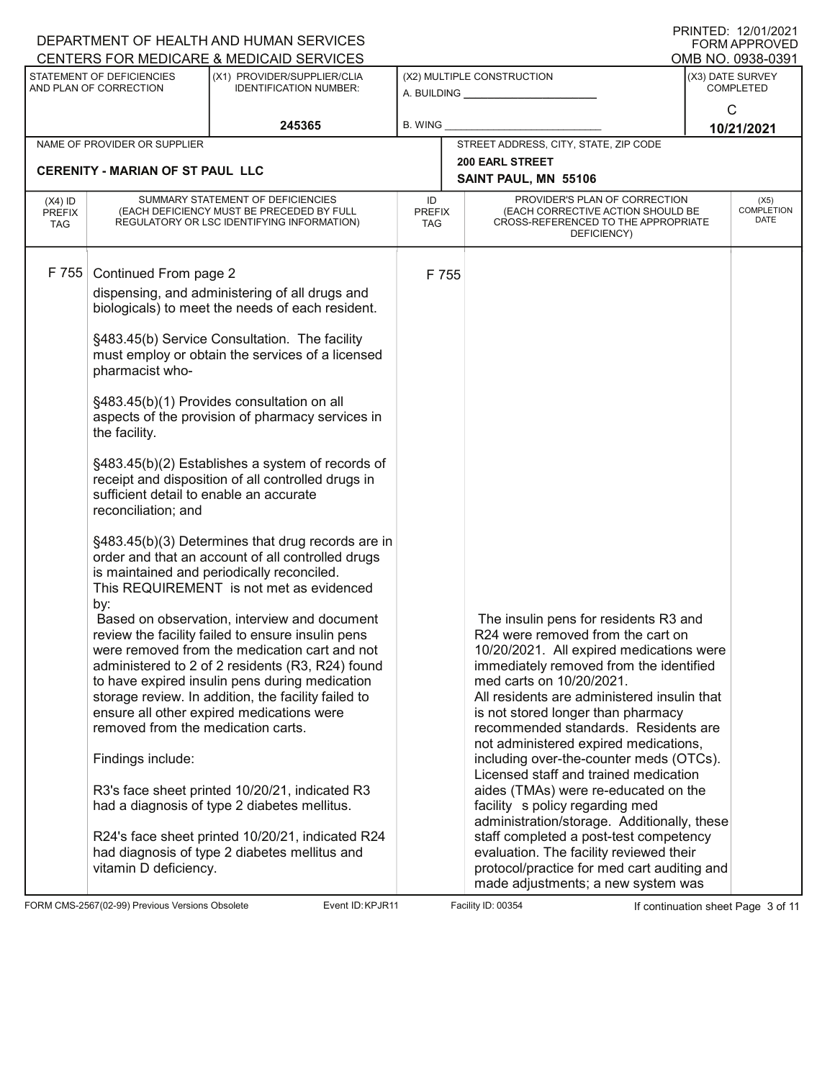|                                          |                                                                                                                             | DEPARTMENT OF HEALTH AND HUMAN SERVICES<br>CENTERS FOR MEDICARE & MEDICAID SERVICES                                                                                                                                                                                                                                                                                                                                                                                                                                                                                                                                                                           |                                           |  |                                                                                                                                                                                                                                                                                                                                                                                                                                                                                                                                                                                                                                                                                                                                                             |                                      | I ININILLY. IZIVIIZVZI<br><b>FORM APPROVED</b><br>OMB NO. 0938-0391 |
|------------------------------------------|-----------------------------------------------------------------------------------------------------------------------------|---------------------------------------------------------------------------------------------------------------------------------------------------------------------------------------------------------------------------------------------------------------------------------------------------------------------------------------------------------------------------------------------------------------------------------------------------------------------------------------------------------------------------------------------------------------------------------------------------------------------------------------------------------------|-------------------------------------------|--|-------------------------------------------------------------------------------------------------------------------------------------------------------------------------------------------------------------------------------------------------------------------------------------------------------------------------------------------------------------------------------------------------------------------------------------------------------------------------------------------------------------------------------------------------------------------------------------------------------------------------------------------------------------------------------------------------------------------------------------------------------------|--------------------------------------|---------------------------------------------------------------------|
|                                          | STATEMENT OF DEFICIENCIES<br>AND PLAN OF CORRECTION                                                                         | (X1) PROVIDER/SUPPLIER/CLIA<br><b>IDENTIFICATION NUMBER:</b>                                                                                                                                                                                                                                                                                                                                                                                                                                                                                                                                                                                                  | (X2) MULTIPLE CONSTRUCTION<br>A. BUILDING |  |                                                                                                                                                                                                                                                                                                                                                                                                                                                                                                                                                                                                                                                                                                                                                             | (X3) DATE SURVEY<br><b>COMPLETED</b> |                                                                     |
|                                          |                                                                                                                             | 245365                                                                                                                                                                                                                                                                                                                                                                                                                                                                                                                                                                                                                                                        | B. WING                                   |  |                                                                                                                                                                                                                                                                                                                                                                                                                                                                                                                                                                                                                                                                                                                                                             | C                                    | 10/21/2021                                                          |
|                                          | NAME OF PROVIDER OR SUPPLIER                                                                                                |                                                                                                                                                                                                                                                                                                                                                                                                                                                                                                                                                                                                                                                               |                                           |  | STREET ADDRESS, CITY, STATE, ZIP CODE                                                                                                                                                                                                                                                                                                                                                                                                                                                                                                                                                                                                                                                                                                                       |                                      |                                                                     |
|                                          | <b>CERENITY - MARIAN OF ST PAUL LLC</b>                                                                                     |                                                                                                                                                                                                                                                                                                                                                                                                                                                                                                                                                                                                                                                               |                                           |  | <b>200 EARL STREET</b><br>SAINT PAUL, MN 55106                                                                                                                                                                                                                                                                                                                                                                                                                                                                                                                                                                                                                                                                                                              |                                      |                                                                     |
| $(X4)$ ID<br><b>PREFIX</b><br><b>TAG</b> |                                                                                                                             | SUMMARY STATEMENT OF DEFICIENCIES<br>(EACH DEFICIENCY MUST BE PRECEDED BY FULL<br>REGULATORY OR LSC IDENTIFYING INFORMATION)                                                                                                                                                                                                                                                                                                                                                                                                                                                                                                                                  | ID<br><b>PREFIX</b><br>TAG                |  | PROVIDER'S PLAN OF CORRECTION<br>(EACH CORRECTIVE ACTION SHOULD BE<br>CROSS-REFERENCED TO THE APPROPRIATE<br>DEFICIENCY)                                                                                                                                                                                                                                                                                                                                                                                                                                                                                                                                                                                                                                    |                                      | (X5)<br><b>COMPLETION</b><br>DATE                                   |
| F 755                                    | Continued From page 2<br>pharmacist who-<br>the facility.<br>sufficient detail to enable an accurate<br>reconciliation; and | dispensing, and administering of all drugs and<br>biologicals) to meet the needs of each resident.<br>§483.45(b) Service Consultation. The facility<br>must employ or obtain the services of a licensed<br>§483.45(b)(1) Provides consultation on all<br>aspects of the provision of pharmacy services in<br>§483.45(b)(2) Establishes a system of records of<br>receipt and disposition of all controlled drugs in<br>§483.45(b)(3) Determines that drug records are in<br>order and that an account of all controlled drugs                                                                                                                                 | F 755                                     |  |                                                                                                                                                                                                                                                                                                                                                                                                                                                                                                                                                                                                                                                                                                                                                             |                                      |                                                                     |
|                                          | by:<br>removed from the medication carts.<br>Findings include:<br>vitamin D deficiency.                                     | is maintained and periodically reconciled.<br>This REQUIREMENT is not met as evidenced<br>Based on observation, interview and document<br>review the facility failed to ensure insulin pens<br>were removed from the medication cart and not<br>administered to 2 of 2 residents (R3, R24) found<br>to have expired insulin pens during medication<br>storage review. In addition, the facility failed to<br>ensure all other expired medications were<br>R3's face sheet printed 10/20/21, indicated R3<br>had a diagnosis of type 2 diabetes mellitus.<br>R24's face sheet printed 10/20/21, indicated R24<br>had diagnosis of type 2 diabetes mellitus and |                                           |  | The insulin pens for residents R3 and<br>R24 were removed from the cart on<br>10/20/2021. All expired medications were<br>immediately removed from the identified<br>med carts on 10/20/2021.<br>All residents are administered insulin that<br>is not stored longer than pharmacy<br>recommended standards. Residents are<br>not administered expired medications,<br>including over-the-counter meds (OTCs).<br>Licensed staff and trained medication<br>aides (TMAs) were re-educated on the<br>facility s policy regarding med<br>administration/storage. Additionally, these<br>staff completed a post-test competency<br>evaluation. The facility reviewed their<br>protocol/practice for med cart auditing and<br>made adjustments; a new system was |                                      |                                                                     |

FORM CMS-2567(02-99) Previous Versions Obsolete Event ID: KPJR11 Facility ID: 00354 If continuation sheet Page 3 of 11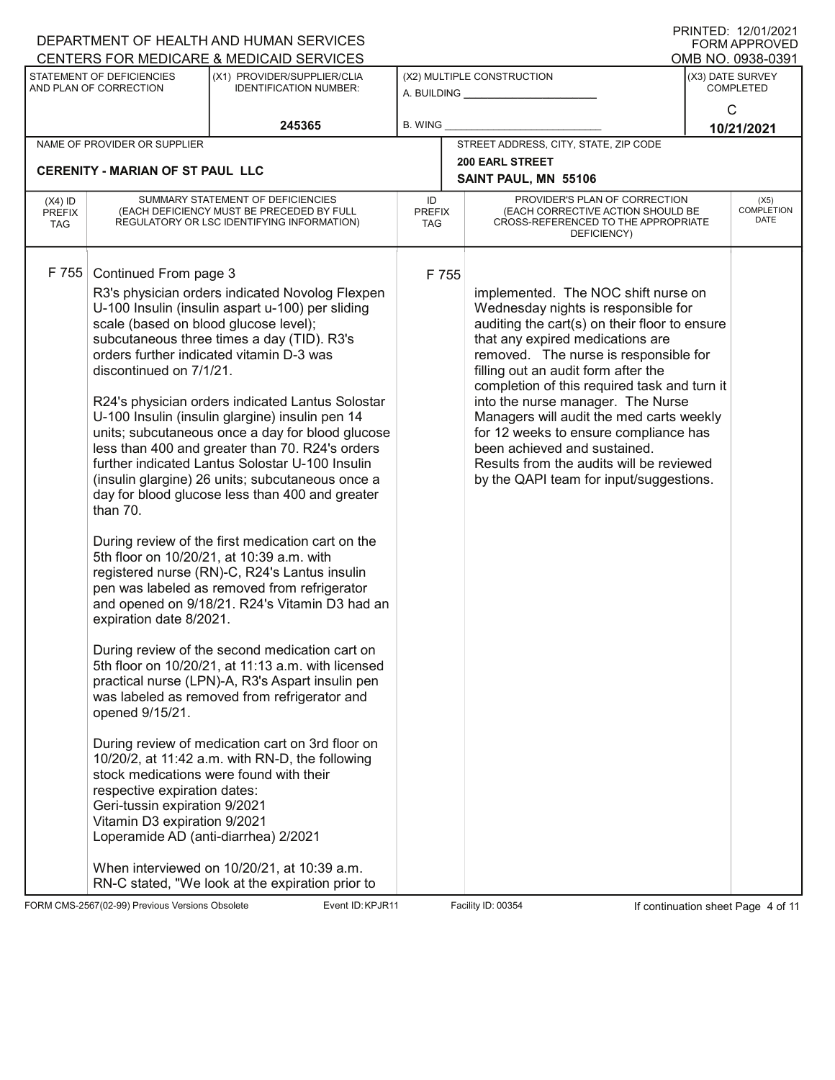|                                          |                                                                                                                                                                                                                                                                                              | DEPARTMENT OF HEALTH AND HUMAN SERVICES                                                                                                                                                                                                                                                                                                                                                                                                                                                                                                                                                                                                                                                                                                                                                                                                                                                                                                                                                                                                                                                                                                                                                  |                                   |       |                                                                                                                                                                                                                                                                                                                                                                                                                                                                                                                                                  | I ININTED. IZ/VI/ZVZ I<br><b>FORM APPROVED</b> |
|------------------------------------------|----------------------------------------------------------------------------------------------------------------------------------------------------------------------------------------------------------------------------------------------------------------------------------------------|------------------------------------------------------------------------------------------------------------------------------------------------------------------------------------------------------------------------------------------------------------------------------------------------------------------------------------------------------------------------------------------------------------------------------------------------------------------------------------------------------------------------------------------------------------------------------------------------------------------------------------------------------------------------------------------------------------------------------------------------------------------------------------------------------------------------------------------------------------------------------------------------------------------------------------------------------------------------------------------------------------------------------------------------------------------------------------------------------------------------------------------------------------------------------------------|-----------------------------------|-------|--------------------------------------------------------------------------------------------------------------------------------------------------------------------------------------------------------------------------------------------------------------------------------------------------------------------------------------------------------------------------------------------------------------------------------------------------------------------------------------------------------------------------------------------------|------------------------------------------------|
|                                          |                                                                                                                                                                                                                                                                                              | CENTERS FOR MEDICARE & MEDICAID SERVICES                                                                                                                                                                                                                                                                                                                                                                                                                                                                                                                                                                                                                                                                                                                                                                                                                                                                                                                                                                                                                                                                                                                                                 |                                   |       |                                                                                                                                                                                                                                                                                                                                                                                                                                                                                                                                                  | OMB NO. 0938-0391                              |
|                                          | STATEMENT OF DEFICIENCIES<br>AND PLAN OF CORRECTION                                                                                                                                                                                                                                          | (X1) PROVIDER/SUPPLIER/CLIA<br><b>IDENTIFICATION NUMBER:</b>                                                                                                                                                                                                                                                                                                                                                                                                                                                                                                                                                                                                                                                                                                                                                                                                                                                                                                                                                                                                                                                                                                                             |                                   |       | (X2) MULTIPLE CONSTRUCTION<br>A. BUILDING                                                                                                                                                                                                                                                                                                                                                                                                                                                                                                        | (X3) DATE SURVEY<br><b>COMPLETED</b>           |
|                                          |                                                                                                                                                                                                                                                                                              | 245365                                                                                                                                                                                                                                                                                                                                                                                                                                                                                                                                                                                                                                                                                                                                                                                                                                                                                                                                                                                                                                                                                                                                                                                   | B. WING                           |       |                                                                                                                                                                                                                                                                                                                                                                                                                                                                                                                                                  | C<br>10/21/2021                                |
|                                          | NAME OF PROVIDER OR SUPPLIER                                                                                                                                                                                                                                                                 |                                                                                                                                                                                                                                                                                                                                                                                                                                                                                                                                                                                                                                                                                                                                                                                                                                                                                                                                                                                                                                                                                                                                                                                          |                                   |       | STREET ADDRESS, CITY, STATE, ZIP CODE                                                                                                                                                                                                                                                                                                                                                                                                                                                                                                            |                                                |
|                                          |                                                                                                                                                                                                                                                                                              |                                                                                                                                                                                                                                                                                                                                                                                                                                                                                                                                                                                                                                                                                                                                                                                                                                                                                                                                                                                                                                                                                                                                                                                          |                                   |       | <b>200 EARL STREET</b>                                                                                                                                                                                                                                                                                                                                                                                                                                                                                                                           |                                                |
|                                          | <b>CERENITY - MARIAN OF ST PAUL LLC</b>                                                                                                                                                                                                                                                      |                                                                                                                                                                                                                                                                                                                                                                                                                                                                                                                                                                                                                                                                                                                                                                                                                                                                                                                                                                                                                                                                                                                                                                                          |                                   |       | SAINT PAUL, MN 55106                                                                                                                                                                                                                                                                                                                                                                                                                                                                                                                             |                                                |
| $(X4)$ ID<br><b>PREFIX</b><br><b>TAG</b> |                                                                                                                                                                                                                                                                                              | SUMMARY STATEMENT OF DEFICIENCIES<br>(EACH DEFICIENCY MUST BE PRECEDED BY FULL<br>REGULATORY OR LSC IDENTIFYING INFORMATION)                                                                                                                                                                                                                                                                                                                                                                                                                                                                                                                                                                                                                                                                                                                                                                                                                                                                                                                                                                                                                                                             | ID<br><b>PREFIX</b><br><b>TAG</b> |       | PROVIDER'S PLAN OF CORRECTION<br>(EACH CORRECTIVE ACTION SHOULD BE<br>CROSS-REFERENCED TO THE APPROPRIATE<br>DEFICIENCY)                                                                                                                                                                                                                                                                                                                                                                                                                         | (X5)<br><b>COMPLETION</b><br>DATE              |
| F 755                                    | Continued From page 3<br>scale (based on blood glucose level);<br>discontinued on 7/1/21.<br>than 70.<br>expiration date 8/2021.<br>opened 9/15/21.<br>respective expiration dates:<br>Geri-tussin expiration 9/2021<br>Vitamin D3 expiration 9/2021<br>Loperamide AD (anti-diarrhea) 2/2021 | R3's physician orders indicated Novolog Flexpen<br>U-100 Insulin (insulin aspart u-100) per sliding<br>subcutaneous three times a day (TID). R3's<br>orders further indicated vitamin D-3 was<br>R24's physician orders indicated Lantus Solostar<br>U-100 Insulin (insulin glargine) insulin pen 14<br>units; subcutaneous once a day for blood glucose<br>less than 400 and greater than 70. R24's orders<br>further indicated Lantus Solostar U-100 Insulin<br>(insulin glargine) 26 units; subcutaneous once a<br>day for blood glucose less than 400 and greater<br>During review of the first medication cart on the<br>5th floor on 10/20/21, at 10:39 a.m. with<br>registered nurse (RN)-C, R24's Lantus insulin<br>pen was labeled as removed from refrigerator<br>and opened on 9/18/21. R24's Vitamin D3 had an<br>During review of the second medication cart on<br>5th floor on 10/20/21, at 11:13 a.m. with licensed<br>practical nurse (LPN)-A, R3's Aspart insulin pen<br>was labeled as removed from refrigerator and<br>During review of medication cart on 3rd floor on<br>10/20/2, at 11:42 a.m. with RN-D, the following<br>stock medications were found with their |                                   | F 755 | implemented. The NOC shift nurse on<br>Wednesday nights is responsible for<br>auditing the cart(s) on their floor to ensure<br>that any expired medications are<br>removed. The nurse is responsible for<br>filling out an audit form after the<br>completion of this required task and turn it<br>into the nurse manager. The Nurse<br>Managers will audit the med carts weekly<br>for 12 weeks to ensure compliance has<br>been achieved and sustained.<br>Results from the audits will be reviewed<br>by the QAPI team for input/suggestions. |                                                |
|                                          |                                                                                                                                                                                                                                                                                              | When interviewed on 10/20/21, at 10:39 a.m.<br>RN-C stated, "We look at the expiration prior to                                                                                                                                                                                                                                                                                                                                                                                                                                                                                                                                                                                                                                                                                                                                                                                                                                                                                                                                                                                                                                                                                          |                                   |       |                                                                                                                                                                                                                                                                                                                                                                                                                                                                                                                                                  |                                                |

FORM CMS-2567(02-99) Previous Versions Obsolete Event ID: KPJR11 Facility ID: 00354 If continuation sheet Page 4 of 11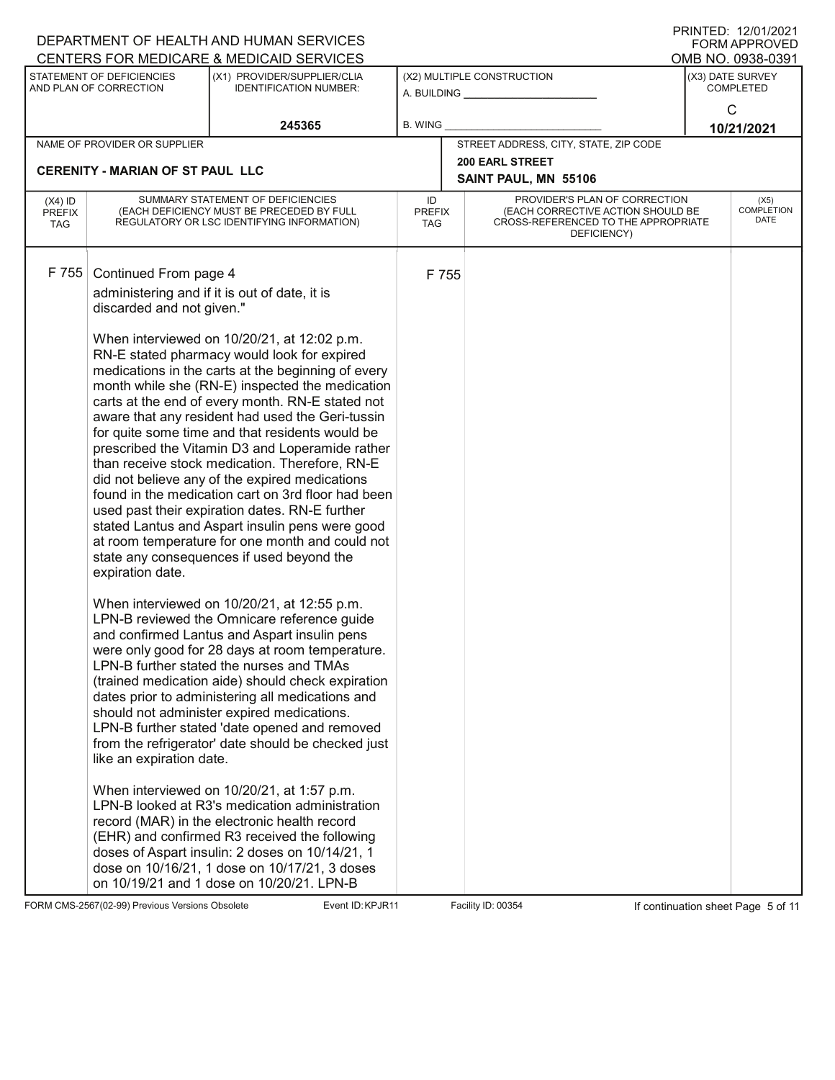|                             |                                         | DEPARTMENT OF HEALTH AND HUMAN SERVICES<br>CENTERS FOR MEDICARE & MEDICAID SERVICES                   |                             |                                                                                         |                                       | PRINTED: 12/01/2021<br>FORM APPROVED |
|-----------------------------|-----------------------------------------|-------------------------------------------------------------------------------------------------------|-----------------------------|-----------------------------------------------------------------------------------------|---------------------------------------|--------------------------------------|
|                             | STATEMENT OF DEFICIENCIES               | (X1) PROVIDER/SUPPLIER/CLIA                                                                           |                             | (X2) MULTIPLE CONSTRUCTION                                                              | OMB NO. 0938-0391<br>(X3) DATE SURVEY |                                      |
|                             | AND PLAN OF CORRECTION                  | <b>IDENTIFICATION NUMBER:</b>                                                                         |                             |                                                                                         |                                       | <b>COMPLETED</b>                     |
|                             |                                         | 245365                                                                                                | <b>B. WING</b>              |                                                                                         |                                       | $\mathsf{C}$<br>10/21/2021           |
|                             | NAME OF PROVIDER OR SUPPLIER            |                                                                                                       |                             | STREET ADDRESS, CITY, STATE, ZIP CODE                                                   |                                       |                                      |
|                             | <b>CERENITY - MARIAN OF ST PAUL LLC</b> |                                                                                                       |                             | <b>200 EARL STREET</b><br>SAINT PAUL, MN 55106                                          |                                       |                                      |
| $(X4)$ ID                   |                                         | SUMMARY STATEMENT OF DEFICIENCIES                                                                     | ID                          | PROVIDER'S PLAN OF CORRECTION                                                           |                                       | (X5)                                 |
| <b>PREFIX</b><br><b>TAG</b> |                                         | (EACH DEFICIENCY MUST BE PRECEDED BY FULL<br>REGULATORY OR LSC IDENTIFYING INFORMATION)               | <b>PREFIX</b><br><b>TAG</b> | (EACH CORRECTIVE ACTION SHOULD BE<br>CROSS-REFERENCED TO THE APPROPRIATE<br>DEFICIENCY) |                                       | <b>COMPLETION</b><br>DATE            |
| F 755                       | Continued From page 4                   |                                                                                                       | F 755                       |                                                                                         |                                       |                                      |
|                             |                                         | administering and if it is out of date, it is                                                         |                             |                                                                                         |                                       |                                      |
|                             | discarded and not given."               |                                                                                                       |                             |                                                                                         |                                       |                                      |
|                             |                                         | When interviewed on 10/20/21, at 12:02 p.m.                                                           |                             |                                                                                         |                                       |                                      |
|                             |                                         | RN-E stated pharmacy would look for expired<br>medications in the carts at the beginning of every     |                             |                                                                                         |                                       |                                      |
|                             |                                         | month while she (RN-E) inspected the medication                                                       |                             |                                                                                         |                                       |                                      |
|                             |                                         | carts at the end of every month. RN-E stated not<br>aware that any resident had used the Geri-tussin  |                             |                                                                                         |                                       |                                      |
|                             |                                         | for quite some time and that residents would be                                                       |                             |                                                                                         |                                       |                                      |
|                             |                                         | prescribed the Vitamin D3 and Loperamide rather<br>than receive stock medication. Therefore, RN-E     |                             |                                                                                         |                                       |                                      |
|                             |                                         | did not believe any of the expired medications                                                        |                             |                                                                                         |                                       |                                      |
|                             |                                         | found in the medication cart on 3rd floor had been<br>used past their expiration dates. RN-E further  |                             |                                                                                         |                                       |                                      |
|                             |                                         | stated Lantus and Aspart insulin pens were good                                                       |                             |                                                                                         |                                       |                                      |
|                             |                                         | at room temperature for one month and could not<br>state any consequences if used beyond the          |                             |                                                                                         |                                       |                                      |
|                             | expiration date.                        |                                                                                                       |                             |                                                                                         |                                       |                                      |
|                             |                                         | When interviewed on 10/20/21, at 12:55 p.m.                                                           |                             |                                                                                         |                                       |                                      |
|                             |                                         | LPN-B reviewed the Omnicare reference guide<br>and confirmed Lantus and Aspart insulin pens           |                             |                                                                                         |                                       |                                      |
|                             |                                         | were only good for 28 days at room temperature.                                                       |                             |                                                                                         |                                       |                                      |
|                             |                                         | LPN-B further stated the nurses and TMAs                                                              |                             |                                                                                         |                                       |                                      |
|                             |                                         | (trained medication aide) should check expiration<br>dates prior to administering all medications and |                             |                                                                                         |                                       |                                      |
|                             |                                         | should not administer expired medications.                                                            |                             |                                                                                         |                                       |                                      |
|                             |                                         | LPN-B further stated 'date opened and removed<br>from the refrigerator' date should be checked just   |                             |                                                                                         |                                       |                                      |
|                             | like an expiration date.                |                                                                                                       |                             |                                                                                         |                                       |                                      |
|                             |                                         | When interviewed on 10/20/21, at 1:57 p.m.                                                            |                             |                                                                                         |                                       |                                      |
|                             |                                         | LPN-B looked at R3's medication administration<br>record (MAR) in the electronic health record        |                             |                                                                                         |                                       |                                      |
|                             |                                         | (EHR) and confirmed R3 received the following                                                         |                             |                                                                                         |                                       |                                      |
|                             |                                         | doses of Aspart insulin: 2 doses on 10/14/21, 1                                                       |                             |                                                                                         |                                       |                                      |
|                             |                                         | dose on 10/16/21, 1 dose on 10/17/21, 3 doses<br>on 10/19/21 and 1 dose on 10/20/21. LPN-B            |                             |                                                                                         |                                       |                                      |

FORM CMS-2567(02-99) Previous Versions Obsolete **KRY-R11** Event ID: KPJR11 Facility ID: 00354 If continuation sheet Page 5 of 11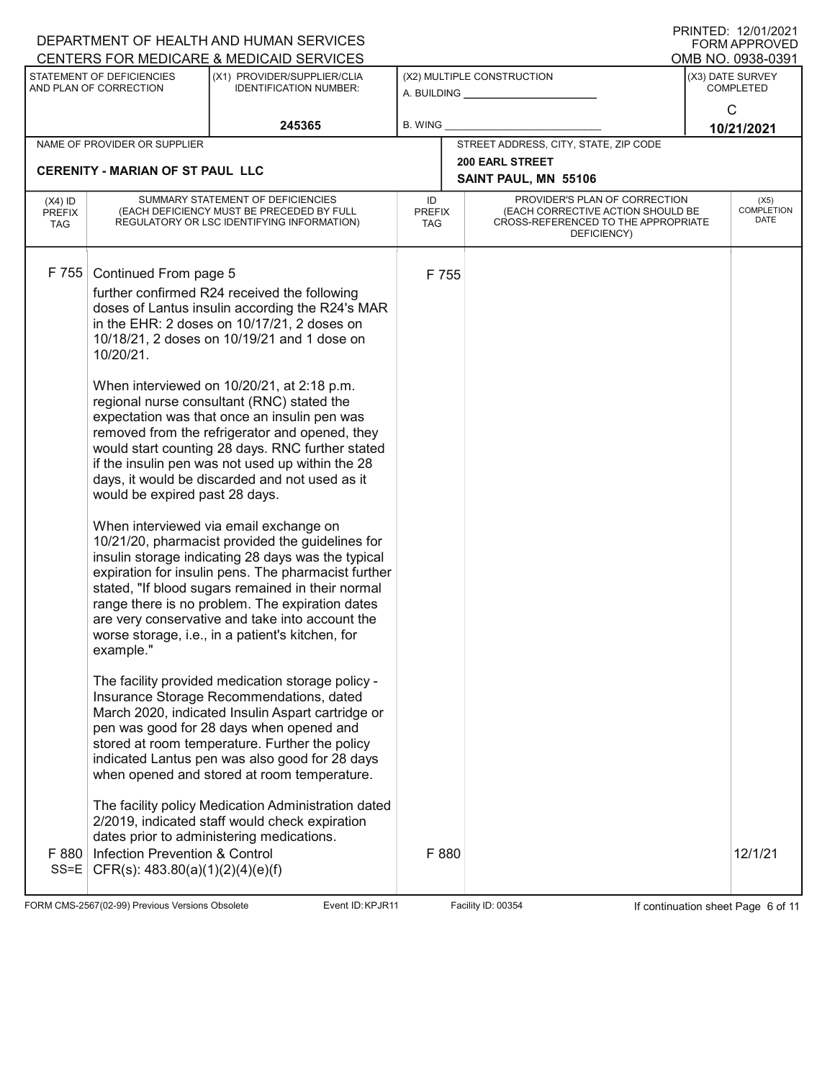|                            |                                            | DEPARTMENT OF HEALTH AND HUMAN SERVICES                                                              |                     |                                                                    |                  | I ININILLY. IZIVIIZVZI<br><b>FORM APPROVED</b> |
|----------------------------|--------------------------------------------|------------------------------------------------------------------------------------------------------|---------------------|--------------------------------------------------------------------|------------------|------------------------------------------------|
|                            | STATEMENT OF DEFICIENCIES                  | CENTERS FOR MEDICARE & MEDICAID SERVICES<br>(X1) PROVIDER/SUPPLIER/CLIA                              |                     | (X2) MULTIPLE CONSTRUCTION                                         |                  | OMB NO. 0938-0391<br>(X3) DATE SURVEY          |
|                            | AND PLAN OF CORRECTION                     | <b>IDENTIFICATION NUMBER:</b>                                                                        |                     | A. BUILDING                                                        | <b>COMPLETED</b> |                                                |
|                            |                                            |                                                                                                      |                     |                                                                    |                  | C                                              |
|                            |                                            | 245365                                                                                               | <b>B. WING</b>      |                                                                    |                  | 10/21/2021                                     |
|                            | NAME OF PROVIDER OR SUPPLIER               |                                                                                                      |                     | STREET ADDRESS, CITY, STATE, ZIP CODE                              |                  |                                                |
|                            | <b>CERENITY - MARIAN OF ST PAUL LLC</b>    |                                                                                                      |                     | <b>200 EARL STREET</b>                                             |                  |                                                |
|                            |                                            |                                                                                                      |                     | SAINT PAUL, MN 55106                                               |                  |                                                |
| $(X4)$ ID<br><b>PREFIX</b> |                                            | SUMMARY STATEMENT OF DEFICIENCIES<br>(EACH DEFICIENCY MUST BE PRECEDED BY FULL                       | ID<br><b>PREFIX</b> | PROVIDER'S PLAN OF CORRECTION<br>(EACH CORRECTIVE ACTION SHOULD BE |                  | (X5)<br><b>COMPLETION</b>                      |
| <b>TAG</b>                 | REGULATORY OR LSC IDENTIFYING INFORMATION) |                                                                                                      | TAG                 | CROSS-REFERENCED TO THE APPROPRIATE<br>DEFICIENCY)                 |                  | DATE                                           |
|                            |                                            |                                                                                                      |                     |                                                                    |                  |                                                |
| F 755                      | Continued From page 5                      |                                                                                                      | F 755               |                                                                    |                  |                                                |
|                            |                                            | further confirmed R24 received the following                                                         |                     |                                                                    |                  |                                                |
|                            |                                            | doses of Lantus insulin according the R24's MAR                                                      |                     |                                                                    |                  |                                                |
|                            |                                            | in the EHR: 2 doses on 10/17/21, 2 doses on                                                          |                     |                                                                    |                  |                                                |
|                            |                                            | 10/18/21, 2 doses on 10/19/21 and 1 dose on                                                          |                     |                                                                    |                  |                                                |
|                            | 10/20/21.                                  |                                                                                                      |                     |                                                                    |                  |                                                |
|                            |                                            | When interviewed on 10/20/21, at 2:18 p.m.                                                           |                     |                                                                    |                  |                                                |
|                            |                                            | regional nurse consultant (RNC) stated the                                                           |                     |                                                                    |                  |                                                |
|                            |                                            | expectation was that once an insulin pen was                                                         |                     |                                                                    |                  |                                                |
|                            |                                            | removed from the refrigerator and opened, they                                                       |                     |                                                                    |                  |                                                |
|                            |                                            | would start counting 28 days. RNC further stated<br>if the insulin pen was not used up within the 28 |                     |                                                                    |                  |                                                |
|                            |                                            | days, it would be discarded and not used as it                                                       |                     |                                                                    |                  |                                                |
|                            | would be expired past 28 days.             |                                                                                                      |                     |                                                                    |                  |                                                |
|                            |                                            |                                                                                                      |                     |                                                                    |                  |                                                |
|                            |                                            | When interviewed via email exchange on<br>10/21/20, pharmacist provided the guidelines for           |                     |                                                                    |                  |                                                |
|                            |                                            | insulin storage indicating 28 days was the typical                                                   |                     |                                                                    |                  |                                                |
|                            |                                            | expiration for insulin pens. The pharmacist further                                                  |                     |                                                                    |                  |                                                |
|                            |                                            | stated, "If blood sugars remained in their normal                                                    |                     |                                                                    |                  |                                                |
|                            |                                            | range there is no problem. The expiration dates                                                      |                     |                                                                    |                  |                                                |
|                            |                                            | are very conservative and take into account the<br>worse storage, i.e., in a patient's kitchen, for  |                     |                                                                    |                  |                                                |
|                            | example."                                  |                                                                                                      |                     |                                                                    |                  |                                                |
|                            |                                            |                                                                                                      |                     |                                                                    |                  |                                                |
|                            |                                            | The facility provided medication storage policy -                                                    |                     |                                                                    |                  |                                                |
|                            |                                            | Insurance Storage Recommendations, dated<br>March 2020, indicated Insulin Aspart cartridge or        |                     |                                                                    |                  |                                                |
|                            |                                            | pen was good for 28 days when opened and                                                             |                     |                                                                    |                  |                                                |
|                            |                                            | stored at room temperature. Further the policy                                                       |                     |                                                                    |                  |                                                |
|                            |                                            | indicated Lantus pen was also good for 28 days                                                       |                     |                                                                    |                  |                                                |
|                            |                                            | when opened and stored at room temperature.                                                          |                     |                                                                    |                  |                                                |
|                            |                                            | The facility policy Medication Administration dated                                                  |                     |                                                                    |                  |                                                |
|                            |                                            | 2/2019, indicated staff would check expiration                                                       |                     |                                                                    |                  |                                                |
|                            |                                            | dates prior to administering medications.                                                            |                     |                                                                    |                  |                                                |
| F 880                      | Infection Prevention & Control             |                                                                                                      | F 880               |                                                                    |                  | 12/1/21                                        |
| $SS = E$                   | CFR(s): $483.80(a)(1)(2)(4)(e)(f)$         |                                                                                                      |                     |                                                                    |                  |                                                |
|                            |                                            |                                                                                                      |                     |                                                                    |                  |                                                |

FORM CMS-2567(02-99) Previous Versions Obsolete **KRY-STALL EVENT EVENT ID: KPJR11** Facility ID: 00354 If continuation sheet Page 6 of 11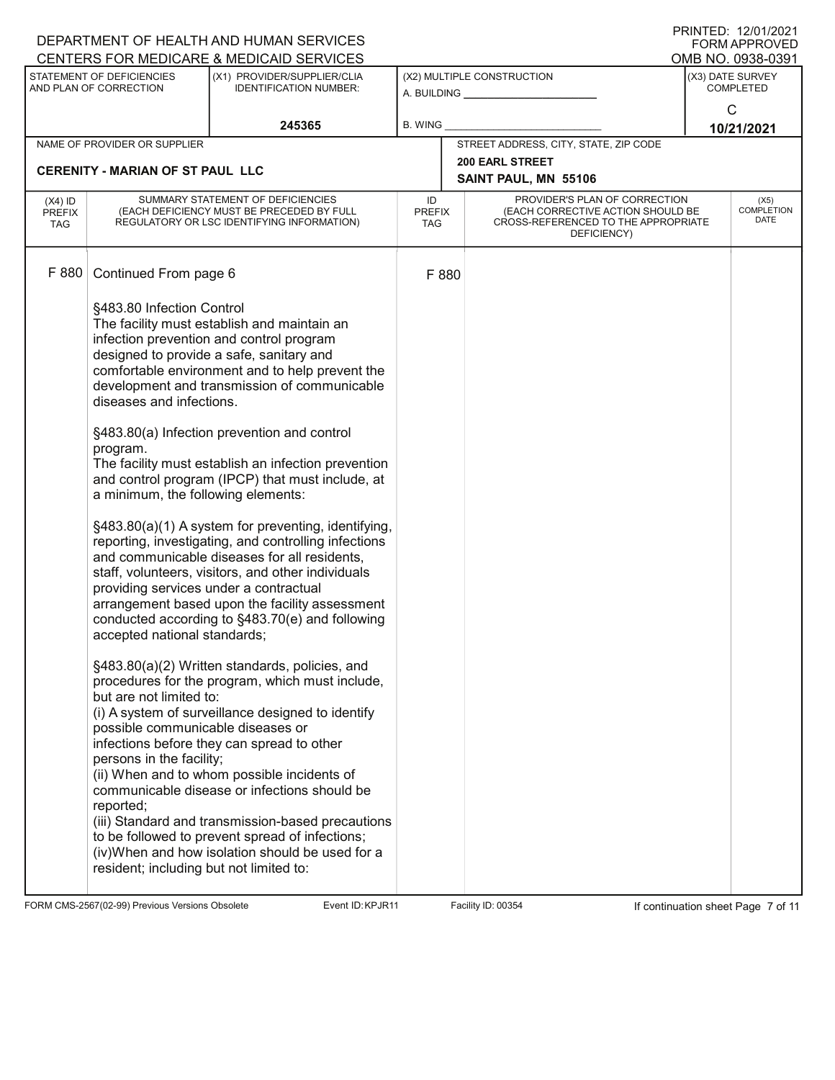|                                   |                                                                                                                                                                                                                                                                                            | DEPARTMENT OF HEALTH AND HUMAN SERVICES<br>CENTERS FOR MEDICARE & MEDICAID SERVICES                                                                                                                                                                                                                                                                                                                                                                                                                                                                                                                                                                                                                                                                                                                                                                                                                                                                                                                                                                                                                                                                                                          |                            |  |                                                                                                                          |                                      | PRINTED: 12/01/2021<br>FORM APPROVED<br>OMB NO. 0938-0391 |
|-----------------------------------|--------------------------------------------------------------------------------------------------------------------------------------------------------------------------------------------------------------------------------------------------------------------------------------------|----------------------------------------------------------------------------------------------------------------------------------------------------------------------------------------------------------------------------------------------------------------------------------------------------------------------------------------------------------------------------------------------------------------------------------------------------------------------------------------------------------------------------------------------------------------------------------------------------------------------------------------------------------------------------------------------------------------------------------------------------------------------------------------------------------------------------------------------------------------------------------------------------------------------------------------------------------------------------------------------------------------------------------------------------------------------------------------------------------------------------------------------------------------------------------------------|----------------------------|--|--------------------------------------------------------------------------------------------------------------------------|--------------------------------------|-----------------------------------------------------------|
|                                   | STATEMENT OF DEFICIENCIES<br>AND PLAN OF CORRECTION                                                                                                                                                                                                                                        | (X1) PROVIDER/SUPPLIER/CLIA<br><b>IDENTIFICATION NUMBER:</b>                                                                                                                                                                                                                                                                                                                                                                                                                                                                                                                                                                                                                                                                                                                                                                                                                                                                                                                                                                                                                                                                                                                                 | (X2) MULTIPLE CONSTRUCTION |  |                                                                                                                          | (X3) DATE SURVEY<br><b>COMPLETED</b> |                                                           |
|                                   |                                                                                                                                                                                                                                                                                            |                                                                                                                                                                                                                                                                                                                                                                                                                                                                                                                                                                                                                                                                                                                                                                                                                                                                                                                                                                                                                                                                                                                                                                                              |                            |  |                                                                                                                          |                                      | $\mathsf{C}$                                              |
|                                   |                                                                                                                                                                                                                                                                                            | 245365                                                                                                                                                                                                                                                                                                                                                                                                                                                                                                                                                                                                                                                                                                                                                                                                                                                                                                                                                                                                                                                                                                                                                                                       | <b>B. WING</b>             |  |                                                                                                                          |                                      | 10/21/2021                                                |
|                                   | NAME OF PROVIDER OR SUPPLIER                                                                                                                                                                                                                                                               |                                                                                                                                                                                                                                                                                                                                                                                                                                                                                                                                                                                                                                                                                                                                                                                                                                                                                                                                                                                                                                                                                                                                                                                              |                            |  | STREET ADDRESS, CITY, STATE, ZIP CODE                                                                                    |                                      |                                                           |
|                                   | <b>CERENITY - MARIAN OF ST PAUL LLC</b>                                                                                                                                                                                                                                                    |                                                                                                                                                                                                                                                                                                                                                                                                                                                                                                                                                                                                                                                                                                                                                                                                                                                                                                                                                                                                                                                                                                                                                                                              |                            |  | <b>200 EARL STREET</b><br>SAINT PAUL, MN 55106                                                                           |                                      |                                                           |
| $(X4)$ ID<br><b>PREFIX</b><br>TAG | SUMMARY STATEMENT OF DEFICIENCIES<br>(EACH DEFICIENCY MUST BE PRECEDED BY FULL<br>REGULATORY OR LSC IDENTIFYING INFORMATION)                                                                                                                                                               |                                                                                                                                                                                                                                                                                                                                                                                                                                                                                                                                                                                                                                                                                                                                                                                                                                                                                                                                                                                                                                                                                                                                                                                              | ID<br>PREFIX<br>TAG        |  | PROVIDER'S PLAN OF CORRECTION<br>(EACH CORRECTIVE ACTION SHOULD BE<br>CROSS-REFERENCED TO THE APPROPRIATE<br>DEFICIENCY) |                                      | (X5)<br><b>COMPLETION</b><br>DATE                         |
| F 880                             | Continued From page 6                                                                                                                                                                                                                                                                      |                                                                                                                                                                                                                                                                                                                                                                                                                                                                                                                                                                                                                                                                                                                                                                                                                                                                                                                                                                                                                                                                                                                                                                                              | F 880                      |  |                                                                                                                          |                                      |                                                           |
|                                   | §483.80 Infection Control<br>diseases and infections.<br>program.<br>a minimum, the following elements:<br>providing services under a contractual<br>accepted national standards;<br>but are not limited to:<br>possible communicable diseases or<br>persons in the facility;<br>reported; | The facility must establish and maintain an<br>infection prevention and control program<br>designed to provide a safe, sanitary and<br>comfortable environment and to help prevent the<br>development and transmission of communicable<br>§483.80(a) Infection prevention and control<br>The facility must establish an infection prevention<br>and control program (IPCP) that must include, at<br>§483.80(a)(1) A system for preventing, identifying,<br>reporting, investigating, and controlling infections<br>and communicable diseases for all residents,<br>staff, volunteers, visitors, and other individuals<br>arrangement based upon the facility assessment<br>conducted according to §483.70(e) and following<br>§483.80(a)(2) Written standards, policies, and<br>procedures for the program, which must include,<br>(i) A system of surveillance designed to identify<br>infections before they can spread to other<br>(ii) When and to whom possible incidents of<br>communicable disease or infections should be<br>(iii) Standard and transmission-based precautions<br>to be followed to prevent spread of infections;<br>(iv)When and how isolation should be used for a |                            |  |                                                                                                                          |                                      |                                                           |

FORM CMS-2567(02-99) Previous Versions Obsolete Event ID: KPJR11 Facility ID: 00354 If continuation sheet Page 7 of 11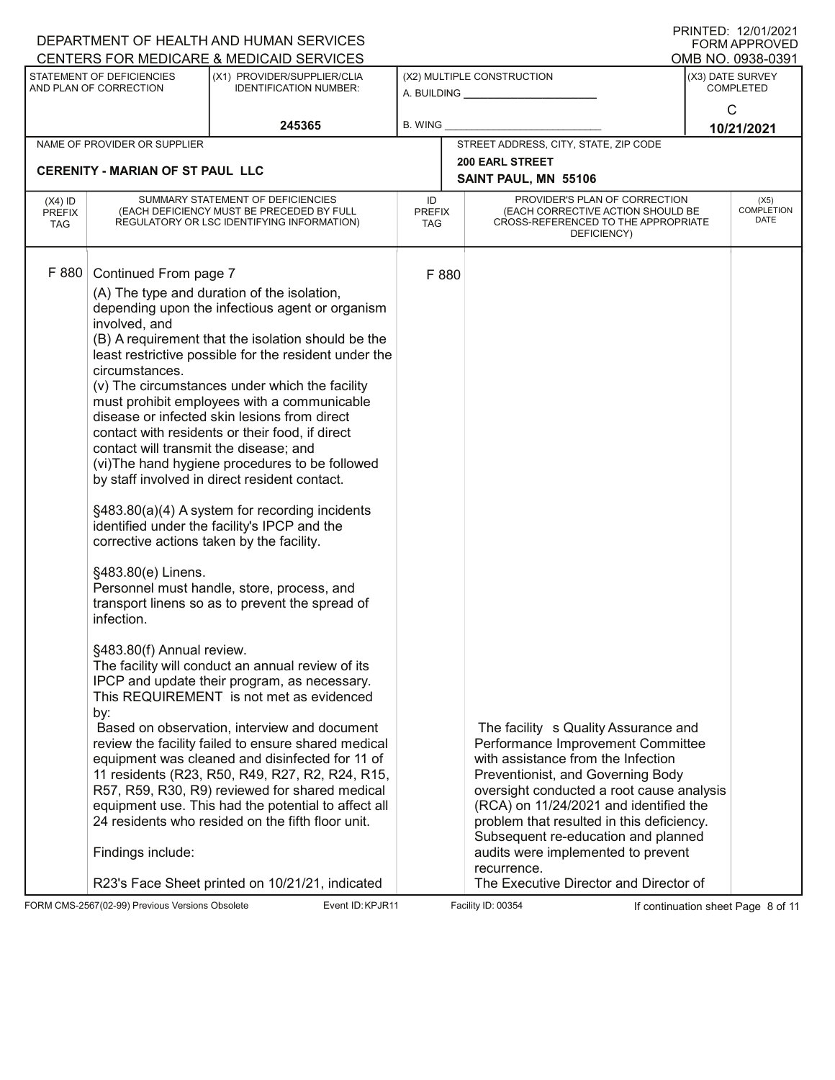|                                          |                                                                                                                                                                                                                                              | DEPARTMENT OF HEALTH AND HUMAN SERVICES<br>CENTERS FOR MEDICARE & MEDICAID SERVICES                                                                                                                                                                                                                                                                                                                                                                                                                                                                                                                                                                                                                                                                                                                                                                                                                                                                                                                                                                                                                                                                                                                                                                                                                     |                            |                                                                                                                                                                                                                                                                                                                                                                                                                                |   | FRIIVIEU. IZ/VI/ZVZI<br><b>FORM APPROVED</b><br>OMB NO. 0938-0391 |
|------------------------------------------|----------------------------------------------------------------------------------------------------------------------------------------------------------------------------------------------------------------------------------------------|---------------------------------------------------------------------------------------------------------------------------------------------------------------------------------------------------------------------------------------------------------------------------------------------------------------------------------------------------------------------------------------------------------------------------------------------------------------------------------------------------------------------------------------------------------------------------------------------------------------------------------------------------------------------------------------------------------------------------------------------------------------------------------------------------------------------------------------------------------------------------------------------------------------------------------------------------------------------------------------------------------------------------------------------------------------------------------------------------------------------------------------------------------------------------------------------------------------------------------------------------------------------------------------------------------|----------------------------|--------------------------------------------------------------------------------------------------------------------------------------------------------------------------------------------------------------------------------------------------------------------------------------------------------------------------------------------------------------------------------------------------------------------------------|---|-------------------------------------------------------------------|
|                                          | STATEMENT OF DEFICIENCIES<br>AND PLAN OF CORRECTION                                                                                                                                                                                          | (X1) PROVIDER/SUPPLIER/CLIA<br><b>IDENTIFICATION NUMBER:</b>                                                                                                                                                                                                                                                                                                                                                                                                                                                                                                                                                                                                                                                                                                                                                                                                                                                                                                                                                                                                                                                                                                                                                                                                                                            | A. BUILDING                | (X2) MULTIPLE CONSTRUCTION                                                                                                                                                                                                                                                                                                                                                                                                     |   | (X3) DATE SURVEY<br><b>COMPLETED</b>                              |
|                                          |                                                                                                                                                                                                                                              | 245365                                                                                                                                                                                                                                                                                                                                                                                                                                                                                                                                                                                                                                                                                                                                                                                                                                                                                                                                                                                                                                                                                                                                                                                                                                                                                                  | <b>B. WING</b>             |                                                                                                                                                                                                                                                                                                                                                                                                                                | C | 10/21/2021                                                        |
|                                          | NAME OF PROVIDER OR SUPPLIER                                                                                                                                                                                                                 |                                                                                                                                                                                                                                                                                                                                                                                                                                                                                                                                                                                                                                                                                                                                                                                                                                                                                                                                                                                                                                                                                                                                                                                                                                                                                                         |                            | STREET ADDRESS, CITY, STATE, ZIP CODE                                                                                                                                                                                                                                                                                                                                                                                          |   |                                                                   |
|                                          | <b>CERENITY - MARIAN OF ST PAUL LLC</b>                                                                                                                                                                                                      |                                                                                                                                                                                                                                                                                                                                                                                                                                                                                                                                                                                                                                                                                                                                                                                                                                                                                                                                                                                                                                                                                                                                                                                                                                                                                                         |                            | <b>200 EARL STREET</b>                                                                                                                                                                                                                                                                                                                                                                                                         |   |                                                                   |
|                                          |                                                                                                                                                                                                                                              |                                                                                                                                                                                                                                                                                                                                                                                                                                                                                                                                                                                                                                                                                                                                                                                                                                                                                                                                                                                                                                                                                                                                                                                                                                                                                                         |                            | SAINT PAUL, MN 55106                                                                                                                                                                                                                                                                                                                                                                                                           |   |                                                                   |
| $(X4)$ ID<br><b>PREFIX</b><br><b>TAG</b> |                                                                                                                                                                                                                                              | SUMMARY STATEMENT OF DEFICIENCIES<br>(EACH DEFICIENCY MUST BE PRECEDED BY FULL<br>REGULATORY OR LSC IDENTIFYING INFORMATION)                                                                                                                                                                                                                                                                                                                                                                                                                                                                                                                                                                                                                                                                                                                                                                                                                                                                                                                                                                                                                                                                                                                                                                            | ID<br><b>PREFIX</b><br>TAG | PROVIDER'S PLAN OF CORRECTION<br>(EACH CORRECTIVE ACTION SHOULD BE<br>CROSS-REFERENCED TO THE APPROPRIATE<br>DEFICIENCY)                                                                                                                                                                                                                                                                                                       |   | (X5)<br><b>COMPLETION</b><br>DATE                                 |
| F 880                                    | Continued From page 7<br>involved, and<br>circumstances.<br>contact will transmit the disease; and<br>corrective actions taken by the facility.<br>§483.80(e) Linens.<br>infection.<br>§483.80(f) Annual review.<br>by:<br>Findings include: | (A) The type and duration of the isolation,<br>depending upon the infectious agent or organism<br>(B) A requirement that the isolation should be the<br>least restrictive possible for the resident under the<br>(v) The circumstances under which the facility<br>must prohibit employees with a communicable<br>disease or infected skin lesions from direct<br>contact with residents or their food, if direct<br>(vi) The hand hygiene procedures to be followed<br>by staff involved in direct resident contact.<br>§483.80(a)(4) A system for recording incidents<br>identified under the facility's IPCP and the<br>Personnel must handle, store, process, and<br>transport linens so as to prevent the spread of<br>The facility will conduct an annual review of its<br>IPCP and update their program, as necessary.<br>This REQUIREMENT is not met as evidenced<br>Based on observation, interview and document<br>review the facility failed to ensure shared medical<br>equipment was cleaned and disinfected for 11 of<br>11 residents (R23, R50, R49, R27, R2, R24, R15,<br>R57, R59, R30, R9) reviewed for shared medical<br>equipment use. This had the potential to affect all<br>24 residents who resided on the fifth floor unit.<br>R23's Face Sheet printed on 10/21/21, indicated | F 880                      | The facility s Quality Assurance and<br>Performance Improvement Committee<br>with assistance from the Infection<br>Preventionist, and Governing Body<br>oversight conducted a root cause analysis<br>(RCA) on 11/24/2021 and identified the<br>problem that resulted in this deficiency.<br>Subsequent re-education and planned<br>audits were implemented to prevent<br>recurrence.<br>The Executive Director and Director of |   |                                                                   |

FORM CMS-2567(02-99) Previous Versions Obsolete Event ID: KPJR11 Facility ID: 00354 If continuation sheet Page 8 of 11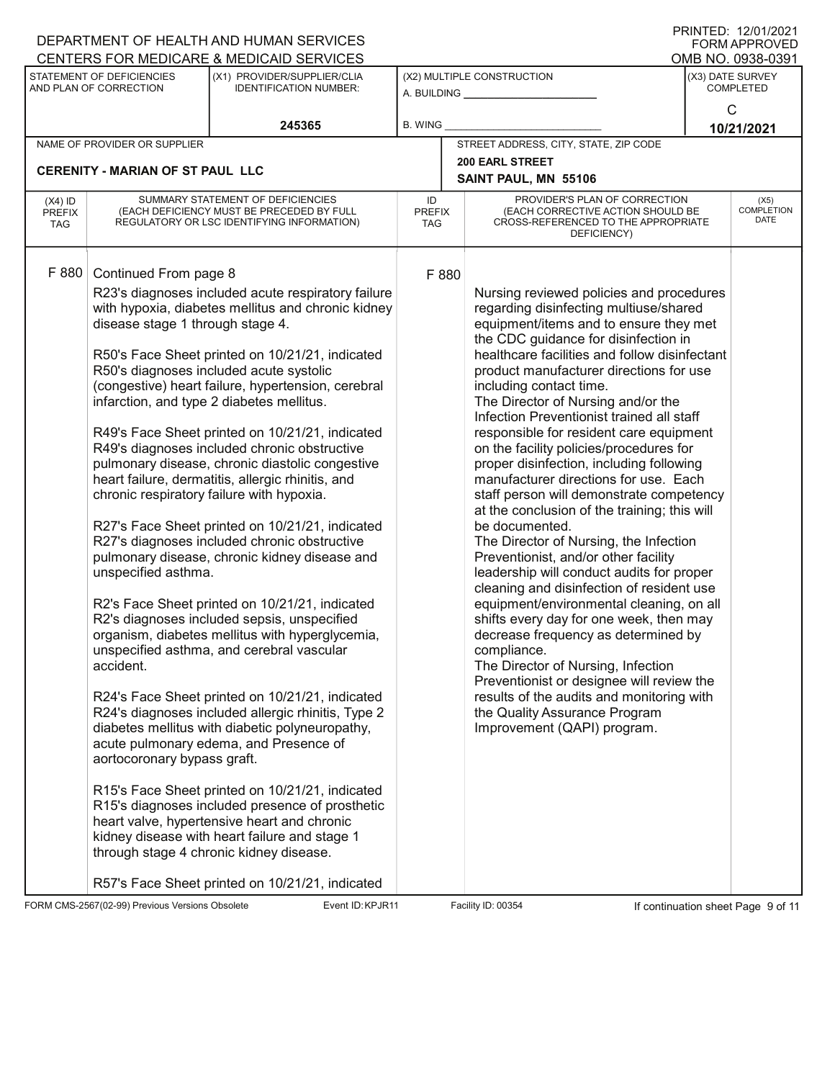|                                          |                                                                                                                              | DEPARTMENT OF HEALTH AND HUMAN SERVICES                                                                                                                                                                                                                                                                                                                                                                                                                                                                                                                                                                                                                                                                                                                                                                                                                                                                                                                                                                                                                                                                                                                                                                                                                                           |                            |  |                                                                                                                                                                                                                                                                                                                                                                                                                                                                                                                                                                                                                                                                                                                                                                                                                                                                                                                                                                                                                                                                                                                                                                                                  |                                      | I ININTED. IZ/VI/ZVZ I<br><b>FORM APPROVED</b> |
|------------------------------------------|------------------------------------------------------------------------------------------------------------------------------|-----------------------------------------------------------------------------------------------------------------------------------------------------------------------------------------------------------------------------------------------------------------------------------------------------------------------------------------------------------------------------------------------------------------------------------------------------------------------------------------------------------------------------------------------------------------------------------------------------------------------------------------------------------------------------------------------------------------------------------------------------------------------------------------------------------------------------------------------------------------------------------------------------------------------------------------------------------------------------------------------------------------------------------------------------------------------------------------------------------------------------------------------------------------------------------------------------------------------------------------------------------------------------------|----------------------------|--|--------------------------------------------------------------------------------------------------------------------------------------------------------------------------------------------------------------------------------------------------------------------------------------------------------------------------------------------------------------------------------------------------------------------------------------------------------------------------------------------------------------------------------------------------------------------------------------------------------------------------------------------------------------------------------------------------------------------------------------------------------------------------------------------------------------------------------------------------------------------------------------------------------------------------------------------------------------------------------------------------------------------------------------------------------------------------------------------------------------------------------------------------------------------------------------------------|--------------------------------------|------------------------------------------------|
|                                          |                                                                                                                              | CENTERS FOR MEDICARE & MEDICAID SERVICES                                                                                                                                                                                                                                                                                                                                                                                                                                                                                                                                                                                                                                                                                                                                                                                                                                                                                                                                                                                                                                                                                                                                                                                                                                          |                            |  |                                                                                                                                                                                                                                                                                                                                                                                                                                                                                                                                                                                                                                                                                                                                                                                                                                                                                                                                                                                                                                                                                                                                                                                                  |                                      | OMB NO. 0938-0391                              |
|                                          | STATEMENT OF DEFICIENCIES<br>AND PLAN OF CORRECTION                                                                          | (X1) PROVIDER/SUPPLIER/CLIA<br><b>IDENTIFICATION NUMBER:</b>                                                                                                                                                                                                                                                                                                                                                                                                                                                                                                                                                                                                                                                                                                                                                                                                                                                                                                                                                                                                                                                                                                                                                                                                                      |                            |  | (X2) MULTIPLE CONSTRUCTION<br>A. BUILDING __________________                                                                                                                                                                                                                                                                                                                                                                                                                                                                                                                                                                                                                                                                                                                                                                                                                                                                                                                                                                                                                                                                                                                                     | (X3) DATE SURVEY<br><b>COMPLETED</b> |                                                |
|                                          |                                                                                                                              | 245365                                                                                                                                                                                                                                                                                                                                                                                                                                                                                                                                                                                                                                                                                                                                                                                                                                                                                                                                                                                                                                                                                                                                                                                                                                                                            | B. WING                    |  |                                                                                                                                                                                                                                                                                                                                                                                                                                                                                                                                                                                                                                                                                                                                                                                                                                                                                                                                                                                                                                                                                                                                                                                                  | $\mathsf{C}$<br>10/21/2021           |                                                |
|                                          | NAME OF PROVIDER OR SUPPLIER                                                                                                 |                                                                                                                                                                                                                                                                                                                                                                                                                                                                                                                                                                                                                                                                                                                                                                                                                                                                                                                                                                                                                                                                                                                                                                                                                                                                                   |                            |  | STREET ADDRESS, CITY, STATE, ZIP CODE                                                                                                                                                                                                                                                                                                                                                                                                                                                                                                                                                                                                                                                                                                                                                                                                                                                                                                                                                                                                                                                                                                                                                            |                                      |                                                |
|                                          | <b>CERENITY - MARIAN OF ST PAUL LLC</b>                                                                                      |                                                                                                                                                                                                                                                                                                                                                                                                                                                                                                                                                                                                                                                                                                                                                                                                                                                                                                                                                                                                                                                                                                                                                                                                                                                                                   |                            |  | <b>200 EARL STREET</b>                                                                                                                                                                                                                                                                                                                                                                                                                                                                                                                                                                                                                                                                                                                                                                                                                                                                                                                                                                                                                                                                                                                                                                           |                                      |                                                |
|                                          |                                                                                                                              |                                                                                                                                                                                                                                                                                                                                                                                                                                                                                                                                                                                                                                                                                                                                                                                                                                                                                                                                                                                                                                                                                                                                                                                                                                                                                   |                            |  | SAINT PAUL, MN 55106                                                                                                                                                                                                                                                                                                                                                                                                                                                                                                                                                                                                                                                                                                                                                                                                                                                                                                                                                                                                                                                                                                                                                                             |                                      |                                                |
| $(X4)$ ID<br><b>PREFIX</b><br><b>TAG</b> |                                                                                                                              | SUMMARY STATEMENT OF DEFICIENCIES<br>(EACH DEFICIENCY MUST BE PRECEDED BY FULL<br>REGULATORY OR LSC IDENTIFYING INFORMATION)                                                                                                                                                                                                                                                                                                                                                                                                                                                                                                                                                                                                                                                                                                                                                                                                                                                                                                                                                                                                                                                                                                                                                      | ID<br><b>PREFIX</b><br>TAG |  | PROVIDER'S PLAN OF CORRECTION<br>(EACH CORRECTIVE ACTION SHOULD BE<br>CROSS-REFERENCED TO THE APPROPRIATE<br>DEFICIENCY)                                                                                                                                                                                                                                                                                                                                                                                                                                                                                                                                                                                                                                                                                                                                                                                                                                                                                                                                                                                                                                                                         |                                      | (X5)<br><b>COMPLETION</b><br>DATE              |
| F 880                                    | Continued From page 8<br>disease stage 1 through stage 4.<br>unspecified asthma.<br>accident.<br>aortocoronary bypass graft. | R23's diagnoses included acute respiratory failure<br>with hypoxia, diabetes mellitus and chronic kidney<br>R50's Face Sheet printed on 10/21/21, indicated<br>R50's diagnoses included acute systolic<br>(congestive) heart failure, hypertension, cerebral<br>infarction, and type 2 diabetes mellitus.<br>R49's Face Sheet printed on 10/21/21, indicated<br>R49's diagnoses included chronic obstructive<br>pulmonary disease, chronic diastolic congestive<br>heart failure, dermatitis, allergic rhinitis, and<br>chronic respiratory failure with hypoxia.<br>R27's Face Sheet printed on 10/21/21, indicated<br>R27's diagnoses included chronic obstructive<br>pulmonary disease, chronic kidney disease and<br>R2's Face Sheet printed on 10/21/21, indicated<br>R2's diagnoses included sepsis, unspecified<br>organism, diabetes mellitus with hyperglycemia,<br>unspecified asthma, and cerebral vascular<br>R24's Face Sheet printed on 10/21/21, indicated<br>R24's diagnoses included allergic rhinitis, Type 2<br>diabetes mellitus with diabetic polyneuropathy,<br>acute pulmonary edema, and Presence of<br>R15's Face Sheet printed on 10/21/21, indicated<br>R15's diagnoses included presence of prosthetic<br>heart valve, hypertensive heart and chronic | F 880                      |  | Nursing reviewed policies and procedures<br>regarding disinfecting multiuse/shared<br>equipment/items and to ensure they met<br>the CDC guidance for disinfection in<br>healthcare facilities and follow disinfectant<br>product manufacturer directions for use<br>including contact time.<br>The Director of Nursing and/or the<br>Infection Preventionist trained all staff<br>responsible for resident care equipment<br>on the facility policies/procedures for<br>proper disinfection, including following<br>manufacturer directions for use. Each<br>staff person will demonstrate competency<br>at the conclusion of the training; this will<br>be documented.<br>The Director of Nursing, the Infection<br>Preventionist, and/or other facility<br>leadership will conduct audits for proper<br>cleaning and disinfection of resident use<br>equipment/environmental cleaning, on all<br>shifts every day for one week, then may<br>decrease frequency as determined by<br>compliance.<br>The Director of Nursing, Infection<br>Preventionist or designee will review the<br>results of the audits and monitoring with<br>the Quality Assurance Program<br>Improvement (QAPI) program. |                                      |                                                |
|                                          |                                                                                                                              | kidney disease with heart failure and stage 1<br>through stage 4 chronic kidney disease.<br>R57's Face Sheet printed on 10/21/21, indicated                                                                                                                                                                                                                                                                                                                                                                                                                                                                                                                                                                                                                                                                                                                                                                                                                                                                                                                                                                                                                                                                                                                                       |                            |  |                                                                                                                                                                                                                                                                                                                                                                                                                                                                                                                                                                                                                                                                                                                                                                                                                                                                                                                                                                                                                                                                                                                                                                                                  |                                      |                                                |

FORM CMS-2567(02-99) Previous Versions Obsolete Event ID: KPJR11 Facility ID: 00354 If continuation sheet Page 9 of 11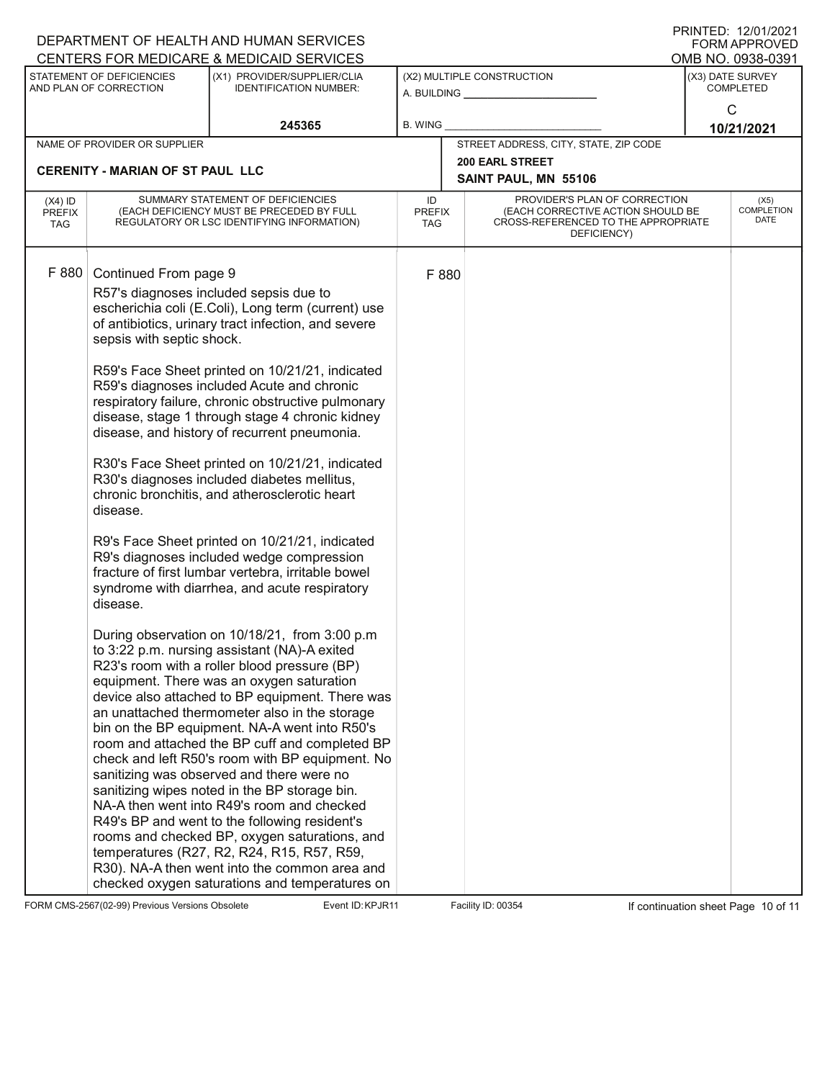|                                          |                                                                            | DEPARTMENT OF HEALTH AND HUMAN SERVICES                                                                                                                                                                                                                                                                                                                                                                                                                                                                                                                                                                                                                                                                                                                                                                                                                                                                                                                                                                                                                                                                                                                                                                                                                                                                                                                                                                                                                                                                                                                                                                                       |                                   |                                                                                                                          |                                           | $1$ INTITLES. IZTUTTZUZ I<br><b>FORM APPROVED</b> |
|------------------------------------------|----------------------------------------------------------------------------|-------------------------------------------------------------------------------------------------------------------------------------------------------------------------------------------------------------------------------------------------------------------------------------------------------------------------------------------------------------------------------------------------------------------------------------------------------------------------------------------------------------------------------------------------------------------------------------------------------------------------------------------------------------------------------------------------------------------------------------------------------------------------------------------------------------------------------------------------------------------------------------------------------------------------------------------------------------------------------------------------------------------------------------------------------------------------------------------------------------------------------------------------------------------------------------------------------------------------------------------------------------------------------------------------------------------------------------------------------------------------------------------------------------------------------------------------------------------------------------------------------------------------------------------------------------------------------------------------------------------------------|-----------------------------------|--------------------------------------------------------------------------------------------------------------------------|-------------------------------------------|---------------------------------------------------|
|                                          |                                                                            | CENTERS FOR MEDICARE & MEDICAID SERVICES                                                                                                                                                                                                                                                                                                                                                                                                                                                                                                                                                                                                                                                                                                                                                                                                                                                                                                                                                                                                                                                                                                                                                                                                                                                                                                                                                                                                                                                                                                                                                                                      |                                   |                                                                                                                          |                                           | OMB NO. 0938-0391                                 |
|                                          | STATEMENT OF DEFICIENCIES<br>AND PLAN OF CORRECTION                        | (X1) PROVIDER/SUPPLIER/CLIA<br><b>IDENTIFICATION NUMBER:</b>                                                                                                                                                                                                                                                                                                                                                                                                                                                                                                                                                                                                                                                                                                                                                                                                                                                                                                                                                                                                                                                                                                                                                                                                                                                                                                                                                                                                                                                                                                                                                                  |                                   | (X2) MULTIPLE CONSTRUCTION<br>A. BUILDING A.                                                                             | (X3) DATE SURVEY<br><b>COMPLETED</b><br>C |                                                   |
|                                          |                                                                            | 245365                                                                                                                                                                                                                                                                                                                                                                                                                                                                                                                                                                                                                                                                                                                                                                                                                                                                                                                                                                                                                                                                                                                                                                                                                                                                                                                                                                                                                                                                                                                                                                                                                        | <b>B. WING</b>                    |                                                                                                                          |                                           | 10/21/2021                                        |
|                                          | NAME OF PROVIDER OR SUPPLIER                                               |                                                                                                                                                                                                                                                                                                                                                                                                                                                                                                                                                                                                                                                                                                                                                                                                                                                                                                                                                                                                                                                                                                                                                                                                                                                                                                                                                                                                                                                                                                                                                                                                                               |                                   | STREET ADDRESS, CITY, STATE, ZIP CODE                                                                                    |                                           |                                                   |
|                                          | <b>CERENITY - MARIAN OF ST PAUL LLC</b>                                    |                                                                                                                                                                                                                                                                                                                                                                                                                                                                                                                                                                                                                                                                                                                                                                                                                                                                                                                                                                                                                                                                                                                                                                                                                                                                                                                                                                                                                                                                                                                                                                                                                               |                                   | <b>200 EARL STREET</b><br>SAINT PAUL, MN 55106                                                                           |                                           |                                                   |
| $(X4)$ ID<br><b>PREFIX</b><br><b>TAG</b> |                                                                            | SUMMARY STATEMENT OF DEFICIENCIES<br>(EACH DEFICIENCY MUST BE PRECEDED BY FULL<br>REGULATORY OR LSC IDENTIFYING INFORMATION)                                                                                                                                                                                                                                                                                                                                                                                                                                                                                                                                                                                                                                                                                                                                                                                                                                                                                                                                                                                                                                                                                                                                                                                                                                                                                                                                                                                                                                                                                                  | ID<br><b>PREFIX</b><br><b>TAG</b> | PROVIDER'S PLAN OF CORRECTION<br>(EACH CORRECTIVE ACTION SHOULD BE<br>CROSS-REFERENCED TO THE APPROPRIATE<br>DEFICIENCY) |                                           | (X5)<br><b>COMPLETION</b><br>DATE                 |
| F 880                                    | Continued From page 9<br>sepsis with septic shock.<br>disease.<br>disease. | R57's diagnoses included sepsis due to<br>escherichia coli (E.Coli), Long term (current) use<br>of antibiotics, urinary tract infection, and severe<br>R59's Face Sheet printed on 10/21/21, indicated<br>R59's diagnoses included Acute and chronic<br>respiratory failure, chronic obstructive pulmonary<br>disease, stage 1 through stage 4 chronic kidney<br>disease, and history of recurrent pneumonia.<br>R30's Face Sheet printed on 10/21/21, indicated<br>R30's diagnoses included diabetes mellitus,<br>chronic bronchitis, and atherosclerotic heart<br>R9's Face Sheet printed on 10/21/21, indicated<br>R9's diagnoses included wedge compression<br>fracture of first lumbar vertebra, irritable bowel<br>syndrome with diarrhea, and acute respiratory<br>During observation on 10/18/21, from 3:00 p.m<br>to 3:22 p.m. nursing assistant (NA)-A exited<br>R23's room with a roller blood pressure (BP)<br>equipment. There was an oxygen saturation<br>device also attached to BP equipment. There was<br>an unattached thermometer also in the storage<br>bin on the BP equipment. NA-A went into R50's<br>room and attached the BP cuff and completed BP<br>check and left R50's room with BP equipment. No<br>sanitizing was observed and there were no<br>sanitizing wipes noted in the BP storage bin.<br>NA-A then went into R49's room and checked<br>R49's BP and went to the following resident's<br>rooms and checked BP, oxygen saturations, and<br>temperatures (R27, R2, R24, R15, R57, R59,<br>R30). NA-A then went into the common area and<br>checked oxygen saturations and temperatures on | F 880                             |                                                                                                                          |                                           |                                                   |

FORM CMS-2567(02-99) Previous Versions Obsolete Event ID: KPJR11 Facility ID: 00354 If continuation sheet Page 10 of 11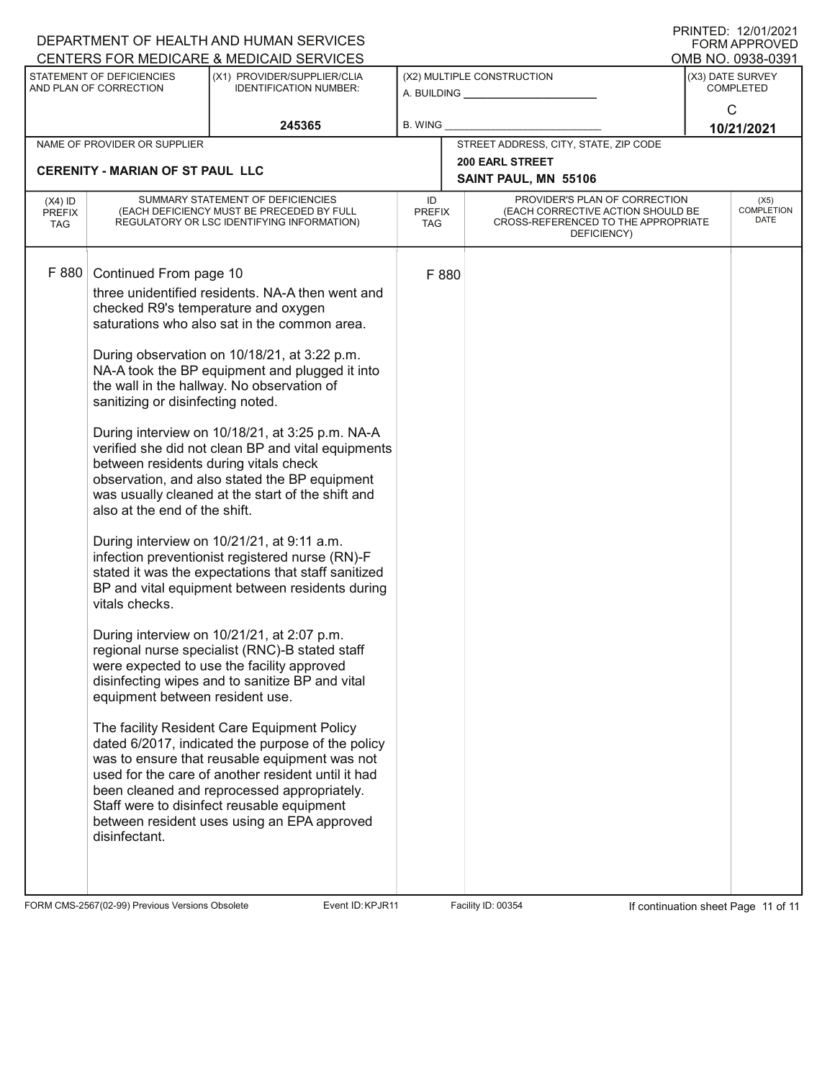|                                          |                                                                                                                                                                                                             | DEPARTMENT OF HEALTH AND HUMAN SERVICES<br>CENTERS FOR MEDICARE & MEDICAID SERVICES                                                                                                                                                                                                                                                                                                                                                                                                                                                                                                                                                                                                                                                                                                                                                                                                                                                                                                                                                                                                                                                                                                                                                                                       |                                   |       |                                                                                                                          |                                       | I ININTED. IZ/VI/ZVZ I<br><b>FORM APPROVED</b> |
|------------------------------------------|-------------------------------------------------------------------------------------------------------------------------------------------------------------------------------------------------------------|---------------------------------------------------------------------------------------------------------------------------------------------------------------------------------------------------------------------------------------------------------------------------------------------------------------------------------------------------------------------------------------------------------------------------------------------------------------------------------------------------------------------------------------------------------------------------------------------------------------------------------------------------------------------------------------------------------------------------------------------------------------------------------------------------------------------------------------------------------------------------------------------------------------------------------------------------------------------------------------------------------------------------------------------------------------------------------------------------------------------------------------------------------------------------------------------------------------------------------------------------------------------------|-----------------------------------|-------|--------------------------------------------------------------------------------------------------------------------------|---------------------------------------|------------------------------------------------|
|                                          | STATEMENT OF DEFICIENCIES                                                                                                                                                                                   | (X1) PROVIDER/SUPPLIER/CLIA                                                                                                                                                                                                                                                                                                                                                                                                                                                                                                                                                                                                                                                                                                                                                                                                                                                                                                                                                                                                                                                                                                                                                                                                                                               |                                   |       | (X2) MULTIPLE CONSTRUCTION                                                                                               | OMB NO. 0938-0391<br>(X3) DATE SURVEY |                                                |
|                                          | AND PLAN OF CORRECTION                                                                                                                                                                                      | <b>IDENTIFICATION NUMBER:</b>                                                                                                                                                                                                                                                                                                                                                                                                                                                                                                                                                                                                                                                                                                                                                                                                                                                                                                                                                                                                                                                                                                                                                                                                                                             |                                   |       | A. BUILDING                                                                                                              | <b>COMPLETED</b><br>C                 |                                                |
|                                          |                                                                                                                                                                                                             | 245365                                                                                                                                                                                                                                                                                                                                                                                                                                                                                                                                                                                                                                                                                                                                                                                                                                                                                                                                                                                                                                                                                                                                                                                                                                                                    | <b>B. WING</b>                    |       |                                                                                                                          |                                       |                                                |
|                                          | NAME OF PROVIDER OR SUPPLIER                                                                                                                                                                                |                                                                                                                                                                                                                                                                                                                                                                                                                                                                                                                                                                                                                                                                                                                                                                                                                                                                                                                                                                                                                                                                                                                                                                                                                                                                           |                                   |       | STREET ADDRESS, CITY, STATE, ZIP CODE                                                                                    | 10/21/2021                            |                                                |
|                                          |                                                                                                                                                                                                             |                                                                                                                                                                                                                                                                                                                                                                                                                                                                                                                                                                                                                                                                                                                                                                                                                                                                                                                                                                                                                                                                                                                                                                                                                                                                           |                                   |       | <b>200 EARL STREET</b>                                                                                                   |                                       |                                                |
|                                          | <b>CERENITY - MARIAN OF ST PAUL LLC</b>                                                                                                                                                                     |                                                                                                                                                                                                                                                                                                                                                                                                                                                                                                                                                                                                                                                                                                                                                                                                                                                                                                                                                                                                                                                                                                                                                                                                                                                                           |                                   |       | SAINT PAUL, MN 55106                                                                                                     |                                       |                                                |
| $(X4)$ ID<br><b>PREFIX</b><br><b>TAG</b> | SUMMARY STATEMENT OF DEFICIENCIES<br>(EACH DEFICIENCY MUST BE PRECEDED BY FULL<br>REGULATORY OR LSC IDENTIFYING INFORMATION)                                                                                |                                                                                                                                                                                                                                                                                                                                                                                                                                                                                                                                                                                                                                                                                                                                                                                                                                                                                                                                                                                                                                                                                                                                                                                                                                                                           | ID<br><b>PREFIX</b><br><b>TAG</b> |       | PROVIDER'S PLAN OF CORRECTION<br>(EACH CORRECTIVE ACTION SHOULD BE<br>CROSS-REFERENCED TO THE APPROPRIATE<br>DEFICIENCY) |                                       | (X5)<br><b>COMPLETION</b><br>DATE              |
| F 880                                    | Continued From page 10<br>sanitizing or disinfecting noted.<br>between residents during vitals check<br>also at the end of the shift.<br>vitals checks.<br>equipment between resident use.<br>disinfectant. | three unidentified residents. NA-A then went and<br>checked R9's temperature and oxygen<br>saturations who also sat in the common area.<br>During observation on 10/18/21, at 3:22 p.m.<br>NA-A took the BP equipment and plugged it into<br>the wall in the hallway. No observation of<br>During interview on 10/18/21, at 3:25 p.m. NA-A<br>verified she did not clean BP and vital equipments<br>observation, and also stated the BP equipment<br>was usually cleaned at the start of the shift and<br>During interview on 10/21/21, at 9:11 a.m.<br>infection preventionist registered nurse (RN)-F<br>stated it was the expectations that staff sanitized<br>BP and vital equipment between residents during<br>During interview on 10/21/21, at 2:07 p.m.<br>regional nurse specialist (RNC)-B stated staff<br>were expected to use the facility approved<br>disinfecting wipes and to sanitize BP and vital<br>The facility Resident Care Equipment Policy<br>dated 6/2017, indicated the purpose of the policy<br>was to ensure that reusable equipment was not<br>used for the care of another resident until it had<br>been cleaned and reprocessed appropriately.<br>Staff were to disinfect reusable equipment<br>between resident uses using an EPA approved |                                   | F 880 |                                                                                                                          |                                       |                                                |

FORM CMS-2567(02-99) Previous Versions Obsolete Event ID: KPJR11 Facility ID: 00354 If continuation sheet Page 11 of 11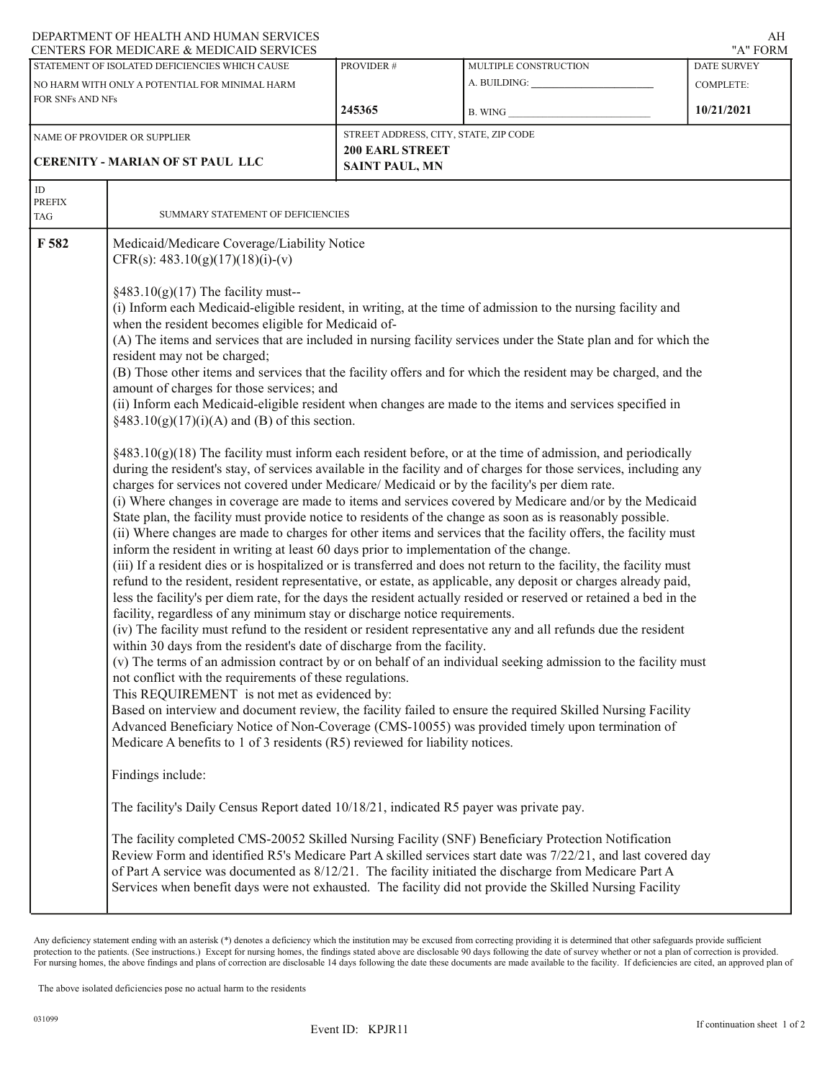# DEPARTMENT OF HEALTH AND HUMAN SERVICES

|                            | CENTERS FOR MEDICARE & MEDICAID SERVICES                                                                                                                                                                                                                                                                                                                                                                                                                                                                                                                                                                                                                                                                                                                                                                                                                                                                                                                                        |           |                                                                                                                                                                                                                                                                                                                                                                                                                                                                                                                                                                                                                                                                                                                                                                                                                                                                                                                                                                                                                                                                                                                                                                                                                                                                                                                                                                                                                                                                                                                                                                                                                                                                                                                                                                                                                                                                                                                                                                                                                                                                                                                                                                                                                                                                                                                         | "A" FORM                               |  |  |  |  |
|----------------------------|---------------------------------------------------------------------------------------------------------------------------------------------------------------------------------------------------------------------------------------------------------------------------------------------------------------------------------------------------------------------------------------------------------------------------------------------------------------------------------------------------------------------------------------------------------------------------------------------------------------------------------------------------------------------------------------------------------------------------------------------------------------------------------------------------------------------------------------------------------------------------------------------------------------------------------------------------------------------------------|-----------|-------------------------------------------------------------------------------------------------------------------------------------------------------------------------------------------------------------------------------------------------------------------------------------------------------------------------------------------------------------------------------------------------------------------------------------------------------------------------------------------------------------------------------------------------------------------------------------------------------------------------------------------------------------------------------------------------------------------------------------------------------------------------------------------------------------------------------------------------------------------------------------------------------------------------------------------------------------------------------------------------------------------------------------------------------------------------------------------------------------------------------------------------------------------------------------------------------------------------------------------------------------------------------------------------------------------------------------------------------------------------------------------------------------------------------------------------------------------------------------------------------------------------------------------------------------------------------------------------------------------------------------------------------------------------------------------------------------------------------------------------------------------------------------------------------------------------------------------------------------------------------------------------------------------------------------------------------------------------------------------------------------------------------------------------------------------------------------------------------------------------------------------------------------------------------------------------------------------------------------------------------------------------------------------------------------------------|----------------------------------------|--|--|--|--|
|                            | STATEMENT OF ISOLATED DEFICIENCIES WHICH CAUSE<br>NO HARM WITH ONLY A POTENTIAL FOR MINIMAL HARM                                                                                                                                                                                                                                                                                                                                                                                                                                                                                                                                                                                                                                                                                                                                                                                                                                                                                | PROVIDER# | MULTIPLE CONSTRUCTION                                                                                                                                                                                                                                                                                                                                                                                                                                                                                                                                                                                                                                                                                                                                                                                                                                                                                                                                                                                                                                                                                                                                                                                                                                                                                                                                                                                                                                                                                                                                                                                                                                                                                                                                                                                                                                                                                                                                                                                                                                                                                                                                                                                                                                                                                                   | <b>DATE SURVEY</b><br><b>COMPLETE:</b> |  |  |  |  |
| FOR SNFs AND NFs           |                                                                                                                                                                                                                                                                                                                                                                                                                                                                                                                                                                                                                                                                                                                                                                                                                                                                                                                                                                                 | 245365    | B. WING                                                                                                                                                                                                                                                                                                                                                                                                                                                                                                                                                                                                                                                                                                                                                                                                                                                                                                                                                                                                                                                                                                                                                                                                                                                                                                                                                                                                                                                                                                                                                                                                                                                                                                                                                                                                                                                                                                                                                                                                                                                                                                                                                                                                                                                                                                                 | 10/21/2021                             |  |  |  |  |
|                            | NAME OF PROVIDER OR SUPPLIER<br><b>CERENITY - MARIAN OF ST PAUL LLC</b>                                                                                                                                                                                                                                                                                                                                                                                                                                                                                                                                                                                                                                                                                                                                                                                                                                                                                                         |           | STREET ADDRESS, CITY, STATE, ZIP CODE<br><b>200 EARL STREET</b><br><b>SAINT PAUL, MN</b>                                                                                                                                                                                                                                                                                                                                                                                                                                                                                                                                                                                                                                                                                                                                                                                                                                                                                                                                                                                                                                                                                                                                                                                                                                                                                                                                                                                                                                                                                                                                                                                                                                                                                                                                                                                                                                                                                                                                                                                                                                                                                                                                                                                                                                |                                        |  |  |  |  |
| ID<br><b>PREFIX</b><br>TAG | SUMMARY STATEMENT OF DEFICIENCIES                                                                                                                                                                                                                                                                                                                                                                                                                                                                                                                                                                                                                                                                                                                                                                                                                                                                                                                                               |           |                                                                                                                                                                                                                                                                                                                                                                                                                                                                                                                                                                                                                                                                                                                                                                                                                                                                                                                                                                                                                                                                                                                                                                                                                                                                                                                                                                                                                                                                                                                                                                                                                                                                                                                                                                                                                                                                                                                                                                                                                                                                                                                                                                                                                                                                                                                         |                                        |  |  |  |  |
| F 582                      | Medicaid/Medicare Coverage/Liability Notice<br>CFR(s): $483.10(g)(17)(18)(i)-(v)$<br>$§483.10(g)(17)$ The facility must--<br>when the resident becomes eligible for Medicaid of-<br>resident may not be charged;<br>amount of charges for those services; and<br>$§483.10(g)(17)(i)(A)$ and (B) of this section.<br>charges for services not covered under Medicare/ Medicaid or by the facility's per diem rate.<br>inform the resident in writing at least 60 days prior to implementation of the change.<br>facility, regardless of any minimum stay or discharge notice requirements.<br>within 30 days from the resident's date of discharge from the facility.<br>not conflict with the requirements of these regulations.<br>This REQUIREMENT is not met as evidenced by:<br>Medicare A benefits to 1 of 3 residents (R5) reviewed for liability notices.<br>Findings include:<br>The facility's Daily Census Report dated 10/18/21, indicated R5 payer was private pay. |           | (i) Inform each Medicaid-eligible resident, in writing, at the time of admission to the nursing facility and<br>(A) The items and services that are included in nursing facility services under the State plan and for which the<br>(B) Those other items and services that the facility offers and for which the resident may be charged, and the<br>(ii) Inform each Medicaid-eligible resident when changes are made to the items and services specified in<br>$\S$ 483.10(g)(18) The facility must inform each resident before, or at the time of admission, and periodically<br>during the resident's stay, of services available in the facility and of charges for those services, including any<br>(i) Where changes in coverage are made to items and services covered by Medicare and/or by the Medicaid<br>State plan, the facility must provide notice to residents of the change as soon as is reasonably possible.<br>(ii) Where changes are made to charges for other items and services that the facility offers, the facility must<br>(iii) If a resident dies or is hospitalized or is transferred and does not return to the facility, the facility must<br>refund to the resident, resident representative, or estate, as applicable, any deposit or charges already paid,<br>less the facility's per diem rate, for the days the resident actually resided or reserved or retained a bed in the<br>(iv) The facility must refund to the resident or resident representative any and all refunds due the resident<br>(v) The terms of an admission contract by or on behalf of an individual seeking admission to the facility must<br>Based on interview and document review, the facility failed to ensure the required Skilled Nursing Facility<br>Advanced Beneficiary Notice of Non-Coverage (CMS-10055) was provided timely upon termination of<br>The facility completed CMS-20052 Skilled Nursing Facility (SNF) Beneficiary Protection Notification<br>Review Form and identified R5's Medicare Part A skilled services start date was 7/22/21, and last covered day<br>of Part A service was documented as 8/12/21. The facility initiated the discharge from Medicare Part A<br>Services when benefit days were not exhausted. The facility did not provide the Skilled Nursing Facility |                                        |  |  |  |  |

Any deficiency statement ending with an asterisk (\*) denotes a deficiency which the institution may be excused from correcting providing it is determined that other safeguards provide sufficient protection to the patients. (See instructions.) Except for nursing homes, the findings stated above are disclosable 90 days following the date of survey whether or not a plan of correction is provided. For nursing homes, the above findings and plans of correction are disclosable 14 days following the date these documents are made available to the facility. If deficiencies are cited, an approved plan of

The above isolated deficiencies pose no actual harm to the residents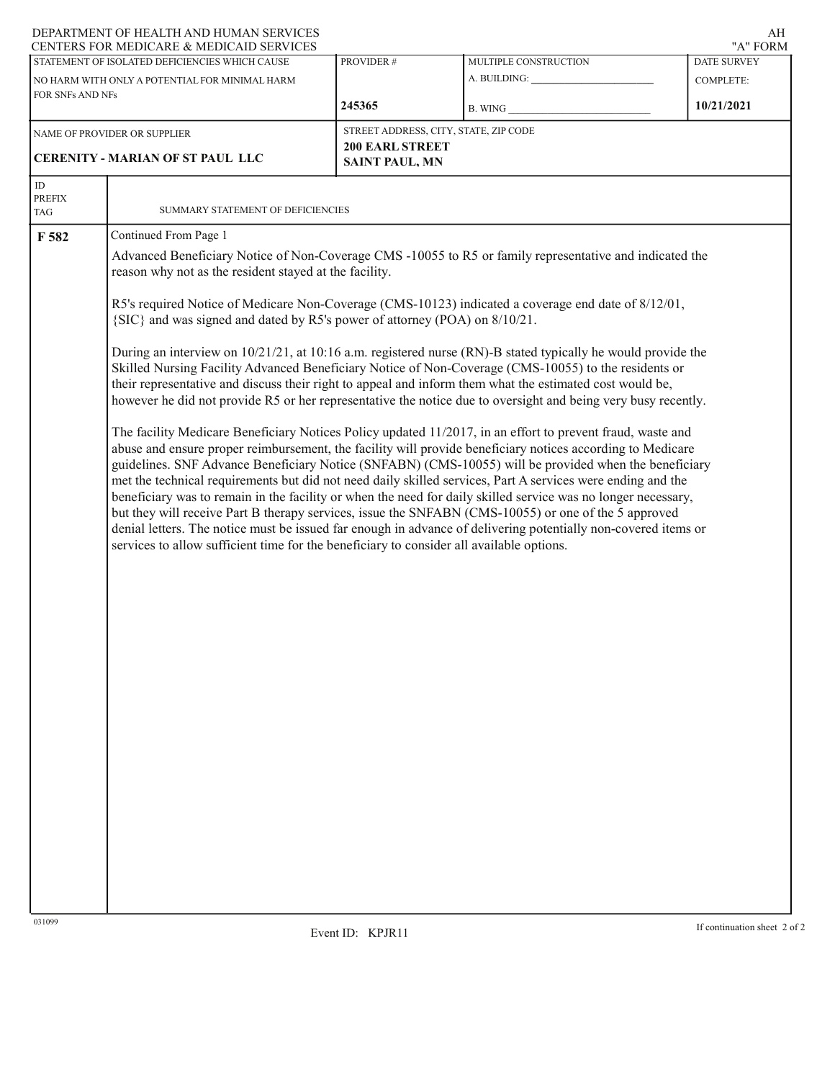# DEPARTMENT OF HEALTH AND HUMAN SERVICES

|                           | CENTERS FOR MEDICARE & MEDICAID SERVICES                                                                                                                                                                                                                                                                                                                                                                                                                                                                                                                                                                                                                                                                                                                                                                                                                                                |                                                                                                                                                                   |                                       | "A" FORM                     |  |  |  |  |  |  |
|---------------------------|-----------------------------------------------------------------------------------------------------------------------------------------------------------------------------------------------------------------------------------------------------------------------------------------------------------------------------------------------------------------------------------------------------------------------------------------------------------------------------------------------------------------------------------------------------------------------------------------------------------------------------------------------------------------------------------------------------------------------------------------------------------------------------------------------------------------------------------------------------------------------------------------|-------------------------------------------------------------------------------------------------------------------------------------------------------------------|---------------------------------------|------------------------------|--|--|--|--|--|--|
|                           | STATEMENT OF ISOLATED DEFICIENCIES WHICH CAUSE                                                                                                                                                                                                                                                                                                                                                                                                                                                                                                                                                                                                                                                                                                                                                                                                                                          | PROVIDER #                                                                                                                                                        | MULTIPLE CONSTRUCTION                 | DATE SURVEY                  |  |  |  |  |  |  |
| FOR SNFs AND NFs          | NO HARM WITH ONLY A POTENTIAL FOR MINIMAL HARM                                                                                                                                                                                                                                                                                                                                                                                                                                                                                                                                                                                                                                                                                                                                                                                                                                          |                                                                                                                                                                   |                                       | <b>COMPLETE:</b>             |  |  |  |  |  |  |
|                           |                                                                                                                                                                                                                                                                                                                                                                                                                                                                                                                                                                                                                                                                                                                                                                                                                                                                                         | 245365                                                                                                                                                            | B. WING                               | 10/21/2021                   |  |  |  |  |  |  |
|                           | NAME OF PROVIDER OR SUPPLIER                                                                                                                                                                                                                                                                                                                                                                                                                                                                                                                                                                                                                                                                                                                                                                                                                                                            |                                                                                                                                                                   | STREET ADDRESS, CITY, STATE, ZIP CODE |                              |  |  |  |  |  |  |
|                           | <b>CERENITY - MARIAN OF ST PAUL LLC</b>                                                                                                                                                                                                                                                                                                                                                                                                                                                                                                                                                                                                                                                                                                                                                                                                                                                 | <b>200 EARL STREET</b><br><b>SAINT PAUL, MN</b>                                                                                                                   |                                       |                              |  |  |  |  |  |  |
|                           |                                                                                                                                                                                                                                                                                                                                                                                                                                                                                                                                                                                                                                                                                                                                                                                                                                                                                         |                                                                                                                                                                   |                                       |                              |  |  |  |  |  |  |
| $\rm ID$<br><b>PREFIX</b> |                                                                                                                                                                                                                                                                                                                                                                                                                                                                                                                                                                                                                                                                                                                                                                                                                                                                                         |                                                                                                                                                                   |                                       |                              |  |  |  |  |  |  |
| TAG                       | SUMMARY STATEMENT OF DEFICIENCIES                                                                                                                                                                                                                                                                                                                                                                                                                                                                                                                                                                                                                                                                                                                                                                                                                                                       |                                                                                                                                                                   |                                       |                              |  |  |  |  |  |  |
| F 582                     | Continued From Page 1                                                                                                                                                                                                                                                                                                                                                                                                                                                                                                                                                                                                                                                                                                                                                                                                                                                                   |                                                                                                                                                                   |                                       |                              |  |  |  |  |  |  |
|                           |                                                                                                                                                                                                                                                                                                                                                                                                                                                                                                                                                                                                                                                                                                                                                                                                                                                                                         | Advanced Beneficiary Notice of Non-Coverage CMS -10055 to R5 or family representative and indicated the<br>reason why not as the resident stayed at the facility. |                                       |                              |  |  |  |  |  |  |
|                           | R5's required Notice of Medicare Non-Coverage (CMS-10123) indicated a coverage end date of 8/12/01,<br>{SIC} and was signed and dated by R5's power of attorney (POA) on 8/10/21.                                                                                                                                                                                                                                                                                                                                                                                                                                                                                                                                                                                                                                                                                                       |                                                                                                                                                                   |                                       |                              |  |  |  |  |  |  |
|                           | During an interview on 10/21/21, at 10:16 a.m. registered nurse (RN)-B stated typically he would provide the<br>Skilled Nursing Facility Advanced Beneficiary Notice of Non-Coverage (CMS-10055) to the residents or<br>their representative and discuss their right to appeal and inform them what the estimated cost would be,<br>however he did not provide R5 or her representative the notice due to oversight and being very busy recently.                                                                                                                                                                                                                                                                                                                                                                                                                                       |                                                                                                                                                                   |                                       |                              |  |  |  |  |  |  |
|                           | The facility Medicare Beneficiary Notices Policy updated 11/2017, in an effort to prevent fraud, waste and<br>abuse and ensure proper reimbursement, the facility will provide beneficiary notices according to Medicare<br>guidelines. SNF Advance Beneficiary Notice (SNFABN) (CMS-10055) will be provided when the beneficiary<br>met the technical requirements but did not need daily skilled services, Part A services were ending and the<br>beneficiary was to remain in the facility or when the need for daily skilled service was no longer necessary,<br>but they will receive Part B therapy services, issue the SNFABN (CMS-10055) or one of the 5 approved<br>denial letters. The notice must be issued far enough in advance of delivering potentially non-covered items or<br>services to allow sufficient time for the beneficiary to consider all available options. |                                                                                                                                                                   |                                       |                              |  |  |  |  |  |  |
|                           |                                                                                                                                                                                                                                                                                                                                                                                                                                                                                                                                                                                                                                                                                                                                                                                                                                                                                         |                                                                                                                                                                   |                                       |                              |  |  |  |  |  |  |
|                           |                                                                                                                                                                                                                                                                                                                                                                                                                                                                                                                                                                                                                                                                                                                                                                                                                                                                                         |                                                                                                                                                                   |                                       |                              |  |  |  |  |  |  |
|                           |                                                                                                                                                                                                                                                                                                                                                                                                                                                                                                                                                                                                                                                                                                                                                                                                                                                                                         |                                                                                                                                                                   |                                       |                              |  |  |  |  |  |  |
|                           |                                                                                                                                                                                                                                                                                                                                                                                                                                                                                                                                                                                                                                                                                                                                                                                                                                                                                         |                                                                                                                                                                   |                                       |                              |  |  |  |  |  |  |
|                           |                                                                                                                                                                                                                                                                                                                                                                                                                                                                                                                                                                                                                                                                                                                                                                                                                                                                                         |                                                                                                                                                                   |                                       |                              |  |  |  |  |  |  |
|                           |                                                                                                                                                                                                                                                                                                                                                                                                                                                                                                                                                                                                                                                                                                                                                                                                                                                                                         |                                                                                                                                                                   |                                       |                              |  |  |  |  |  |  |
|                           |                                                                                                                                                                                                                                                                                                                                                                                                                                                                                                                                                                                                                                                                                                                                                                                                                                                                                         |                                                                                                                                                                   |                                       |                              |  |  |  |  |  |  |
| 031099                    |                                                                                                                                                                                                                                                                                                                                                                                                                                                                                                                                                                                                                                                                                                                                                                                                                                                                                         |                                                                                                                                                                   |                                       |                              |  |  |  |  |  |  |
|                           |                                                                                                                                                                                                                                                                                                                                                                                                                                                                                                                                                                                                                                                                                                                                                                                                                                                                                         | Event ID: KPJR11                                                                                                                                                  |                                       | If continuation sheet 2 of 2 |  |  |  |  |  |  |

AH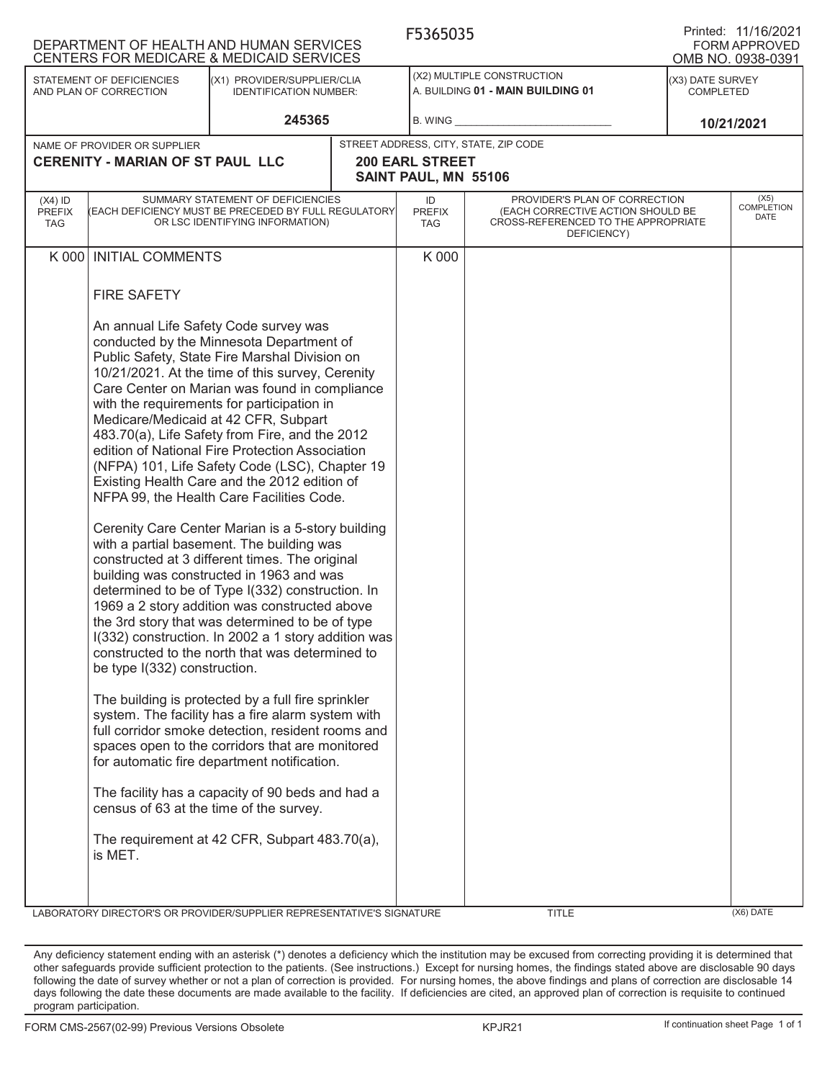|                                          | DEPARTMENT OF HEALTH AND HUMAN SERVICES<br>CENTERS FOR MEDICARE & MEDICAID SERVICES |                                                                                                                                                                                                                                                                                                                                                                                                                                                                                                                                                                                                                                                                                                                                     | F5365035                                                        |                                                                                                                          |                                      | Printed: 11/16/2021<br>FORM APPROVED<br>OMB NO. 0938-0391 |
|------------------------------------------|-------------------------------------------------------------------------------------|-------------------------------------------------------------------------------------------------------------------------------------------------------------------------------------------------------------------------------------------------------------------------------------------------------------------------------------------------------------------------------------------------------------------------------------------------------------------------------------------------------------------------------------------------------------------------------------------------------------------------------------------------------------------------------------------------------------------------------------|-----------------------------------------------------------------|--------------------------------------------------------------------------------------------------------------------------|--------------------------------------|-----------------------------------------------------------|
|                                          | STATEMENT OF DEFICIENCIES<br>AND PLAN OF CORRECTION                                 | (X1) PROVIDER/SUPPLIER/CLIA<br><b>IDENTIFICATION NUMBER:</b>                                                                                                                                                                                                                                                                                                                                                                                                                                                                                                                                                                                                                                                                        | (X2) MULTIPLE CONSTRUCTION<br>A. BUILDING 01 - MAIN BUILDING 01 |                                                                                                                          | (X3) DATE SURVEY<br><b>COMPLETED</b> |                                                           |
|                                          |                                                                                     | 245365                                                                                                                                                                                                                                                                                                                                                                                                                                                                                                                                                                                                                                                                                                                              | B. WING                                                         |                                                                                                                          |                                      | 10/21/2021                                                |
|                                          | NAME OF PROVIDER OR SUPPLIER<br><b>CERENITY - MARIAN OF ST PAUL LLC</b>             |                                                                                                                                                                                                                                                                                                                                                                                                                                                                                                                                                                                                                                                                                                                                     | <b>200 EARL STREET</b>                                          | STREET ADDRESS, CITY, STATE, ZIP CODE                                                                                    |                                      |                                                           |
|                                          |                                                                                     |                                                                                                                                                                                                                                                                                                                                                                                                                                                                                                                                                                                                                                                                                                                                     | SAINT PAUL, MN 55106                                            |                                                                                                                          |                                      |                                                           |
| $(X4)$ ID<br><b>PREFIX</b><br><b>TAG</b> | (EACH DEFICIENCY MUST BE PRECEDED BY FULL REGULATORY                                | SUMMARY STATEMENT OF DEFICIENCIES<br>OR LSC IDENTIFYING INFORMATION)                                                                                                                                                                                                                                                                                                                                                                                                                                                                                                                                                                                                                                                                | ID<br><b>PREFIX</b><br><b>TAG</b>                               | PROVIDER'S PLAN OF CORRECTION<br>(EACH CORRECTIVE ACTION SHOULD BE<br>CROSS-REFERENCED TO THE APPROPRIATE<br>DEFICIENCY) |                                      | (X5)<br>COMPLETION<br>DATE                                |
| K 000                                    | <b>INITIAL COMMENTS</b>                                                             |                                                                                                                                                                                                                                                                                                                                                                                                                                                                                                                                                                                                                                                                                                                                     | K 000                                                           |                                                                                                                          |                                      |                                                           |
|                                          | <b>FIRE SAFETY</b>                                                                  | An annual Life Safety Code survey was<br>conducted by the Minnesota Department of<br>Public Safety, State Fire Marshal Division on<br>10/21/2021. At the time of this survey, Cerenity<br>Care Center on Marian was found in compliance<br>with the requirements for participation in<br>Medicare/Medicaid at 42 CFR, Subpart<br>483.70(a), Life Safety from Fire, and the 2012<br>edition of National Fire Protection Association<br>(NFPA) 101, Life Safety Code (LSC), Chapter 19<br>Existing Health Care and the 2012 edition of<br>NFPA 99, the Health Care Facilities Code.<br>Cerenity Care Center Marian is a 5-story building<br>with a partial basement. The building was                                                 |                                                                 |                                                                                                                          |                                      |                                                           |
|                                          | be type I(332) construction.<br>census of 63 at the time of the survey.<br>is MET.  | constructed at 3 different times. The original<br>building was constructed in 1963 and was<br>determined to be of Type I(332) construction. In<br>1969 a 2 story addition was constructed above<br>the 3rd story that was determined to be of type<br>I(332) construction. In 2002 a 1 story addition was<br>constructed to the north that was determined to<br>The building is protected by a full fire sprinkler<br>system. The facility has a fire alarm system with<br>full corridor smoke detection, resident rooms and<br>spaces open to the corridors that are monitored<br>for automatic fire department notification.<br>The facility has a capacity of 90 beds and had a<br>The requirement at 42 CFR, Subpart 483.70(a), |                                                                 |                                                                                                                          |                                      |                                                           |
|                                          | LABORATORY DIRECTOR'S OR PROVIDER/SUPPLIER REPRESENTATIVE'S SIGNATURE               |                                                                                                                                                                                                                                                                                                                                                                                                                                                                                                                                                                                                                                                                                                                                     |                                                                 | <b>TITLE</b>                                                                                                             |                                      | (X6) DATE                                                 |

Any deficiency statement ending with an asterisk (\*) denotes a deficiency which the institution may be excused from correcting providing it is determined that other safeguards provide sufficient protection to the patients. (See instructions.) Except for nursing homes, the findings stated above are disclosable 90 days following the date of survey whether or not a plan of correction is provided. For nursing homes, the above findings and plans of correction are disclosable 14 days following the date these documents are made available to the facility. If deficiencies are cited, an approved plan of correction is requisite to continued program participation.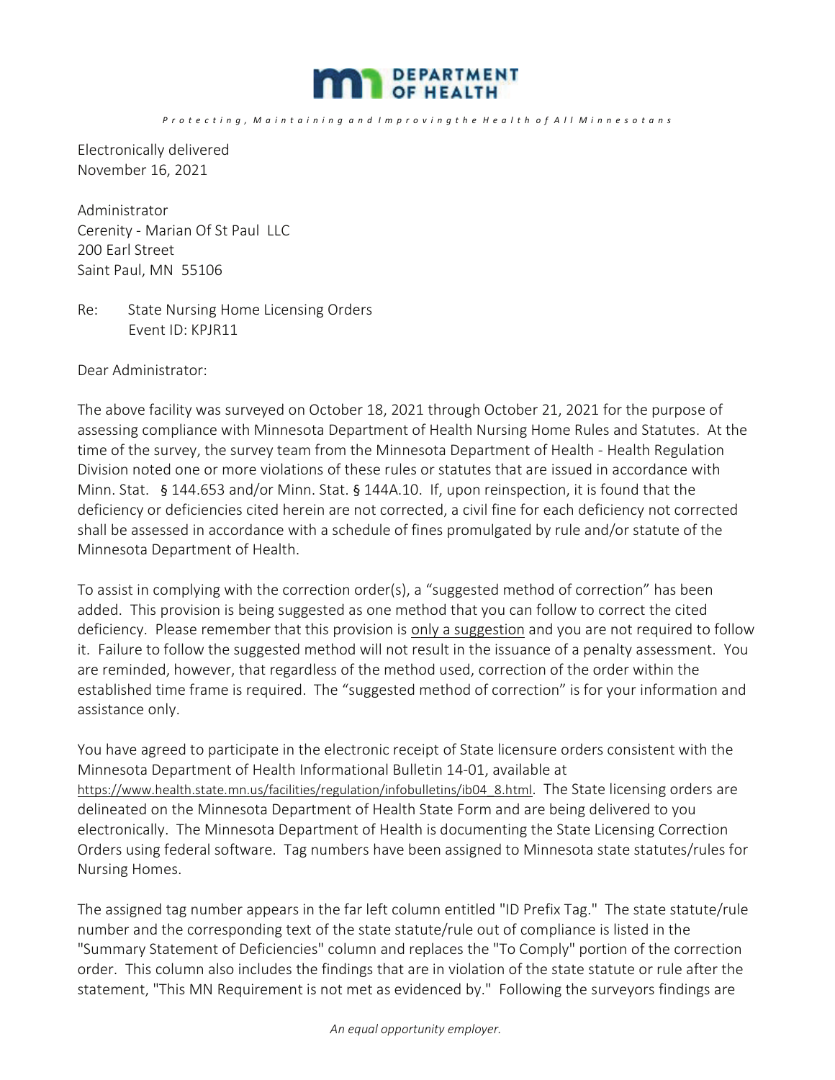

*P r o t e c t i n g , M a i n t a i n i n g a n d I m p r o v i n g t h e H e a l t h o f A l l M i n n e s o t a n s*

Electronically delivered November 16, 2021

Administrator Cerenity - Marian Of St Paul LLC 200 Earl Street Saint Paul, MN 55106

Re: State Nursing Home Licensing Orders Event ID: KPJR11

Dear Administrator:

The above facility was surveyed on October 18, 2021 through October 21, 2021 for the purpose of assessing compliance with Minnesota Department of Health Nursing Home Rules and Statutes. At the time of the survey, the survey team from the Minnesota Department of Health - Health Regulation Division noted one or more violations of these rules or statutes that are issued in accordance with Minn. Stat. § 144.653 and/or Minn. Stat. § 144A.10. If, upon reinspection, it is found that the deficiency or deficiencies cited herein are not corrected, a civil fine for each deficiency not corrected shall be assessed in accordance with a schedule of fines promulgated by rule and/or statute of the Minnesota Department of Health.

To assist in complying with the correction order(s), a "suggested method of correction" has been added. This provision is being suggested as one method that you can follow to correct the cited deficiency. Please remember that this provision is only a suggestion and you are not required to follow it. Failure to follow the suggested method will not result in the issuance of a penalty assessment. You are reminded, however, that regardless of the method used, correction of the order within the established time frame is required. The "suggested method of correction" is for your information and assistance only.

You have agreed to participate in the electronic receipt of State licensure orders consistent with the Minnesota Department of Health Informational Bulletin 14-01, available at https://www.health.state.mn.us/facilities/regulation/infobulletins/ib04 8.html. The State licensing orders are delineated on the Minnesota Department of Health State Form and are being delivered to you electronically. The Minnesota Department of Health is documenting the State Licensing Correction Orders using federal software. Tag numbers have been assigned to Minnesota state statutes/rules for Nursing Homes.

The assigned tag number appears in the far left column entitled "ID Prefix Tag." The state statute/rule number and the corresponding text of the state statute/rule out of compliance is listed in the "Summary Statement of Deficiencies" column and replaces the "To Comply" portion of the correction order. This column also includes the findings that are in violation of the state statute or rule after the statement, "This MN Requirement is not met as evidenced by." Following the surveyors findings are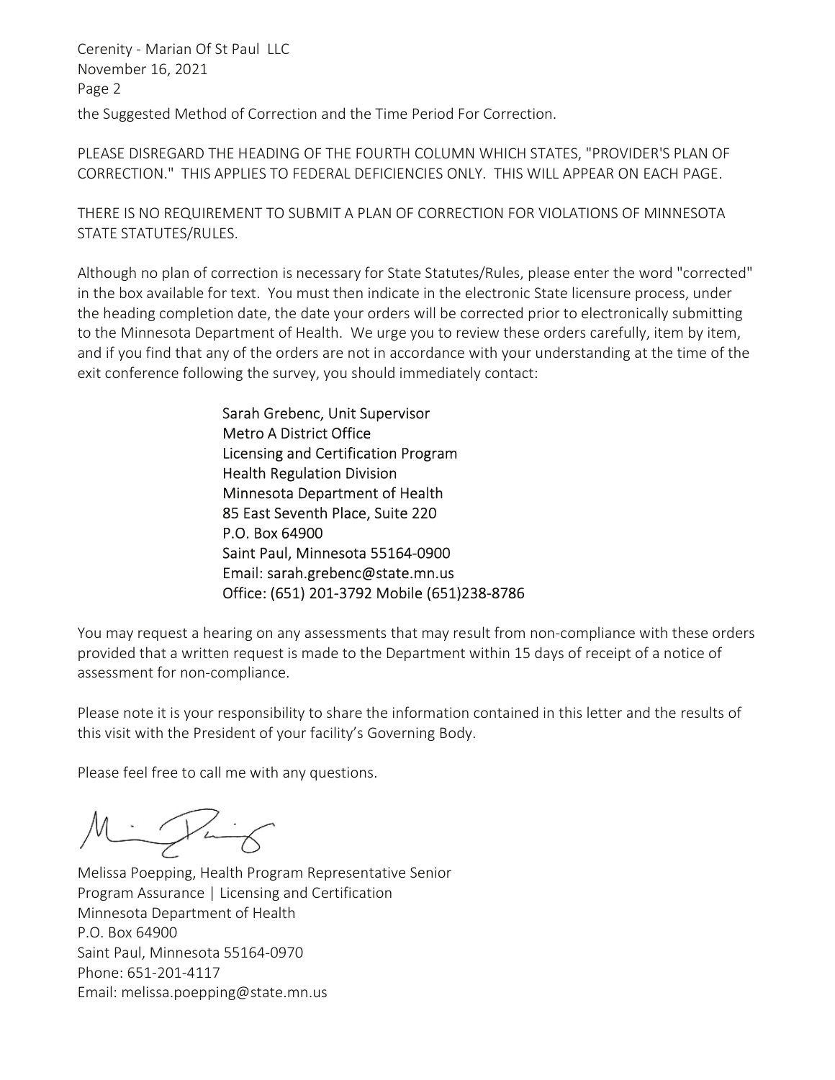the Suggested Method of Correction and the Time Period For Correction. Cerenity - Marian Of St Paul LLC November 16, 2021 Page 2

PLEASE DISREGARD THE HEADING OF THE FOURTH COLUMN WHICH STATES, "PROVIDER'S PLAN OF CORRECTION." THIS APPLIES TO FEDERAL DEFICIENCIES ONLY. THIS WILL APPEAR ON EACH PAGE.

THERE IS NO REQUIREMENT TO SUBMIT A PLAN OF CORRECTION FOR VIOLATIONS OF MINNESOTA STATE STATUTES/RULES.

Although no plan of correction is necessary for State Statutes/Rules, please enter the word "corrected" in the box available for text. You must then indicate in the electronic State licensure process, under the heading completion date, the date your orders will be corrected prior to electronically submitting to the Minnesota Department of Health. We urge you to review these orders carefully, item by item, and if you find that any of the orders are not in accordance with your understanding at the time of the exit conference following the survey, you should immediately contact:

> Sarah Grebenc, Unit Supervisor Metro A District Office Licensing and Certification Program Health Regulation Division Minnesota Department of Health 85 East Seventh Place, Suite 220 P.O. Box 64900 Saint Paul, Minnesota 55164-0900 Email: sarah.grebenc@state.mn.us Office: (651) 201-3792 Mobile (651)238-8786

You may request a hearing on any assessments that may result from non-compliance with these orders provided that a written request is made to the Department within 15 days of receipt of a notice of assessment for non-compliance.

Please note it is your responsibility to share the information contained in this letter and the results of this visit with the President of your facility's Governing Body.

Please feel free to call me with any questions.

Milling

Melissa Poepping, Health Program Representative Senior Program Assurance | Licensing and Certification Minnesota Department of Health P.O. Box 64900 Saint Paul, Minnesota 55164-0970 Phone: 651-201-4117 Email: melissa.poepping@state.mn.us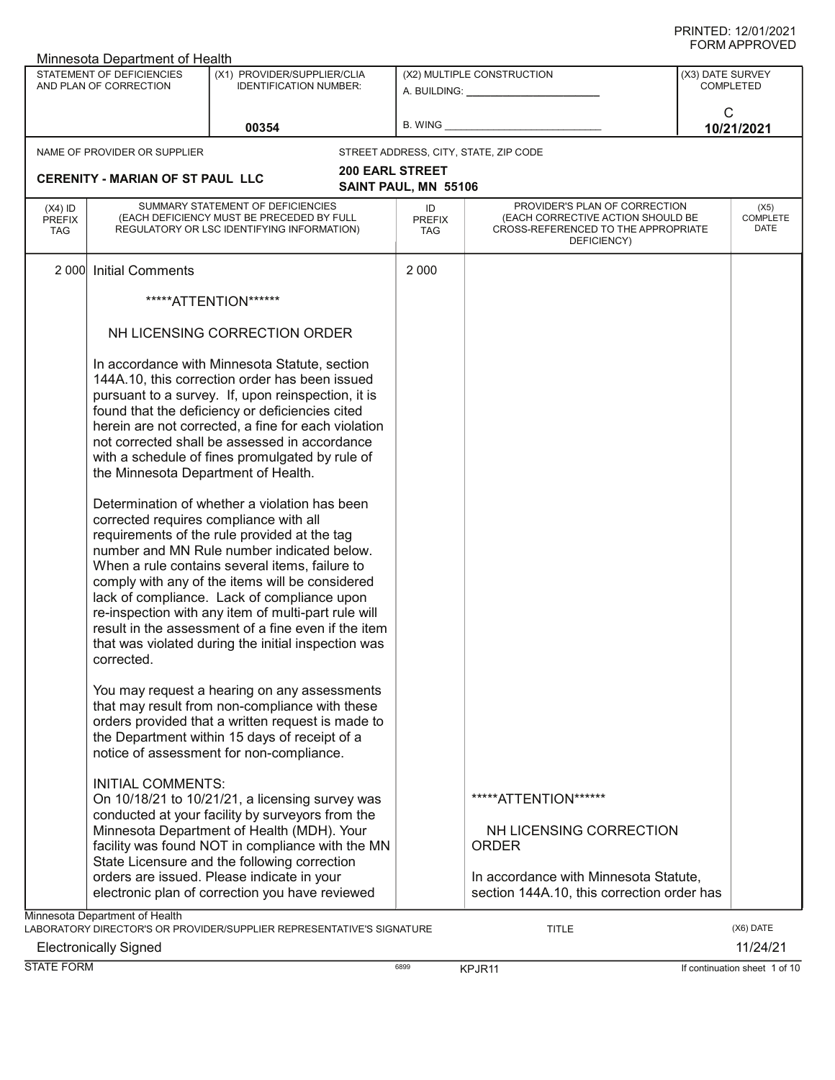|                                   | Minnesota Department of Health                                                |                                                                                                                                                                                                                                                                                                                                                                                                                                                                                                                                                                                                                         |                            |                                                                                                                          |                  |                                 |  |
|-----------------------------------|-------------------------------------------------------------------------------|-------------------------------------------------------------------------------------------------------------------------------------------------------------------------------------------------------------------------------------------------------------------------------------------------------------------------------------------------------------------------------------------------------------------------------------------------------------------------------------------------------------------------------------------------------------------------------------------------------------------------|----------------------------|--------------------------------------------------------------------------------------------------------------------------|------------------|---------------------------------|--|
|                                   | STATEMENT OF DEFICIENCIES                                                     | (X1) PROVIDER/SUPPLIER/CLIA                                                                                                                                                                                                                                                                                                                                                                                                                                                                                                                                                                                             |                            | (X2) MULTIPLE CONSTRUCTION                                                                                               | (X3) DATE SURVEY |                                 |  |
|                                   | AND PLAN OF CORRECTION                                                        | <b>IDENTIFICATION NUMBER:</b>                                                                                                                                                                                                                                                                                                                                                                                                                                                                                                                                                                                           |                            | A. BUILDING: ________________                                                                                            |                  | <b>COMPLETED</b>                |  |
|                                   |                                                                               |                                                                                                                                                                                                                                                                                                                                                                                                                                                                                                                                                                                                                         |                            |                                                                                                                          |                  | С                               |  |
|                                   |                                                                               | 00354                                                                                                                                                                                                                                                                                                                                                                                                                                                                                                                                                                                                                   | B. WING                    |                                                                                                                          |                  | 10/21/2021                      |  |
|                                   |                                                                               |                                                                                                                                                                                                                                                                                                                                                                                                                                                                                                                                                                                                                         |                            |                                                                                                                          |                  |                                 |  |
|                                   | NAME OF PROVIDER OR SUPPLIER                                                  |                                                                                                                                                                                                                                                                                                                                                                                                                                                                                                                                                                                                                         |                            | STREET ADDRESS, CITY, STATE, ZIP CODE                                                                                    |                  |                                 |  |
|                                   | <b>CERENITY - MARIAN OF ST PAUL LLC</b>                                       | <b>200 EARL STREET</b>                                                                                                                                                                                                                                                                                                                                                                                                                                                                                                                                                                                                  |                            |                                                                                                                          |                  |                                 |  |
|                                   |                                                                               |                                                                                                                                                                                                                                                                                                                                                                                                                                                                                                                                                                                                                         | SAINT PAUL, MN 55106       |                                                                                                                          |                  |                                 |  |
| $(X4)$ ID<br><b>PREFIX</b><br>TAG |                                                                               | SUMMARY STATEMENT OF DEFICIENCIES<br>(EACH DEFICIENCY MUST BE PRECEDED BY FULL<br>REGULATORY OR LSC IDENTIFYING INFORMATION)                                                                                                                                                                                                                                                                                                                                                                                                                                                                                            | ID<br><b>PREFIX</b><br>TAG | PROVIDER'S PLAN OF CORRECTION<br>(EACH CORRECTIVE ACTION SHOULD BE<br>CROSS-REFERENCED TO THE APPROPRIATE<br>DEFICIENCY) |                  | (X5)<br><b>COMPLETE</b><br>DATE |  |
|                                   | 2 000 Initial Comments                                                        |                                                                                                                                                                                                                                                                                                                                                                                                                                                                                                                                                                                                                         | 2 0 0 0                    |                                                                                                                          |                  |                                 |  |
|                                   |                                                                               | *****ATTENTION******                                                                                                                                                                                                                                                                                                                                                                                                                                                                                                                                                                                                    |                            |                                                                                                                          |                  |                                 |  |
|                                   |                                                                               | NH LICENSING CORRECTION ORDER                                                                                                                                                                                                                                                                                                                                                                                                                                                                                                                                                                                           |                            |                                                                                                                          |                  |                                 |  |
|                                   | the Minnesota Department of Health.<br>corrected requires compliance with all | In accordance with Minnesota Statute, section<br>144A.10, this correction order has been issued<br>pursuant to a survey. If, upon reinspection, it is<br>found that the deficiency or deficiencies cited<br>herein are not corrected, a fine for each violation<br>not corrected shall be assessed in accordance<br>with a schedule of fines promulgated by rule of<br>Determination of whether a violation has been<br>requirements of the rule provided at the tag<br>number and MN Rule number indicated below.<br>When a rule contains several items, failure to<br>comply with any of the items will be considered |                            |                                                                                                                          |                  |                                 |  |
|                                   | corrected.                                                                    | lack of compliance. Lack of compliance upon<br>re-inspection with any item of multi-part rule will<br>result in the assessment of a fine even if the item<br>that was violated during the initial inspection was                                                                                                                                                                                                                                                                                                                                                                                                        |                            |                                                                                                                          |                  |                                 |  |
|                                   |                                                                               | You may request a hearing on any assessments<br>that may result from non-compliance with these<br>orders provided that a written request is made to<br>the Department within 15 days of receipt of a<br>notice of assessment for non-compliance.                                                                                                                                                                                                                                                                                                                                                                        |                            |                                                                                                                          |                  |                                 |  |
|                                   | <b>INITIAL COMMENTS:</b>                                                      | On 10/18/21 to 10/21/21, a licensing survey was<br>conducted at your facility by surveyors from the<br>Minnesota Department of Health (MDH). Your<br>facility was found NOT in compliance with the MN<br>State Licensure and the following correction                                                                                                                                                                                                                                                                                                                                                                   |                            | *****ATTENTION******<br>NH LICENSING CORRECTION<br><b>ORDER</b>                                                          |                  |                                 |  |
|                                   |                                                                               | orders are issued. Please indicate in your<br>electronic plan of correction you have reviewed                                                                                                                                                                                                                                                                                                                                                                                                                                                                                                                           |                            | In accordance with Minnesota Statute,<br>section 144A.10, this correction order has                                      |                  |                                 |  |
|                                   | Minnesota Department of Health                                                | LABORATORY DIRECTOR'S OR PROVIDER/SUPPLIER REPRESENTATIVE'S SIGNATURE                                                                                                                                                                                                                                                                                                                                                                                                                                                                                                                                                   |                            | TITLE                                                                                                                    |                  | (X6) DATE                       |  |

Electronically Signed 11/24/21

STATE FORM **EXAMPLE FORM** 6899 **KPJR11** 6899 **KPJR11 KPJR11 If continuation sheet 1 of 10**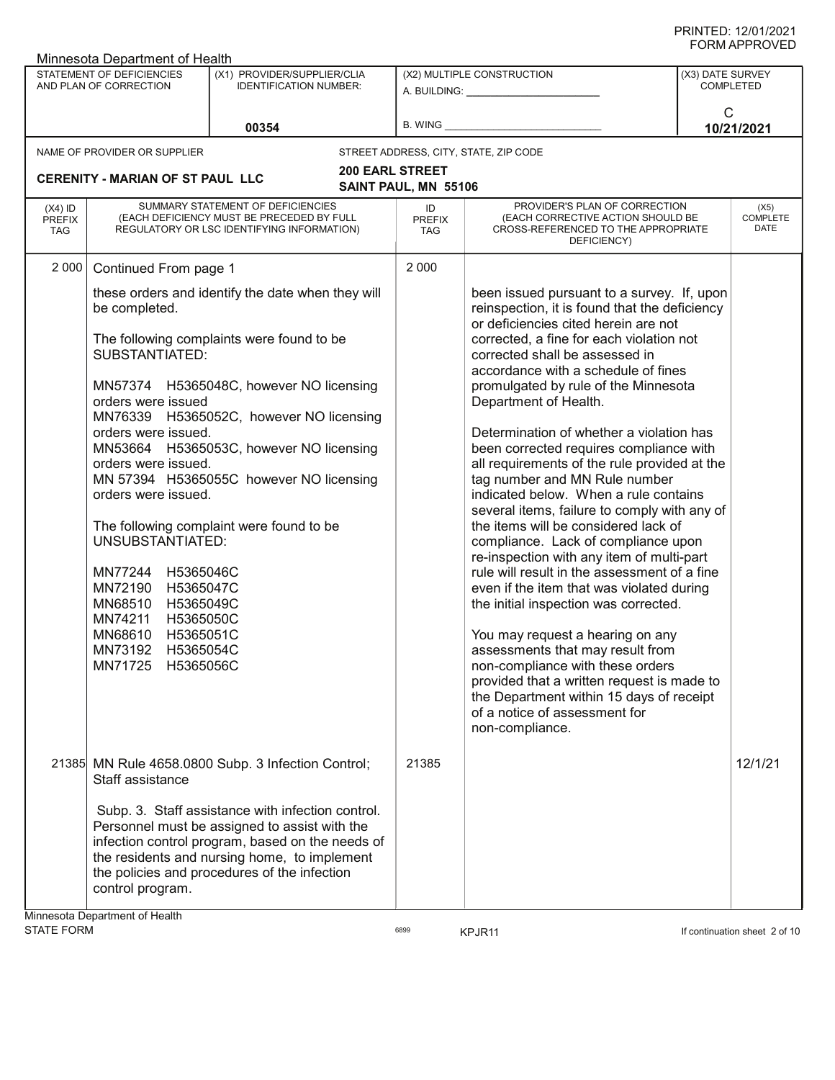|                                          | Minnesota Department of Health                                                                                                                                                                                                                                                                              |                                                                                                                                                                                                                                                                                                                        |                                   |                                                                                                                                                                                                                                                                                                                                                                                                                                                                                                                                                                                                                                                                                                                                                                                                                                                                                                                                                                                                                                                                                                                        |                                      |                                 |  |
|------------------------------------------|-------------------------------------------------------------------------------------------------------------------------------------------------------------------------------------------------------------------------------------------------------------------------------------------------------------|------------------------------------------------------------------------------------------------------------------------------------------------------------------------------------------------------------------------------------------------------------------------------------------------------------------------|-----------------------------------|------------------------------------------------------------------------------------------------------------------------------------------------------------------------------------------------------------------------------------------------------------------------------------------------------------------------------------------------------------------------------------------------------------------------------------------------------------------------------------------------------------------------------------------------------------------------------------------------------------------------------------------------------------------------------------------------------------------------------------------------------------------------------------------------------------------------------------------------------------------------------------------------------------------------------------------------------------------------------------------------------------------------------------------------------------------------------------------------------------------------|--------------------------------------|---------------------------------|--|
|                                          | STATEMENT OF DEFICIENCIES<br>AND PLAN OF CORRECTION                                                                                                                                                                                                                                                         | (X1) PROVIDER/SUPPLIER/CLIA<br><b>IDENTIFICATION NUMBER:</b>                                                                                                                                                                                                                                                           |                                   | (X2) MULTIPLE CONSTRUCTION<br>A. BUILDING: A. BUILDING:                                                                                                                                                                                                                                                                                                                                                                                                                                                                                                                                                                                                                                                                                                                                                                                                                                                                                                                                                                                                                                                                | (X3) DATE SURVEY<br><b>COMPLETED</b> |                                 |  |
|                                          |                                                                                                                                                                                                                                                                                                             | 00354                                                                                                                                                                                                                                                                                                                  |                                   |                                                                                                                                                                                                                                                                                                                                                                                                                                                                                                                                                                                                                                                                                                                                                                                                                                                                                                                                                                                                                                                                                                                        | $\mathsf{C}$<br>10/21/2021           |                                 |  |
|                                          | NAME OF PROVIDER OR SUPPLIER                                                                                                                                                                                                                                                                                |                                                                                                                                                                                                                                                                                                                        |                                   | STREET ADDRESS, CITY, STATE, ZIP CODE                                                                                                                                                                                                                                                                                                                                                                                                                                                                                                                                                                                                                                                                                                                                                                                                                                                                                                                                                                                                                                                                                  |                                      |                                 |  |
|                                          | <b>CERENITY - MARIAN OF ST PAUL LLC</b>                                                                                                                                                                                                                                                                     | <b>200 EARL STREET</b>                                                                                                                                                                                                                                                                                                 | SAINT PAUL, MN 55106              |                                                                                                                                                                                                                                                                                                                                                                                                                                                                                                                                                                                                                                                                                                                                                                                                                                                                                                                                                                                                                                                                                                                        |                                      |                                 |  |
| $(X4)$ ID<br><b>PREFIX</b><br><b>TAG</b> |                                                                                                                                                                                                                                                                                                             | SUMMARY STATEMENT OF DEFICIENCIES<br>(EACH DEFICIENCY MUST BE PRECEDED BY FULL<br>REGULATORY OR LSC IDENTIFYING INFORMATION)                                                                                                                                                                                           | ID<br><b>PREFIX</b><br><b>TAG</b> | PROVIDER'S PLAN OF CORRECTION<br>(EACH CORRECTIVE ACTION SHOULD BE<br>CROSS-REFERENCED TO THE APPROPRIATE<br>DEFICIENCY)                                                                                                                                                                                                                                                                                                                                                                                                                                                                                                                                                                                                                                                                                                                                                                                                                                                                                                                                                                                               |                                      | (X5)<br><b>COMPLETE</b><br>DATE |  |
| 2 0 0 0                                  | Continued From page 1                                                                                                                                                                                                                                                                                       |                                                                                                                                                                                                                                                                                                                        | 2 0 0 0                           |                                                                                                                                                                                                                                                                                                                                                                                                                                                                                                                                                                                                                                                                                                                                                                                                                                                                                                                                                                                                                                                                                                                        |                                      |                                 |  |
|                                          | be completed.<br><b>SUBSTANTIATED:</b><br>orders were issued<br>orders were issued.<br>orders were issued.<br>orders were issued.<br>UNSUBSTANTIATED:<br>MN77244 H5365046C<br>MN72190 H5365047C<br>MN68510 H5365049C<br>MN74211 H5365050C<br>MN68610 H5365051C<br>MN73192 H5365054C<br>MN71725<br>H5365056C | these orders and identify the date when they will<br>The following complaints were found to be<br>MN57374 H5365048C, however NO licensing<br>MN76339 H5365052C, however NO licensing<br>MN53664 H5365053C, however NO licensing<br>MN 57394 H5365055C however NO licensing<br>The following complaint were found to be |                                   | been issued pursuant to a survey. If, upon<br>reinspection, it is found that the deficiency<br>or deficiencies cited herein are not<br>corrected, a fine for each violation not<br>corrected shall be assessed in<br>accordance with a schedule of fines<br>promulgated by rule of the Minnesota<br>Department of Health.<br>Determination of whether a violation has<br>been corrected requires compliance with<br>all requirements of the rule provided at the<br>tag number and MN Rule number<br>indicated below. When a rule contains<br>several items, failure to comply with any of<br>the items will be considered lack of<br>compliance. Lack of compliance upon<br>re-inspection with any item of multi-part<br>rule will result in the assessment of a fine<br>even if the item that was violated during<br>the initial inspection was corrected.<br>You may request a hearing on any<br>assessments that may result from<br>non-compliance with these orders<br>provided that a written request is made to<br>the Department within 15 days of receipt<br>of a notice of assessment for<br>non-compliance. |                                      |                                 |  |
|                                          | Staff assistance                                                                                                                                                                                                                                                                                            | 21385 MN Rule 4658.0800 Subp. 3 Infection Control;                                                                                                                                                                                                                                                                     | 21385                             |                                                                                                                                                                                                                                                                                                                                                                                                                                                                                                                                                                                                                                                                                                                                                                                                                                                                                                                                                                                                                                                                                                                        |                                      | 12/1/21                         |  |
|                                          | control program.<br>Minnesota Department of Health                                                                                                                                                                                                                                                          | Subp. 3. Staff assistance with infection control.<br>Personnel must be assigned to assist with the<br>infection control program, based on the needs of<br>the residents and nursing home, to implement<br>the policies and procedures of the infection                                                                 |                                   |                                                                                                                                                                                                                                                                                                                                                                                                                                                                                                                                                                                                                                                                                                                                                                                                                                                                                                                                                                                                                                                                                                                        |                                      |                                 |  |

STATE FORM **EXAMPLE 19** TORM 6899 **KPJR11 KPJR11 CONTAINS FORM If continuation sheet 2 of 10**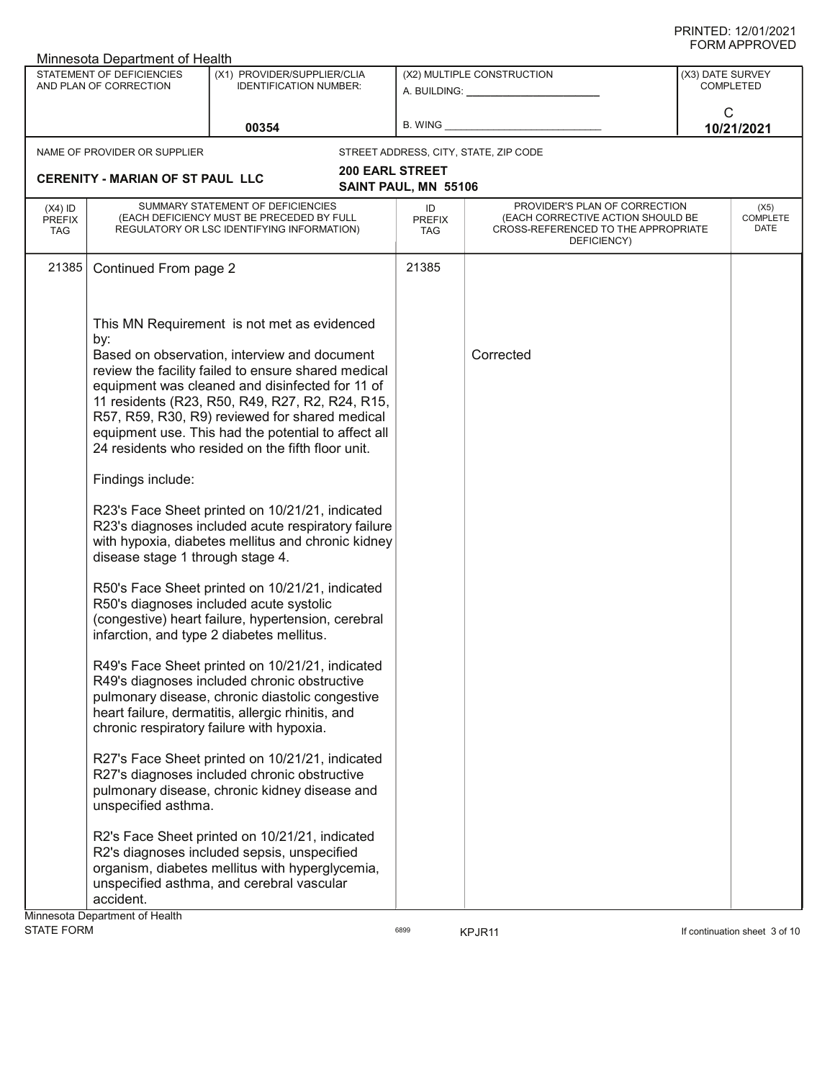|                                          | Minnesota Department of Health                                                      |                                                                                                                                                                                                                                                                                                                                                                                                                                                                                                                                                                                                                                                                                                                                                                                                                                                                                                                                                                                                                                                                                                                                                                                                                                                                                                                                                                                                     |                                   |                                                                                                                          |                  | <b>JINIAI LIVULL</b>            |
|------------------------------------------|-------------------------------------------------------------------------------------|-----------------------------------------------------------------------------------------------------------------------------------------------------------------------------------------------------------------------------------------------------------------------------------------------------------------------------------------------------------------------------------------------------------------------------------------------------------------------------------------------------------------------------------------------------------------------------------------------------------------------------------------------------------------------------------------------------------------------------------------------------------------------------------------------------------------------------------------------------------------------------------------------------------------------------------------------------------------------------------------------------------------------------------------------------------------------------------------------------------------------------------------------------------------------------------------------------------------------------------------------------------------------------------------------------------------------------------------------------------------------------------------------------|-----------------------------------|--------------------------------------------------------------------------------------------------------------------------|------------------|---------------------------------|
|                                          | STATEMENT OF DEFICIENCIES<br>AND PLAN OF CORRECTION                                 | (X1) PROVIDER/SUPPLIER/CLIA<br><b>IDENTIFICATION NUMBER:</b>                                                                                                                                                                                                                                                                                                                                                                                                                                                                                                                                                                                                                                                                                                                                                                                                                                                                                                                                                                                                                                                                                                                                                                                                                                                                                                                                        |                                   | (X2) MULTIPLE CONSTRUCTION<br>A. BUILDING: A.                                                                            | (X3) DATE SURVEY | <b>COMPLETED</b>                |
|                                          |                                                                                     | 00354                                                                                                                                                                                                                                                                                                                                                                                                                                                                                                                                                                                                                                                                                                                                                                                                                                                                                                                                                                                                                                                                                                                                                                                                                                                                                                                                                                                               | B. WING                           |                                                                                                                          | $\mathsf{C}$     | 10/21/2021                      |
|                                          | NAME OF PROVIDER OR SUPPLIER                                                        |                                                                                                                                                                                                                                                                                                                                                                                                                                                                                                                                                                                                                                                                                                                                                                                                                                                                                                                                                                                                                                                                                                                                                                                                                                                                                                                                                                                                     |                                   | STREET ADDRESS, CITY, STATE, ZIP CODE                                                                                    |                  |                                 |
|                                          | <b>CERENITY - MARIAN OF ST PAUL LLC</b>                                             | <b>200 EARL STREET</b>                                                                                                                                                                                                                                                                                                                                                                                                                                                                                                                                                                                                                                                                                                                                                                                                                                                                                                                                                                                                                                                                                                                                                                                                                                                                                                                                                                              |                                   |                                                                                                                          |                  |                                 |
|                                          |                                                                                     |                                                                                                                                                                                                                                                                                                                                                                                                                                                                                                                                                                                                                                                                                                                                                                                                                                                                                                                                                                                                                                                                                                                                                                                                                                                                                                                                                                                                     | SAINT PAUL, MN 55106              |                                                                                                                          |                  |                                 |
| $(X4)$ ID<br><b>PREFIX</b><br><b>TAG</b> |                                                                                     | SUMMARY STATEMENT OF DEFICIENCIES<br>(EACH DEFICIENCY MUST BE PRECEDED BY FULL<br>REGULATORY OR LSC IDENTIFYING INFORMATION)                                                                                                                                                                                                                                                                                                                                                                                                                                                                                                                                                                                                                                                                                                                                                                                                                                                                                                                                                                                                                                                                                                                                                                                                                                                                        | ID<br><b>PREFIX</b><br><b>TAG</b> | PROVIDER'S PLAN OF CORRECTION<br>(EACH CORRECTIVE ACTION SHOULD BE<br>CROSS-REFERENCED TO THE APPROPRIATE<br>DEFICIENCY) |                  | (X5)<br><b>COMPLETE</b><br>DATE |
| 21385                                    | Continued From page 2                                                               |                                                                                                                                                                                                                                                                                                                                                                                                                                                                                                                                                                                                                                                                                                                                                                                                                                                                                                                                                                                                                                                                                                                                                                                                                                                                                                                                                                                                     | 21385                             |                                                                                                                          |                  |                                 |
|                                          | by:<br>Findings include:<br>disease stage 1 through stage 4.<br>unspecified asthma. | This MN Requirement is not met as evidenced<br>Based on observation, interview and document<br>review the facility failed to ensure shared medical<br>equipment was cleaned and disinfected for 11 of<br>11 residents (R23, R50, R49, R27, R2, R24, R15,<br>R57, R59, R30, R9) reviewed for shared medical<br>equipment use. This had the potential to affect all<br>24 residents who resided on the fifth floor unit.<br>R23's Face Sheet printed on 10/21/21, indicated<br>R23's diagnoses included acute respiratory failure<br>with hypoxia, diabetes mellitus and chronic kidney<br>R50's Face Sheet printed on 10/21/21, indicated<br>R50's diagnoses included acute systolic<br>(congestive) heart failure, hypertension, cerebral<br>infarction, and type 2 diabetes mellitus.<br>R49's Face Sheet printed on 10/21/21, indicated<br>R49's diagnoses included chronic obstructive<br>pulmonary disease, chronic diastolic congestive<br>heart failure, dermatitis, allergic rhinitis, and<br>chronic respiratory failure with hypoxia.<br>R27's Face Sheet printed on 10/21/21, indicated<br>R27's diagnoses included chronic obstructive<br>pulmonary disease, chronic kidney disease and<br>R2's Face Sheet printed on 10/21/21, indicated<br>R2's diagnoses included sepsis, unspecified<br>organism, diabetes mellitus with hyperglycemia,<br>unspecified asthma, and cerebral vascular |                                   | Corrected                                                                                                                |                  |                                 |
|                                          | accident.<br>Minnesota Department of Health                                         |                                                                                                                                                                                                                                                                                                                                                                                                                                                                                                                                                                                                                                                                                                                                                                                                                                                                                                                                                                                                                                                                                                                                                                                                                                                                                                                                                                                                     |                                   |                                                                                                                          |                  |                                 |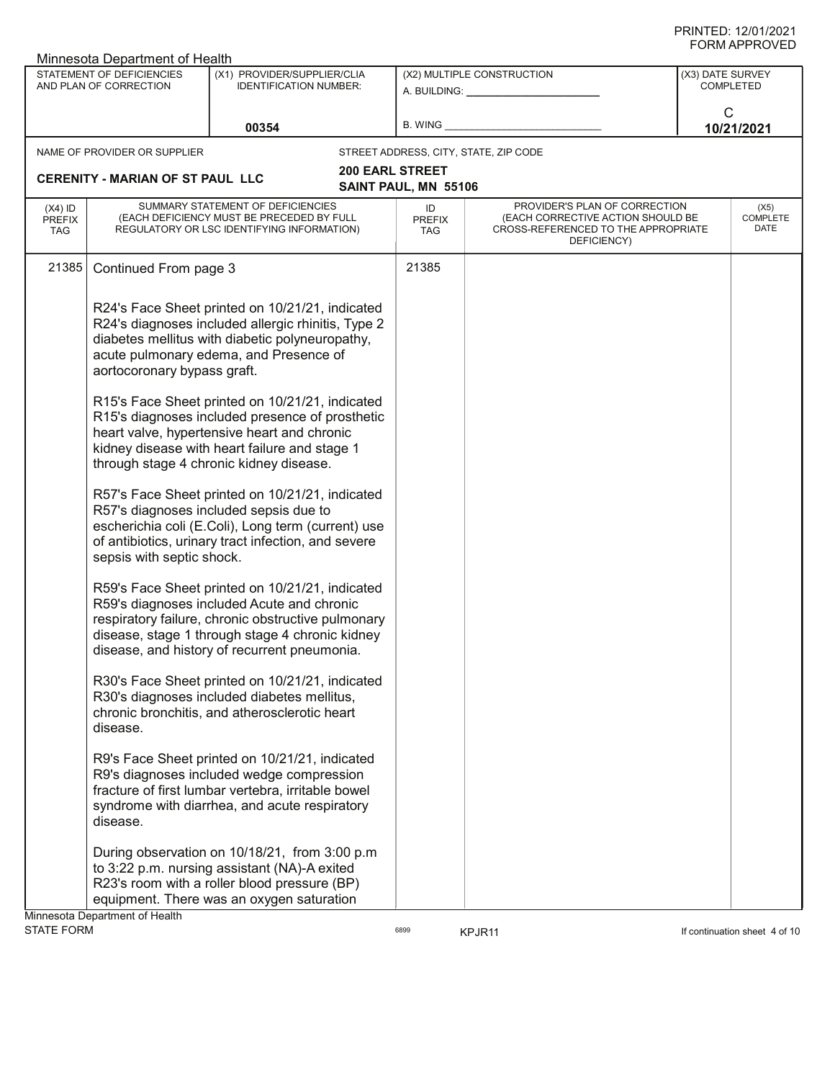|                                          | Minnesota Department of Health                                       |                                                                                                                                                                                                                                                                                                                                                                                                                                                                                                                                                                                                                                                                                                                                                                                                                                                                                                                                                                                                                                                                                                                              |                                                |                                                                                                                          | ש∟יטוור וחיוויט                      |                                 |
|------------------------------------------|----------------------------------------------------------------------|------------------------------------------------------------------------------------------------------------------------------------------------------------------------------------------------------------------------------------------------------------------------------------------------------------------------------------------------------------------------------------------------------------------------------------------------------------------------------------------------------------------------------------------------------------------------------------------------------------------------------------------------------------------------------------------------------------------------------------------------------------------------------------------------------------------------------------------------------------------------------------------------------------------------------------------------------------------------------------------------------------------------------------------------------------------------------------------------------------------------------|------------------------------------------------|--------------------------------------------------------------------------------------------------------------------------|--------------------------------------|---------------------------------|
|                                          | STATEMENT OF DEFICIENCIES<br>AND PLAN OF CORRECTION                  | (X1) PROVIDER/SUPPLIER/CLIA<br><b>IDENTIFICATION NUMBER:</b>                                                                                                                                                                                                                                                                                                                                                                                                                                                                                                                                                                                                                                                                                                                                                                                                                                                                                                                                                                                                                                                                 |                                                | (X2) MULTIPLE CONSTRUCTION<br>A. BUILDING: ________________                                                              | (X3) DATE SURVEY<br><b>COMPLETED</b> |                                 |
|                                          |                                                                      | 00354                                                                                                                                                                                                                                                                                                                                                                                                                                                                                                                                                                                                                                                                                                                                                                                                                                                                                                                                                                                                                                                                                                                        | B. WING                                        |                                                                                                                          | C                                    | 10/21/2021                      |
|                                          | NAME OF PROVIDER OR SUPPLIER                                         |                                                                                                                                                                                                                                                                                                                                                                                                                                                                                                                                                                                                                                                                                                                                                                                                                                                                                                                                                                                                                                                                                                                              |                                                | STREET ADDRESS, CITY, STATE, ZIP CODE                                                                                    |                                      |                                 |
|                                          | <b>CERENITY - MARIAN OF ST PAUL LLC</b>                              |                                                                                                                                                                                                                                                                                                                                                                                                                                                                                                                                                                                                                                                                                                                                                                                                                                                                                                                                                                                                                                                                                                                              | <b>200 EARL STREET</b><br>SAINT PAUL, MN 55106 |                                                                                                                          |                                      |                                 |
| $(X4)$ ID<br><b>PREFIX</b><br><b>TAG</b> |                                                                      | SUMMARY STATEMENT OF DEFICIENCIES<br>(EACH DEFICIENCY MUST BE PRECEDED BY FULL<br>REGULATORY OR LSC IDENTIFYING INFORMATION)                                                                                                                                                                                                                                                                                                                                                                                                                                                                                                                                                                                                                                                                                                                                                                                                                                                                                                                                                                                                 | ID<br><b>PREFIX</b><br>TAG                     | PROVIDER'S PLAN OF CORRECTION<br>(EACH CORRECTIVE ACTION SHOULD BE<br>CROSS-REFERENCED TO THE APPROPRIATE<br>DEFICIENCY) |                                      | (X5)<br><b>COMPLETE</b><br>DATE |
| 21385                                    | Continued From page 3                                                |                                                                                                                                                                                                                                                                                                                                                                                                                                                                                                                                                                                                                                                                                                                                                                                                                                                                                                                                                                                                                                                                                                                              | 21385                                          |                                                                                                                          |                                      |                                 |
|                                          | aortocoronary bypass graft.<br>sepsis with septic shock.<br>disease. | R24's Face Sheet printed on 10/21/21, indicated<br>R24's diagnoses included allergic rhinitis, Type 2<br>diabetes mellitus with diabetic polyneuropathy,<br>acute pulmonary edema, and Presence of<br>R15's Face Sheet printed on 10/21/21, indicated<br>R15's diagnoses included presence of prosthetic<br>heart valve, hypertensive heart and chronic<br>kidney disease with heart failure and stage 1<br>through stage 4 chronic kidney disease.<br>R57's Face Sheet printed on 10/21/21, indicated<br>R57's diagnoses included sepsis due to<br>escherichia coli (E.Coli), Long term (current) use<br>of antibiotics, urinary tract infection, and severe<br>R59's Face Sheet printed on 10/21/21, indicated<br>R59's diagnoses included Acute and chronic<br>respiratory failure, chronic obstructive pulmonary<br>disease, stage 1 through stage 4 chronic kidney<br>disease, and history of recurrent pneumonia.<br>R30's Face Sheet printed on 10/21/21, indicated<br>R30's diagnoses included diabetes mellitus,<br>chronic bronchitis, and atherosclerotic heart<br>R9's Face Sheet printed on 10/21/21, indicated |                                                |                                                                                                                          |                                      |                                 |
|                                          | disease.                                                             | R9's diagnoses included wedge compression<br>fracture of first lumbar vertebra, irritable bowel<br>syndrome with diarrhea, and acute respiratory                                                                                                                                                                                                                                                                                                                                                                                                                                                                                                                                                                                                                                                                                                                                                                                                                                                                                                                                                                             |                                                |                                                                                                                          |                                      |                                 |
|                                          | Minnesota Department of Health                                       | During observation on 10/18/21, from 3:00 p.m.<br>to 3:22 p.m. nursing assistant (NA)-A exited<br>R23's room with a roller blood pressure (BP)<br>equipment. There was an oxygen saturation                                                                                                                                                                                                                                                                                                                                                                                                                                                                                                                                                                                                                                                                                                                                                                                                                                                                                                                                  |                                                |                                                                                                                          |                                      |                                 |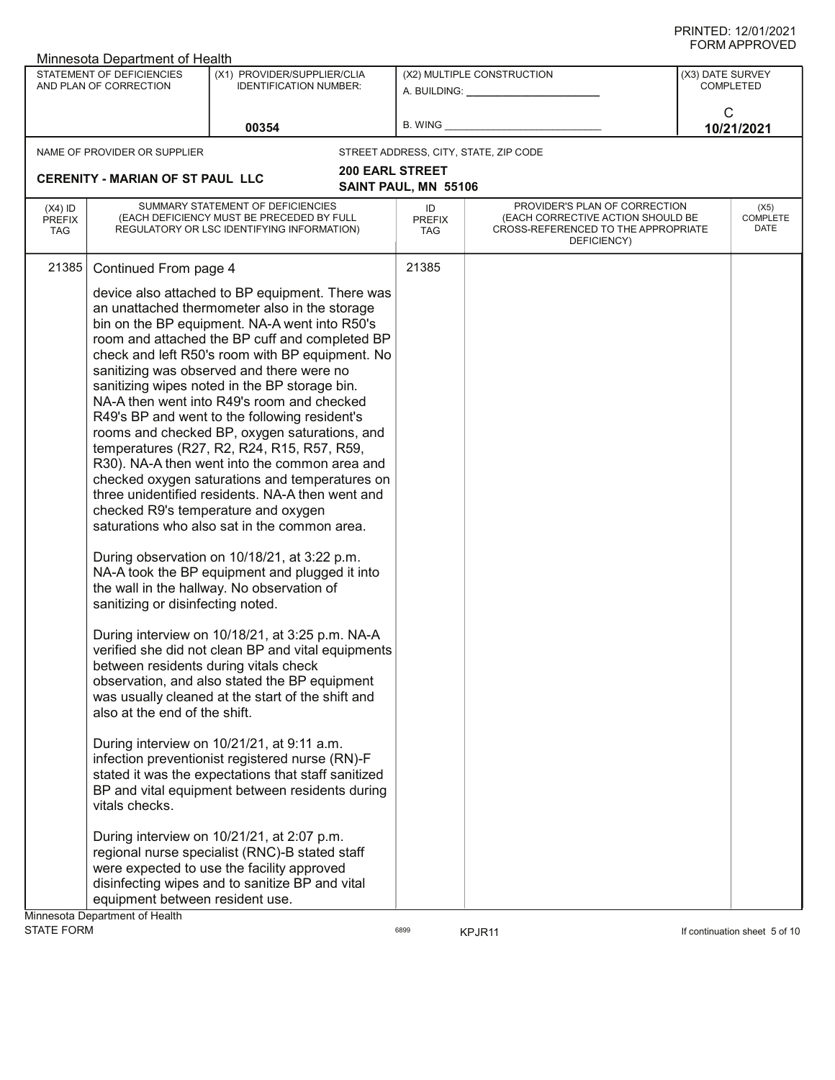|                                          | Minnesota Department of Health                                                                                |                                                                                                                                                                                                                                                                                                                                                                                                                                                                                                                                                                                                                                                                                                                                                                                                                                                                                                                                                                                                                                                                                                                                                                                                                                                                                                                                                                                                                                                                                                                                                                                                                      |                            |                                                                                                                          |                                      |                          |
|------------------------------------------|---------------------------------------------------------------------------------------------------------------|----------------------------------------------------------------------------------------------------------------------------------------------------------------------------------------------------------------------------------------------------------------------------------------------------------------------------------------------------------------------------------------------------------------------------------------------------------------------------------------------------------------------------------------------------------------------------------------------------------------------------------------------------------------------------------------------------------------------------------------------------------------------------------------------------------------------------------------------------------------------------------------------------------------------------------------------------------------------------------------------------------------------------------------------------------------------------------------------------------------------------------------------------------------------------------------------------------------------------------------------------------------------------------------------------------------------------------------------------------------------------------------------------------------------------------------------------------------------------------------------------------------------------------------------------------------------------------------------------------------------|----------------------------|--------------------------------------------------------------------------------------------------------------------------|--------------------------------------|--------------------------|
|                                          | <b>STATEMENT OF DEFICIENCIES</b><br>AND PLAN OF CORRECTION                                                    | (X1) PROVIDER/SUPPLIER/CLIA<br><b>IDENTIFICATION NUMBER:</b>                                                                                                                                                                                                                                                                                                                                                                                                                                                                                                                                                                                                                                                                                                                                                                                                                                                                                                                                                                                                                                                                                                                                                                                                                                                                                                                                                                                                                                                                                                                                                         |                            | (X2) MULTIPLE CONSTRUCTION                                                                                               | (X3) DATE SURVEY<br><b>COMPLETED</b> |                          |
|                                          |                                                                                                               | 00354                                                                                                                                                                                                                                                                                                                                                                                                                                                                                                                                                                                                                                                                                                                                                                                                                                                                                                                                                                                                                                                                                                                                                                                                                                                                                                                                                                                                                                                                                                                                                                                                                | <b>B. WING</b>             |                                                                                                                          | C<br>10/21/2021                      |                          |
|                                          | NAME OF PROVIDER OR SUPPLIER                                                                                  |                                                                                                                                                                                                                                                                                                                                                                                                                                                                                                                                                                                                                                                                                                                                                                                                                                                                                                                                                                                                                                                                                                                                                                                                                                                                                                                                                                                                                                                                                                                                                                                                                      |                            | STREET ADDRESS, CITY, STATE, ZIP CODE                                                                                    |                                      |                          |
|                                          |                                                                                                               | <b>200 EARL STREET</b>                                                                                                                                                                                                                                                                                                                                                                                                                                                                                                                                                                                                                                                                                                                                                                                                                                                                                                                                                                                                                                                                                                                                                                                                                                                                                                                                                                                                                                                                                                                                                                                               |                            |                                                                                                                          |                                      |                          |
| <b>CERENITY - MARIAN OF ST PAUL LLC</b>  |                                                                                                               |                                                                                                                                                                                                                                                                                                                                                                                                                                                                                                                                                                                                                                                                                                                                                                                                                                                                                                                                                                                                                                                                                                                                                                                                                                                                                                                                                                                                                                                                                                                                                                                                                      | SAINT PAUL, MN 55106       |                                                                                                                          |                                      |                          |
| $(X4)$ ID<br><b>PREFIX</b><br><b>TAG</b> |                                                                                                               | SUMMARY STATEMENT OF DEFICIENCIES<br>(EACH DEFICIENCY MUST BE PRECEDED BY FULL<br>REGULATORY OR LSC IDENTIFYING INFORMATION)                                                                                                                                                                                                                                                                                                                                                                                                                                                                                                                                                                                                                                                                                                                                                                                                                                                                                                                                                                                                                                                                                                                                                                                                                                                                                                                                                                                                                                                                                         | ID<br><b>PREFIX</b><br>TAG | PROVIDER'S PLAN OF CORRECTION<br>(EACH CORRECTIVE ACTION SHOULD BE<br>CROSS-REFERENCED TO THE APPROPRIATE<br>DEFICIENCY) |                                      | (X5)<br>COMPLETE<br>DATE |
| 21385                                    | Continued From page 4<br>sanitizing or disinfecting noted.<br>also at the end of the shift.<br>vitals checks. | device also attached to BP equipment. There was<br>an unattached thermometer also in the storage<br>bin on the BP equipment. NA-A went into R50's<br>room and attached the BP cuff and completed BP<br>check and left R50's room with BP equipment. No<br>sanitizing was observed and there were no<br>sanitizing wipes noted in the BP storage bin.<br>NA-A then went into R49's room and checked<br>R49's BP and went to the following resident's<br>rooms and checked BP, oxygen saturations, and<br>temperatures (R27, R2, R24, R15, R57, R59,<br>R30). NA-A then went into the common area and<br>checked oxygen saturations and temperatures on<br>three unidentified residents. NA-A then went and<br>checked R9's temperature and oxygen<br>saturations who also sat in the common area.<br>During observation on 10/18/21, at 3:22 p.m.<br>NA-A took the BP equipment and plugged it into<br>the wall in the hallway. No observation of<br>During interview on 10/18/21, at 3:25 p.m. NA-A<br>verified she did not clean BP and vital equipments<br>between residents during vitals check<br>observation, and also stated the BP equipment<br>was usually cleaned at the start of the shift and<br>During interview on 10/21/21, at 9:11 a.m.<br>infection preventionist registered nurse (RN)-F<br>stated it was the expectations that staff sanitized<br>BP and vital equipment between residents during<br>During interview on 10/21/21, at 2:07 p.m.<br>regional nurse specialist (RNC)-B stated staff<br>were expected to use the facility approved<br>disinfecting wipes and to sanitize BP and vital | 21385                      |                                                                                                                          |                                      |                          |
|                                          | equipment between resident use.<br>Minnesota Department of Health                                             |                                                                                                                                                                                                                                                                                                                                                                                                                                                                                                                                                                                                                                                                                                                                                                                                                                                                                                                                                                                                                                                                                                                                                                                                                                                                                                                                                                                                                                                                                                                                                                                                                      |                            |                                                                                                                          |                                      |                          |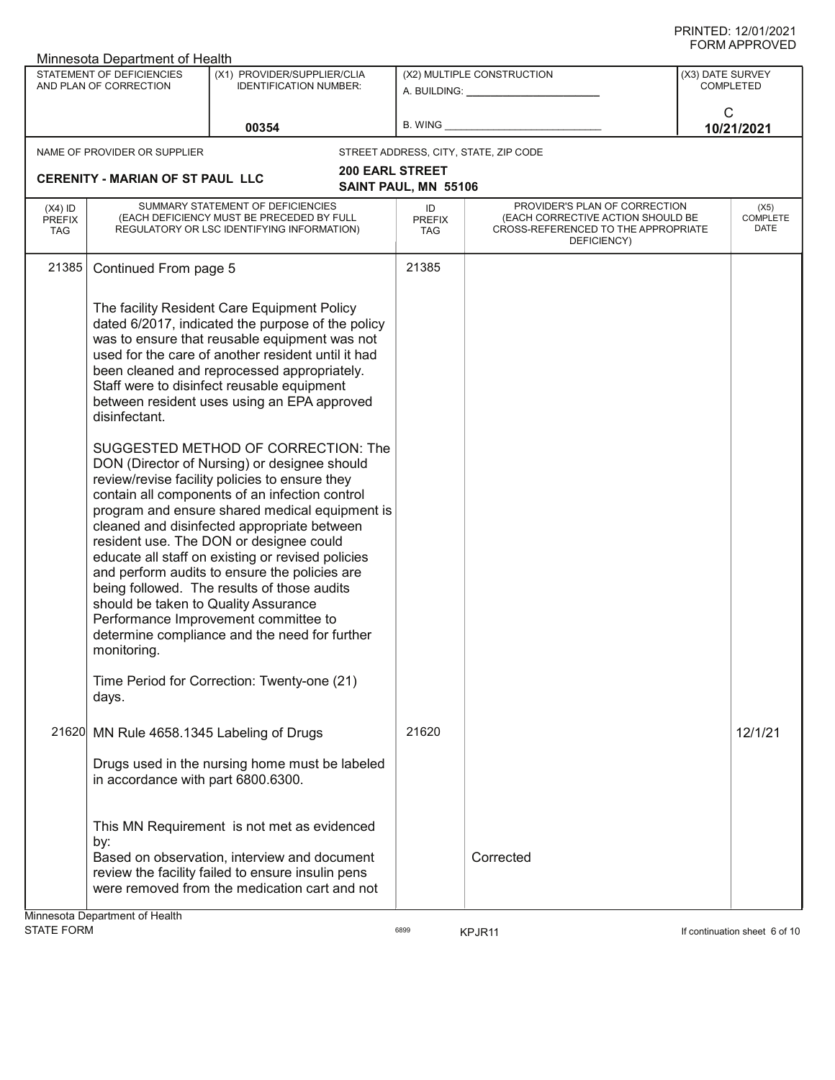|                                          | Minnesota Department of Health                                       |                                                                                                                                                                                                                                                                                                                                                                                                                                                                                                                                                                                                                                                                                                                                                                                                                                                                                                                                          |                                                |                                                                                                                          |                                      | שם עריונות וחיות                |
|------------------------------------------|----------------------------------------------------------------------|------------------------------------------------------------------------------------------------------------------------------------------------------------------------------------------------------------------------------------------------------------------------------------------------------------------------------------------------------------------------------------------------------------------------------------------------------------------------------------------------------------------------------------------------------------------------------------------------------------------------------------------------------------------------------------------------------------------------------------------------------------------------------------------------------------------------------------------------------------------------------------------------------------------------------------------|------------------------------------------------|--------------------------------------------------------------------------------------------------------------------------|--------------------------------------|---------------------------------|
|                                          | STATEMENT OF DEFICIENCIES<br>AND PLAN OF CORRECTION                  | (X1) PROVIDER/SUPPLIER/CLIA<br><b>IDENTIFICATION NUMBER:</b>                                                                                                                                                                                                                                                                                                                                                                                                                                                                                                                                                                                                                                                                                                                                                                                                                                                                             |                                                | (X2) MULTIPLE CONSTRUCTION<br>A. BUILDING: A. BUILDING:                                                                  | (X3) DATE SURVEY<br><b>COMPLETED</b> |                                 |
|                                          |                                                                      | 00354                                                                                                                                                                                                                                                                                                                                                                                                                                                                                                                                                                                                                                                                                                                                                                                                                                                                                                                                    | B. WING                                        |                                                                                                                          | $\mathsf{C}$<br>10/21/2021           |                                 |
|                                          | NAME OF PROVIDER OR SUPPLIER                                         |                                                                                                                                                                                                                                                                                                                                                                                                                                                                                                                                                                                                                                                                                                                                                                                                                                                                                                                                          |                                                | STREET ADDRESS, CITY, STATE, ZIP CODE                                                                                    |                                      |                                 |
|                                          | <b>CERENITY - MARIAN OF ST PAUL LLC</b>                              |                                                                                                                                                                                                                                                                                                                                                                                                                                                                                                                                                                                                                                                                                                                                                                                                                                                                                                                                          | <b>200 EARL STREET</b><br>SAINT PAUL, MN 55106 |                                                                                                                          |                                      |                                 |
| $(X4)$ ID<br><b>PREFIX</b><br><b>TAG</b> |                                                                      | SUMMARY STATEMENT OF DEFICIENCIES<br>(EACH DEFICIENCY MUST BE PRECEDED BY FULL<br>REGULATORY OR LSC IDENTIFYING INFORMATION)                                                                                                                                                                                                                                                                                                                                                                                                                                                                                                                                                                                                                                                                                                                                                                                                             | ID<br><b>PREFIX</b><br><b>TAG</b>              | PROVIDER'S PLAN OF CORRECTION<br>(EACH CORRECTIVE ACTION SHOULD BE<br>CROSS-REFERENCED TO THE APPROPRIATE<br>DEFICIENCY) |                                      | (X5)<br><b>COMPLETE</b><br>DATE |
| 21385                                    | Continued From page 5                                                |                                                                                                                                                                                                                                                                                                                                                                                                                                                                                                                                                                                                                                                                                                                                                                                                                                                                                                                                          | 21385                                          |                                                                                                                          |                                      |                                 |
|                                          | disinfectant.<br>should be taken to Quality Assurance<br>monitoring. | The facility Resident Care Equipment Policy<br>dated 6/2017, indicated the purpose of the policy<br>was to ensure that reusable equipment was not<br>used for the care of another resident until it had<br>been cleaned and reprocessed appropriately.<br>Staff were to disinfect reusable equipment<br>between resident uses using an EPA approved<br>SUGGESTED METHOD OF CORRECTION: The<br>DON (Director of Nursing) or designee should<br>review/revise facility policies to ensure they<br>contain all components of an infection control<br>program and ensure shared medical equipment is<br>cleaned and disinfected appropriate between<br>resident use. The DON or designee could<br>educate all staff on existing or revised policies<br>and perform audits to ensure the policies are<br>being followed. The results of those audits<br>Performance Improvement committee to<br>determine compliance and the need for further |                                                |                                                                                                                          |                                      |                                 |
|                                          | days.                                                                | Time Period for Correction: Twenty-one (21)                                                                                                                                                                                                                                                                                                                                                                                                                                                                                                                                                                                                                                                                                                                                                                                                                                                                                              |                                                |                                                                                                                          |                                      |                                 |
|                                          | 21620 MN Rule 4658.1345 Labeling of Drugs                            |                                                                                                                                                                                                                                                                                                                                                                                                                                                                                                                                                                                                                                                                                                                                                                                                                                                                                                                                          | 21620                                          |                                                                                                                          |                                      | 12/1/21                         |
|                                          | in accordance with part 6800.6300.                                   | Drugs used in the nursing home must be labeled                                                                                                                                                                                                                                                                                                                                                                                                                                                                                                                                                                                                                                                                                                                                                                                                                                                                                           |                                                |                                                                                                                          |                                      |                                 |
|                                          | by:                                                                  | This MN Requirement is not met as evidenced                                                                                                                                                                                                                                                                                                                                                                                                                                                                                                                                                                                                                                                                                                                                                                                                                                                                                              |                                                |                                                                                                                          |                                      |                                 |
|                                          | Minnesota Denartment of Health                                       | Based on observation, interview and document<br>review the facility failed to ensure insulin pens<br>were removed from the medication cart and not                                                                                                                                                                                                                                                                                                                                                                                                                                                                                                                                                                                                                                                                                                                                                                                       |                                                | Corrected                                                                                                                |                                      |                                 |

Minnesota Department of Health

assets of the KPJR11 and the state of the state of the state of the state of the state of the state of the state of the state of the state of the state of the state of the state of the state of the state of the state of th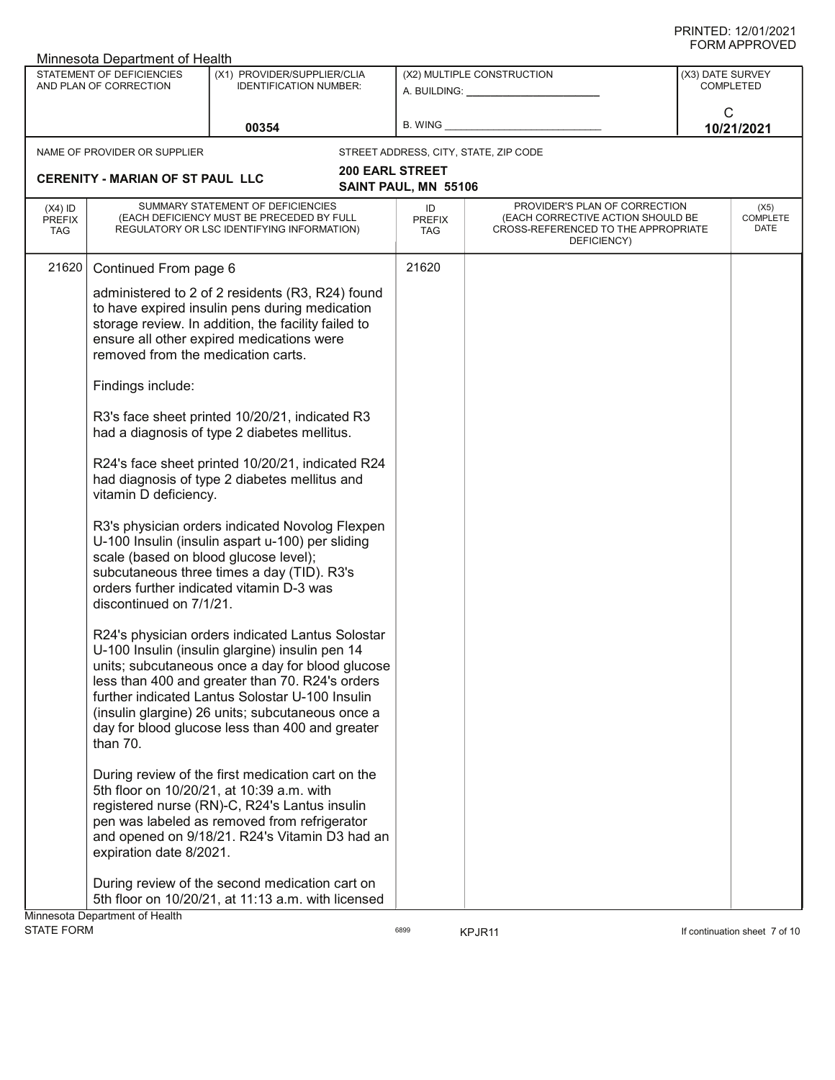| ש∟יטוור וחיוויט<br>Minnesota Department of Health          |                                                                  |                                                                                                                                                                                                                                                                                                                                                                      |                                                         |                                                                                                                          |                                      |                                 |  |
|------------------------------------------------------------|------------------------------------------------------------------|----------------------------------------------------------------------------------------------------------------------------------------------------------------------------------------------------------------------------------------------------------------------------------------------------------------------------------------------------------------------|---------------------------------------------------------|--------------------------------------------------------------------------------------------------------------------------|--------------------------------------|---------------------------------|--|
| <b>STATEMENT OF DEFICIENCIES</b><br>AND PLAN OF CORRECTION |                                                                  | (X1) PROVIDER/SUPPLIER/CLIA<br><b>IDENTIFICATION NUMBER:</b>                                                                                                                                                                                                                                                                                                         | (X2) MULTIPLE CONSTRUCTION<br>A. BUILDING: A. BUILDING: |                                                                                                                          | (X3) DATE SURVEY<br><b>COMPLETED</b> |                                 |  |
|                                                            |                                                                  | 00354                                                                                                                                                                                                                                                                                                                                                                | B. WING                                                 |                                                                                                                          | C                                    | 10/21/2021                      |  |
|                                                            | NAME OF PROVIDER OR SUPPLIER                                     |                                                                                                                                                                                                                                                                                                                                                                      |                                                         | STREET ADDRESS, CITY, STATE, ZIP CODE                                                                                    |                                      |                                 |  |
|                                                            | <b>CERENITY - MARIAN OF ST PAUL LLC</b>                          |                                                                                                                                                                                                                                                                                                                                                                      | <b>200 EARL STREET</b><br>SAINT PAUL, MN 55106          |                                                                                                                          |                                      |                                 |  |
| $(X4)$ ID<br><b>PREFIX</b><br><b>TAG</b>                   |                                                                  | SUMMARY STATEMENT OF DEFICIENCIES<br>(EACH DEFICIENCY MUST BE PRECEDED BY FULL<br>REGULATORY OR LSC IDENTIFYING INFORMATION)                                                                                                                                                                                                                                         | ID<br><b>PREFIX</b><br>TAG                              | PROVIDER'S PLAN OF CORRECTION<br>(EACH CORRECTIVE ACTION SHOULD BE<br>CROSS-REFERENCED TO THE APPROPRIATE<br>DEFICIENCY) |                                      | (X5)<br><b>COMPLETE</b><br>DATE |  |
| 21620                                                      | Continued From page 6                                            |                                                                                                                                                                                                                                                                                                                                                                      | 21620                                                   |                                                                                                                          |                                      |                                 |  |
|                                                            | removed from the medication carts.                               | administered to 2 of 2 residents (R3, R24) found<br>to have expired insulin pens during medication<br>storage review. In addition, the facility failed to<br>ensure all other expired medications were                                                                                                                                                               |                                                         |                                                                                                                          |                                      |                                 |  |
|                                                            | Findings include:                                                |                                                                                                                                                                                                                                                                                                                                                                      |                                                         |                                                                                                                          |                                      |                                 |  |
|                                                            |                                                                  | R3's face sheet printed 10/20/21, indicated R3<br>had a diagnosis of type 2 diabetes mellitus.                                                                                                                                                                                                                                                                       |                                                         |                                                                                                                          |                                      |                                 |  |
|                                                            | vitamin D deficiency.                                            | R24's face sheet printed 10/20/21, indicated R24<br>had diagnosis of type 2 diabetes mellitus and                                                                                                                                                                                                                                                                    |                                                         |                                                                                                                          |                                      |                                 |  |
|                                                            | scale (based on blood glucose level);<br>discontinued on 7/1/21. | R3's physician orders indicated Novolog Flexpen<br>U-100 Insulin (insulin aspart u-100) per sliding<br>subcutaneous three times a day (TID). R3's<br>orders further indicated vitamin D-3 was                                                                                                                                                                        |                                                         |                                                                                                                          |                                      |                                 |  |
|                                                            | than 70.                                                         | R24's physician orders indicated Lantus Solostar<br>U-100 Insulin (insulin glargine) insulin pen 14<br>units; subcutaneous once a day for blood glucose<br>less than 400 and greater than 70. R24's orders<br>further indicated Lantus Solostar U-100 Insulin<br>(insulin glargine) 26 units; subcutaneous once a<br>day for blood glucose less than 400 and greater |                                                         |                                                                                                                          |                                      |                                 |  |
|                                                            | expiration date 8/2021.                                          | During review of the first medication cart on the<br>5th floor on 10/20/21, at 10:39 a.m. with<br>registered nurse (RN)-C, R24's Lantus insulin<br>pen was labeled as removed from refrigerator<br>and opened on 9/18/21. R24's Vitamin D3 had an                                                                                                                    |                                                         |                                                                                                                          |                                      |                                 |  |
|                                                            | Minnesota Department of Health                                   | During review of the second medication cart on<br>5th floor on 10/20/21, at 11:13 a.m. with licensed                                                                                                                                                                                                                                                                 |                                                         |                                                                                                                          |                                      |                                 |  |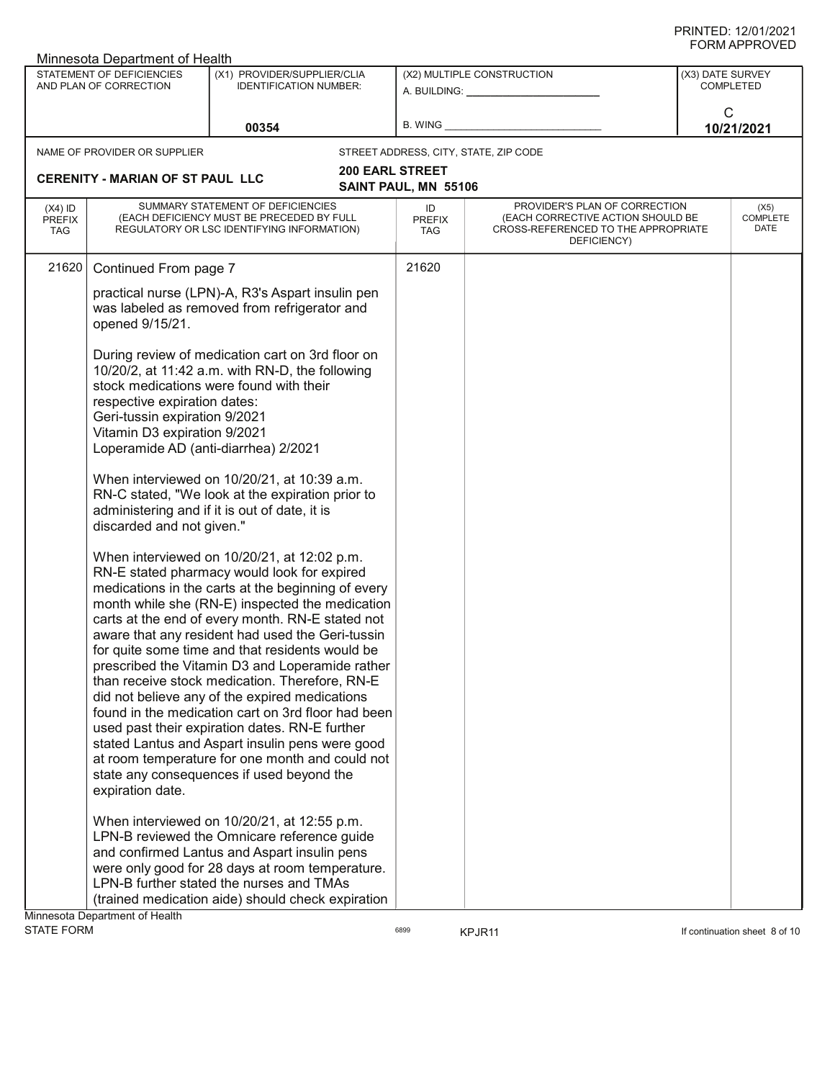| ש∟יטוור וחיוויט<br>Minnesota Department of Health   |                                                                                                                                                                    |                                                                                                                                                                                                                                                                                                                                                                                                                                                                                                                                                                                                                                                                                                                                                                                                                                                                                                                                                                                                                                                                                    |                                                                    |                                                                                                                          |                                                         |                          |  |
|-----------------------------------------------------|--------------------------------------------------------------------------------------------------------------------------------------------------------------------|------------------------------------------------------------------------------------------------------------------------------------------------------------------------------------------------------------------------------------------------------------------------------------------------------------------------------------------------------------------------------------------------------------------------------------------------------------------------------------------------------------------------------------------------------------------------------------------------------------------------------------------------------------------------------------------------------------------------------------------------------------------------------------------------------------------------------------------------------------------------------------------------------------------------------------------------------------------------------------------------------------------------------------------------------------------------------------|--------------------------------------------------------------------|--------------------------------------------------------------------------------------------------------------------------|---------------------------------------------------------|--------------------------|--|
| STATEMENT OF DEFICIENCIES<br>AND PLAN OF CORRECTION |                                                                                                                                                                    | (X1) PROVIDER/SUPPLIER/CLIA<br><b>IDENTIFICATION NUMBER:</b>                                                                                                                                                                                                                                                                                                                                                                                                                                                                                                                                                                                                                                                                                                                                                                                                                                                                                                                                                                                                                       | (X2) MULTIPLE CONSTRUCTION<br>A. BUILDING: A. BUILDING:<br>B. WING |                                                                                                                          | (X3) DATE SURVEY<br><b>COMPLETED</b><br>C<br>10/21/2021 |                          |  |
| 00354                                               |                                                                                                                                                                    |                                                                                                                                                                                                                                                                                                                                                                                                                                                                                                                                                                                                                                                                                                                                                                                                                                                                                                                                                                                                                                                                                    |                                                                    |                                                                                                                          |                                                         |                          |  |
|                                                     | NAME OF PROVIDER OR SUPPLIER                                                                                                                                       |                                                                                                                                                                                                                                                                                                                                                                                                                                                                                                                                                                                                                                                                                                                                                                                                                                                                                                                                                                                                                                                                                    |                                                                    | STREET ADDRESS, CITY, STATE, ZIP CODE                                                                                    |                                                         |                          |  |
|                                                     | <b>CERENITY - MARIAN OF ST PAUL LLC</b>                                                                                                                            |                                                                                                                                                                                                                                                                                                                                                                                                                                                                                                                                                                                                                                                                                                                                                                                                                                                                                                                                                                                                                                                                                    | <b>200 EARL STREET</b><br>SAINT PAUL, MN 55106                     |                                                                                                                          |                                                         |                          |  |
| $(X4)$ ID<br><b>PREFIX</b><br><b>TAG</b>            |                                                                                                                                                                    | SUMMARY STATEMENT OF DEFICIENCIES<br>(EACH DEFICIENCY MUST BE PRECEDED BY FULL<br>REGULATORY OR LSC IDENTIFYING INFORMATION)                                                                                                                                                                                                                                                                                                                                                                                                                                                                                                                                                                                                                                                                                                                                                                                                                                                                                                                                                       | ID<br><b>PREFIX</b><br><b>TAG</b>                                  | PROVIDER'S PLAN OF CORRECTION<br>(EACH CORRECTIVE ACTION SHOULD BE<br>CROSS-REFERENCED TO THE APPROPRIATE<br>DEFICIENCY) |                                                         | (X5)<br>COMPLETE<br>DATE |  |
| 21620                                               | Continued From page 7                                                                                                                                              |                                                                                                                                                                                                                                                                                                                                                                                                                                                                                                                                                                                                                                                                                                                                                                                                                                                                                                                                                                                                                                                                                    | 21620                                                              |                                                                                                                          |                                                         |                          |  |
|                                                     | opened 9/15/21.                                                                                                                                                    | practical nurse (LPN)-A, R3's Aspart insulin pen<br>was labeled as removed from refrigerator and                                                                                                                                                                                                                                                                                                                                                                                                                                                                                                                                                                                                                                                                                                                                                                                                                                                                                                                                                                                   |                                                                    |                                                                                                                          |                                                         |                          |  |
|                                                     | respective expiration dates:<br>Geri-tussin expiration 9/2021<br>Vitamin D3 expiration 9/2021<br>Loperamide AD (anti-diarrhea) 2/2021<br>discarded and not given." | During review of medication cart on 3rd floor on<br>10/20/2, at 11:42 a.m. with RN-D, the following<br>stock medications were found with their<br>When interviewed on 10/20/21, at 10:39 a.m.<br>RN-C stated, "We look at the expiration prior to<br>administering and if it is out of date, it is                                                                                                                                                                                                                                                                                                                                                                                                                                                                                                                                                                                                                                                                                                                                                                                 |                                                                    |                                                                                                                          |                                                         |                          |  |
|                                                     | expiration date.<br>Minnesota Department of Health                                                                                                                 | When interviewed on 10/20/21, at 12:02 p.m.<br>RN-E stated pharmacy would look for expired<br>medications in the carts at the beginning of every<br>month while she (RN-E) inspected the medication<br>carts at the end of every month. RN-E stated not<br>aware that any resident had used the Geri-tussin<br>for quite some time and that residents would be<br>prescribed the Vitamin D3 and Loperamide rather<br>than receive stock medication. Therefore, RN-E<br>did not believe any of the expired medications<br>found in the medication cart on 3rd floor had been<br>used past their expiration dates. RN-E further<br>stated Lantus and Aspart insulin pens were good<br>at room temperature for one month and could not<br>state any consequences if used beyond the<br>When interviewed on 10/20/21, at 12:55 p.m.<br>LPN-B reviewed the Omnicare reference guide<br>and confirmed Lantus and Aspart insulin pens<br>were only good for 28 days at room temperature.<br>LPN-B further stated the nurses and TMAs<br>(trained medication aide) should check expiration |                                                                    |                                                                                                                          |                                                         |                          |  |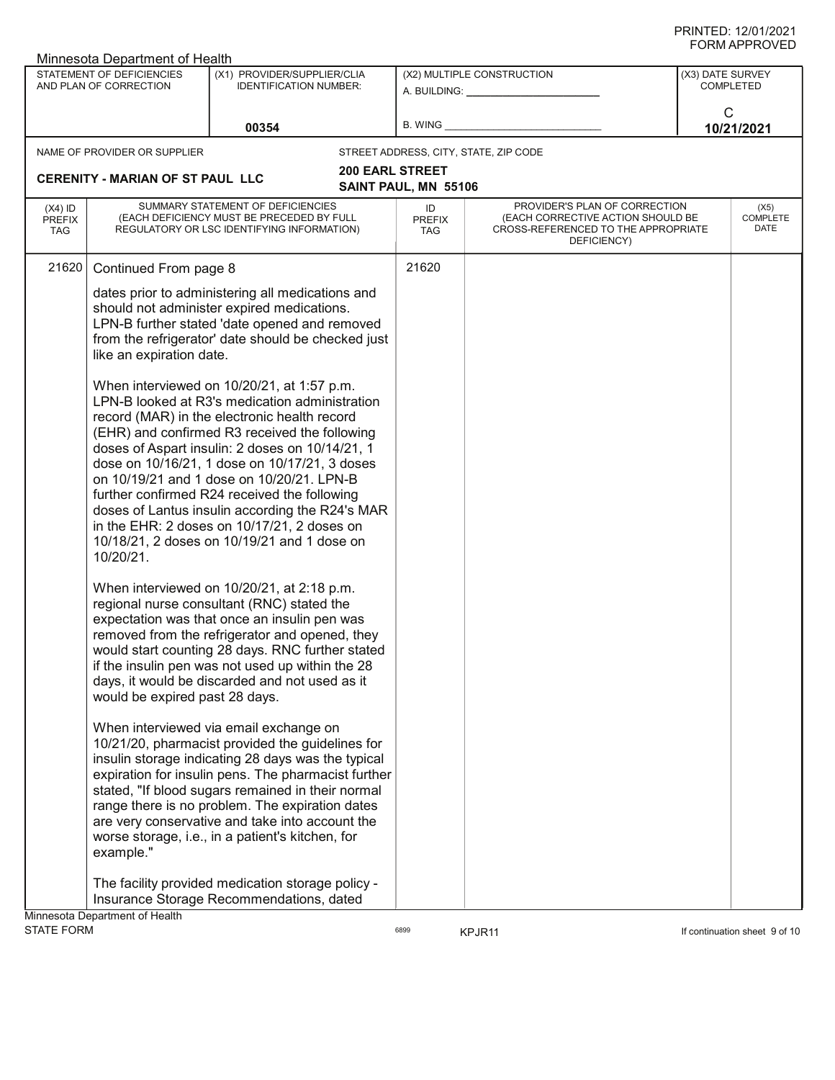| Minnesota Department of Health                      |                                                                                                                                                                                                                                                                                                                                                                                                                                                                                                                |                                                                                                                                                                                                                                                                                                                                                                                                                        |                                                                                      |                                                                                                                          |                                                         | ש∟יטויו וחיוויט                 |
|-----------------------------------------------------|----------------------------------------------------------------------------------------------------------------------------------------------------------------------------------------------------------------------------------------------------------------------------------------------------------------------------------------------------------------------------------------------------------------------------------------------------------------------------------------------------------------|------------------------------------------------------------------------------------------------------------------------------------------------------------------------------------------------------------------------------------------------------------------------------------------------------------------------------------------------------------------------------------------------------------------------|--------------------------------------------------------------------------------------|--------------------------------------------------------------------------------------------------------------------------|---------------------------------------------------------|---------------------------------|
| STATEMENT OF DEFICIENCIES<br>AND PLAN OF CORRECTION |                                                                                                                                                                                                                                                                                                                                                                                                                                                                                                                | (X1) PROVIDER/SUPPLIER/CLIA<br><b>IDENTIFICATION NUMBER:</b>                                                                                                                                                                                                                                                                                                                                                           | (X2) MULTIPLE CONSTRUCTION<br>A. BUILDING: A. BUILDING:<br>B. WING <b>Example 20</b> |                                                                                                                          | (X3) DATE SURVEY<br><b>COMPLETED</b><br>C<br>10/21/2021 |                                 |
|                                                     |                                                                                                                                                                                                                                                                                                                                                                                                                                                                                                                | 00354                                                                                                                                                                                                                                                                                                                                                                                                                  |                                                                                      |                                                                                                                          |                                                         |                                 |
|                                                     | NAME OF PROVIDER OR SUPPLIER                                                                                                                                                                                                                                                                                                                                                                                                                                                                                   |                                                                                                                                                                                                                                                                                                                                                                                                                        |                                                                                      | STREET ADDRESS, CITY, STATE, ZIP CODE                                                                                    |                                                         |                                 |
|                                                     | <b>CERENITY - MARIAN OF ST PAUL LLC</b>                                                                                                                                                                                                                                                                                                                                                                                                                                                                        |                                                                                                                                                                                                                                                                                                                                                                                                                        | <b>200 EARL STREET</b>                                                               |                                                                                                                          |                                                         |                                 |
|                                                     |                                                                                                                                                                                                                                                                                                                                                                                                                                                                                                                |                                                                                                                                                                                                                                                                                                                                                                                                                        | SAINT PAUL, MN 55106                                                                 |                                                                                                                          |                                                         |                                 |
| $(X4)$ ID<br><b>PREFIX</b><br><b>TAG</b>            |                                                                                                                                                                                                                                                                                                                                                                                                                                                                                                                | SUMMARY STATEMENT OF DEFICIENCIES<br>(EACH DEFICIENCY MUST BE PRECEDED BY FULL<br>REGULATORY OR LSC IDENTIFYING INFORMATION)                                                                                                                                                                                                                                                                                           | ID<br>PREFIX<br><b>TAG</b>                                                           | PROVIDER'S PLAN OF CORRECTION<br>(EACH CORRECTIVE ACTION SHOULD BE<br>CROSS-REFERENCED TO THE APPROPRIATE<br>DEFICIENCY) |                                                         | (X5)<br><b>COMPLETE</b><br>DATE |
| 21620                                               | Continued From page 8                                                                                                                                                                                                                                                                                                                                                                                                                                                                                          |                                                                                                                                                                                                                                                                                                                                                                                                                        | 21620                                                                                |                                                                                                                          |                                                         |                                 |
|                                                     | like an expiration date.                                                                                                                                                                                                                                                                                                                                                                                                                                                                                       | dates prior to administering all medications and<br>should not administer expired medications.<br>LPN-B further stated 'date opened and removed<br>from the refrigerator' date should be checked just<br>When interviewed on 10/20/21, at 1:57 p.m.                                                                                                                                                                    |                                                                                      |                                                                                                                          |                                                         |                                 |
|                                                     | LPN-B looked at R3's medication administration<br>record (MAR) in the electronic health record<br>(EHR) and confirmed R3 received the following<br>doses of Aspart insulin: 2 doses on 10/14/21, 1<br>dose on 10/16/21, 1 dose on 10/17/21, 3 doses<br>on 10/19/21 and 1 dose on 10/20/21. LPN-B<br>further confirmed R24 received the following<br>doses of Lantus insulin according the R24's MAR<br>in the EHR: 2 doses on 10/17/21, 2 doses on<br>10/18/21, 2 doses on 10/19/21 and 1 dose on<br>10/20/21. |                                                                                                                                                                                                                                                                                                                                                                                                                        |                                                                                      |                                                                                                                          |                                                         |                                 |
|                                                     | would be expired past 28 days.                                                                                                                                                                                                                                                                                                                                                                                                                                                                                 | When interviewed on 10/20/21, at 2:18 p.m.<br>regional nurse consultant (RNC) stated the<br>expectation was that once an insulin pen was<br>removed from the refrigerator and opened, they<br>would start counting 28 days. RNC further stated<br>if the insulin pen was not used up within the 28<br>days, it would be discarded and not used as it                                                                   |                                                                                      |                                                                                                                          |                                                         |                                 |
|                                                     | example."                                                                                                                                                                                                                                                                                                                                                                                                                                                                                                      | When interviewed via email exchange on<br>10/21/20, pharmacist provided the guidelines for<br>insulin storage indicating 28 days was the typical<br>expiration for insulin pens. The pharmacist further<br>stated, "If blood sugars remained in their normal<br>range there is no problem. The expiration dates<br>are very conservative and take into account the<br>worse storage, i.e., in a patient's kitchen, for |                                                                                      |                                                                                                                          |                                                         |                                 |
|                                                     | Minnesota Department of Health                                                                                                                                                                                                                                                                                                                                                                                                                                                                                 | The facility provided medication storage policy -<br>Insurance Storage Recommendations, dated                                                                                                                                                                                                                                                                                                                          |                                                                                      |                                                                                                                          |                                                         |                                 |
| <b>STATE FORM</b>                                   |                                                                                                                                                                                                                                                                                                                                                                                                                                                                                                                |                                                                                                                                                                                                                                                                                                                                                                                                                        | 6899                                                                                 | KPJR11                                                                                                                   |                                                         | If continuation sheet 9 of 10   |